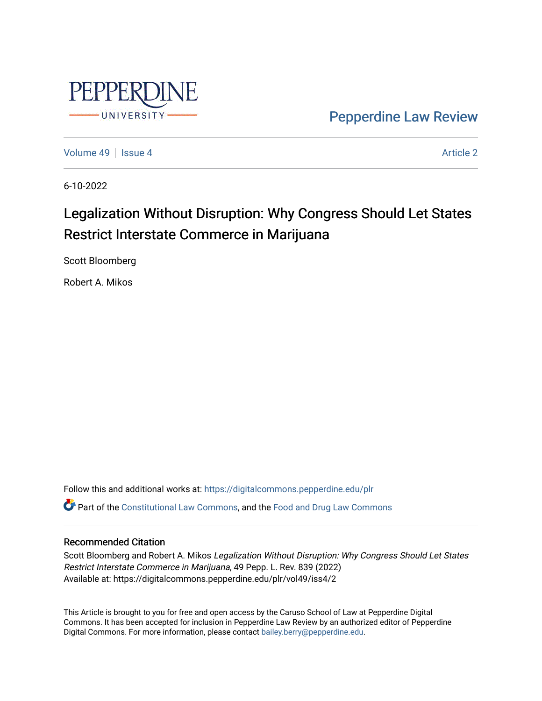

[Pepperdine Law Review](https://digitalcommons.pepperdine.edu/plr) 

[Volume 49](https://digitalcommons.pepperdine.edu/plr/vol49) | [Issue 4](https://digitalcommons.pepperdine.edu/plr/vol49/iss4) [Article 2](https://digitalcommons.pepperdine.edu/plr/vol49/iss4/2) Article 2 Article 2 Article 2 Article 2 Article 2 Article 2 Article 2 Article 2

6-10-2022

# Legalization Without Disruption: Why Congress Should Let States Restrict Interstate Commerce in Marijuana

Scott Bloomberg

Robert A. Mikos

Follow this and additional works at: [https://digitalcommons.pepperdine.edu/plr](https://digitalcommons.pepperdine.edu/plr?utm_source=digitalcommons.pepperdine.edu%2Fplr%2Fvol49%2Fiss4%2F2&utm_medium=PDF&utm_campaign=PDFCoverPages) Part of the [Constitutional Law Commons,](https://network.bepress.com/hgg/discipline/589?utm_source=digitalcommons.pepperdine.edu%2Fplr%2Fvol49%2Fiss4%2F2&utm_medium=PDF&utm_campaign=PDFCoverPages) and the [Food and Drug Law Commons](https://network.bepress.com/hgg/discipline/844?utm_source=digitalcommons.pepperdine.edu%2Fplr%2Fvol49%2Fiss4%2F2&utm_medium=PDF&utm_campaign=PDFCoverPages)

# Recommended Citation

Scott Bloomberg and Robert A. Mikos Legalization Without Disruption: Why Congress Should Let States Restrict Interstate Commerce in Marijuana, 49 Pepp. L. Rev. 839 (2022) Available at: https://digitalcommons.pepperdine.edu/plr/vol49/iss4/2

This Article is brought to you for free and open access by the Caruso School of Law at Pepperdine Digital Commons. It has been accepted for inclusion in Pepperdine Law Review by an authorized editor of Pepperdine Digital Commons. For more information, please contact [bailey.berry@pepperdine.edu.](mailto:bailey.berry@pepperdine.edu)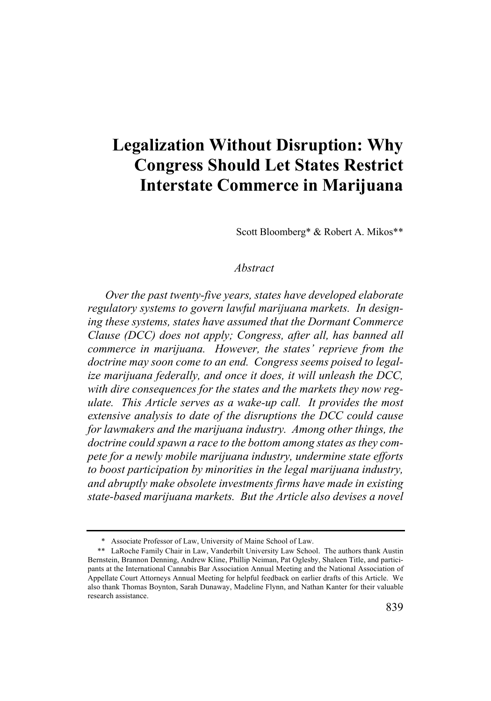# **Legalization Without Disruption: Why Congress Should Let States Restrict Interstate Commerce in Marijuana**

Scott Bloomberg\* & Robert A. Mikos\*\*

# *Abstract*

*Over the past twenty-five years, states have developed elaborate regulatory systems to govern lawful marijuana markets. In designing these systems, states have assumed that the Dormant Commerce Clause (DCC) does not apply; Congress, after all, has banned all commerce in marijuana. However, the states' reprieve from the doctrine may soon come to an end. Congress seems poised to legalize marijuana federally, and once it does, it will unleash the DCC, with dire consequences for the states and the markets they now regulate. This Article serves as a wake-up call. It provides the most extensive analysis to date of the disruptions the DCC could cause for lawmakers and the marijuana industry. Among other things, the doctrine could spawn a race to the bottom among states as they compete for a newly mobile marijuana industry, undermine state efforts to boost participation by minorities in the legal marijuana industry, and abruptly make obsolete investments firms have made in existing state-based marijuana markets. But the Article also devises a novel* 

<sup>\*</sup> Associate Professor of Law, University of Maine School of Law.

<sup>\*\*</sup> LaRoche Family Chair in Law, Vanderbilt University Law School. The authors thank Austin Bernstein, Brannon Denning, Andrew Kline, Phillip Neiman, Pat Oglesby, Shaleen Title, and participants at the International Cannabis Bar Association Annual Meeting and the National Association of Appellate Court Attorneys Annual Meeting for helpful feedback on earlier drafts of this Article. We also thank Thomas Boynton, Sarah Dunaway, Madeline Flynn, and Nathan Kanter for their valuable research assistance.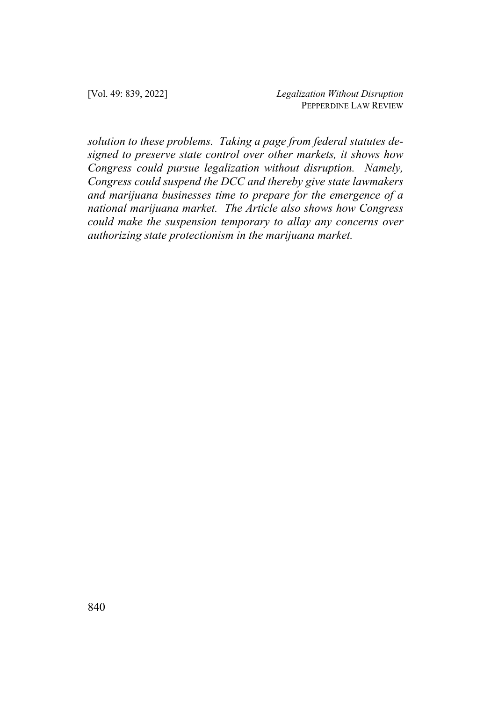*solution to these problems. Taking a page from federal statutes designed to preserve state control over other markets, it shows how Congress could pursue legalization without disruption. Namely, Congress could suspend the DCC and thereby give state lawmakers and marijuana businesses time to prepare for the emergence of a national marijuana market. The Article also shows how Congress could make the suspension temporary to allay any concerns over authorizing state protectionism in the marijuana market.*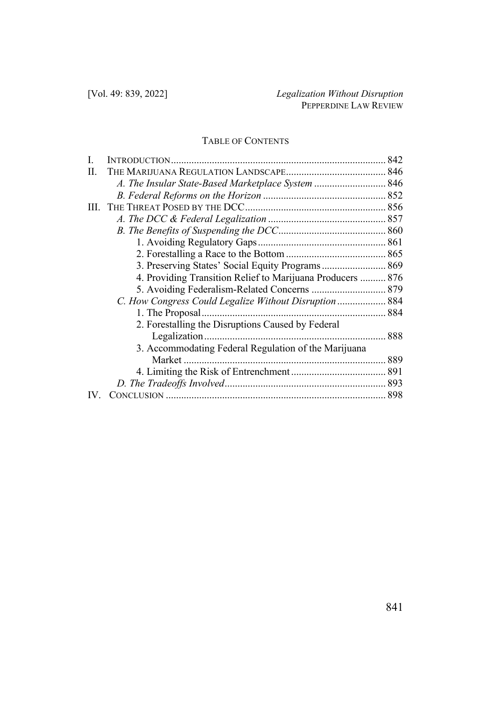# TABLE OF CONTENTS

| A. The Insular State-Based Marketplace System  846         |  |
|------------------------------------------------------------|--|
|                                                            |  |
|                                                            |  |
|                                                            |  |
|                                                            |  |
|                                                            |  |
|                                                            |  |
| 3. Preserving States' Social Equity Programs 869           |  |
| 4. Providing Transition Relief to Marijuana Producers  876 |  |
|                                                            |  |
| C. How Congress Could Legalize Without Disruption  884     |  |
|                                                            |  |
| 2. Forestalling the Disruptions Caused by Federal          |  |
|                                                            |  |
| 3. Accommodating Federal Regulation of the Marijuana       |  |
|                                                            |  |
|                                                            |  |
|                                                            |  |
|                                                            |  |
|                                                            |  |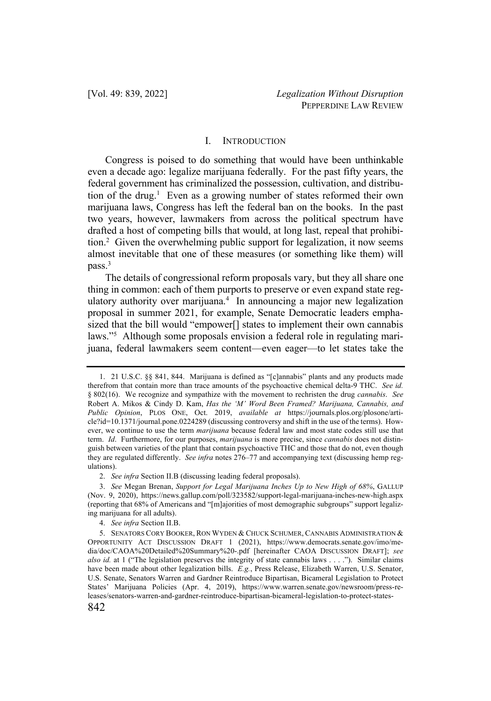# I. INTRODUCTION

Congress is poised to do something that would have been unthinkable even a decade ago: legalize marijuana federally. For the past fifty years, the federal government has criminalized the possession, cultivation, and distribution of the drug.<sup>1</sup> Even as a growing number of states reformed their own marijuana laws, Congress has left the federal ban on the books. In the past two years, however, lawmakers from across the political spectrum have drafted a host of competing bills that would, at long last, repeal that prohibition.2 Given the overwhelming public support for legalization, it now seems almost inevitable that one of these measures (or something like them) will pass.3

The details of congressional reform proposals vary, but they all share one thing in common: each of them purports to preserve or even expand state regulatory authority over marijuana.<sup>4</sup> In announcing a major new legalization proposal in summer 2021, for example, Senate Democratic leaders emphasized that the bill would "empower<sup>[]</sup> states to implement their own cannabis laws."5 Although some proposals envision a federal role in regulating marijuana, federal lawmakers seem content—even eager—to let states take the

<sup>1.</sup> 21 U.S.C. §§ 841, 844. Marijuana is defined as "[c]annabis" plants and any products made therefrom that contain more than trace amounts of the psychoactive chemical delta-9 THC. *See id.* § 802(16). We recognize and sympathize with the movement to rechristen the drug *cannabis*. *See* Robert A. Mikos & Cindy D. Kam, *Has the 'M' Word Been Framed? Marijuana, Cannabis, and Public Opinion*, PLOS ONE, Oct. 2019, *available at* https://journals.plos.org/plosone/article?id=10.1371/journal.pone.0224289 (discussing controversy and shift in the use of the terms). However, we continue to use the term *marijuana* because federal law and most state codes still use that term. *Id*. Furthermore, for our purposes, *marijuana* is more precise, since *cannabis* does not distinguish between varieties of the plant that contain psychoactive THC and those that do not, even though they are regulated differently. *See infra* notes 276–77 and accompanying text (discussing hemp regulations).

<sup>2.</sup> *See infra* Section II.B (discussing leading federal proposals).

<sup>3.</sup> *See* Megan Brenan, *Support for Legal Marijuana Inches Up to New High of 68%*, GALLUP (Nov. 9, 2020), https://news.gallup.com/poll/323582/support-legal-marijuana-inches-new-high.aspx (reporting that 68% of Americans and "[m]ajorities of most demographic subgroups" support legalizing marijuana for all adults).

<sup>4.</sup> *See infra* Section II.B.

<sup>842</sup> 5. SENATORS CORY BOOKER, RON WYDEN & CHUCK SCHUMER, CANNABIS ADMINISTRATION & OPPORTUNITY ACT DISCUSSION DRAFT 1 (2021), https://www.democrats.senate.gov/imo/media/doc/CAOA%20Detailed%20Summary%20-.pdf [hereinafter CAOA DISCUSSION DRAFT]; *see also id.* at 1 ("The legislation preserves the integrity of state cannabis laws . . . ."). Similar claims have been made about other legalization bills. *E.g.*, Press Release, Elizabeth Warren, U.S. Senator, U.S. Senate, Senators Warren and Gardner Reintroduce Bipartisan, Bicameral Legislation to Protect States' Marijuana Policies (Apr. 4, 2019), https://www.warren.senate.gov/newsroom/press-releases/senators-warren-and-gardner-reintroduce-bipartisan-bicameral-legislation-to-protect-states-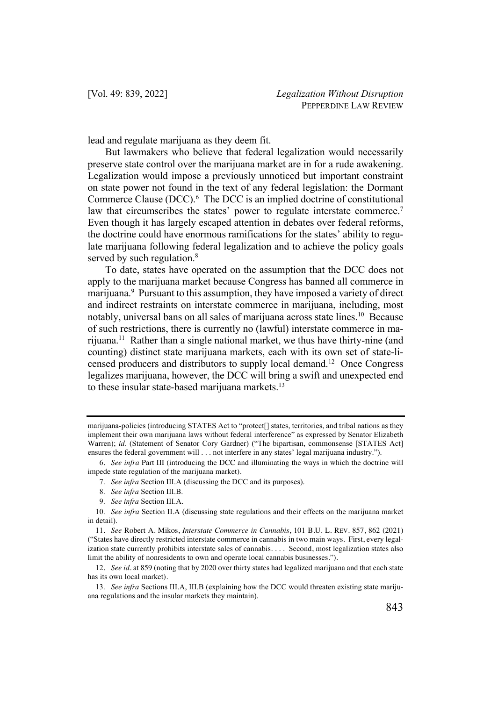lead and regulate marijuana as they deem fit.

But lawmakers who believe that federal legalization would necessarily preserve state control over the marijuana market are in for a rude awakening. Legalization would impose a previously unnoticed but important constraint on state power not found in the text of any federal legislation: the Dormant Commerce Clause (DCC).<sup>6</sup> The DCC is an implied doctrine of constitutional law that circumscribes the states' power to regulate interstate commerce.<sup>7</sup> Even though it has largely escaped attention in debates over federal reforms, the doctrine could have enormous ramifications for the states' ability to regulate marijuana following federal legalization and to achieve the policy goals served by such regulation.<sup>8</sup>

To date, states have operated on the assumption that the DCC does not apply to the marijuana market because Congress has banned all commerce in marijuana.<sup>9</sup> Pursuant to this assumption, they have imposed a variety of direct and indirect restraints on interstate commerce in marijuana, including, most notably, universal bans on all sales of marijuana across state lines.<sup>10</sup> Because of such restrictions, there is currently no (lawful) interstate commerce in marijuana.11 Rather than a single national market, we thus have thirty-nine (and counting) distinct state marijuana markets, each with its own set of state-licensed producers and distributors to supply local demand.12 Once Congress legalizes marijuana, however, the DCC will bring a swift and unexpected end to these insular state-based marijuana markets.<sup>13</sup>

- 7. *See infra* Section III.A (discussing the DCC and its purposes).
- 8. *See infra* Section III.B.
- 9. *See infra* Section III.A.

marijuana-policies (introducing STATES Act to "protect[] states, territories, and tribal nations as they implement their own marijuana laws without federal interference" as expressed by Senator Elizabeth Warren); *id.* (Statement of Senator Cory Gardner) ("The bipartisan, commonsense [STATES Act] ensures the federal government will . . . not interfere in any states' legal marijuana industry.").

<sup>6</sup>. *See infra* Part III (introducing the DCC and illuminating the ways in which the doctrine will impede state regulation of the marijuana market).

<sup>10.</sup> *See infra* Section II.A (discussing state regulations and their effects on the marijuana market in detail).

<sup>11</sup>. *See* Robert A. Mikos, *Interstate Commerce in Cannabis*, 101 B.U. L. REV. 857, 862 (2021) ("States have directly restricted interstate commerce in cannabis in two main ways. First, every legalization state currently prohibits interstate sales of cannabis. . . . Second, most legalization states also limit the ability of nonresidents to own and operate local cannabis businesses.").

<sup>12</sup>. *See id.* at 859 (noting that by 2020 over thirty states had legalized marijuana and that each state has its own local market).

<sup>13.</sup> *See infra* Sections III.A, III.B (explaining how the DCC would threaten existing state marijuana regulations and the insular markets they maintain).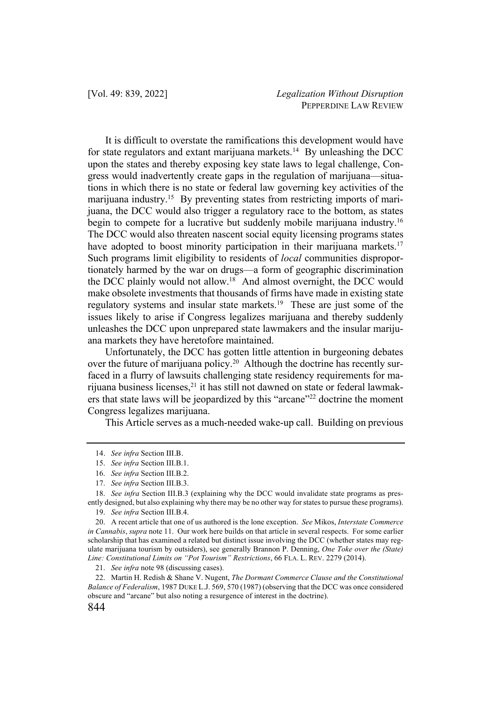It is difficult to overstate the ramifications this development would have for state regulators and extant marijuana markets.<sup>14</sup> By unleashing the DCC upon the states and thereby exposing key state laws to legal challenge, Congress would inadvertently create gaps in the regulation of marijuana—situations in which there is no state or federal law governing key activities of the marijuana industry.<sup>15</sup> By preventing states from restricting imports of marijuana, the DCC would also trigger a regulatory race to the bottom, as states begin to compete for a lucrative but suddenly mobile marijuana industry.<sup>16</sup> The DCC would also threaten nascent social equity licensing programs states have adopted to boost minority participation in their marijuana markets.<sup>17</sup> Such programs limit eligibility to residents of *local* communities disproportionately harmed by the war on drugs—a form of geographic discrimination the DCC plainly would not allow.<sup>18</sup> And almost overnight, the DCC would make obsolete investments that thousands of firms have made in existing state regulatory systems and insular state markets.<sup>19</sup> These are just some of the issues likely to arise if Congress legalizes marijuana and thereby suddenly unleashes the DCC upon unprepared state lawmakers and the insular marijuana markets they have heretofore maintained.

Unfortunately, the DCC has gotten little attention in burgeoning debates over the future of marijuana policy.<sup>20</sup> Although the doctrine has recently surfaced in a flurry of lawsuits challenging state residency requirements for marijuana business licenses,<sup>21</sup> it has still not dawned on state or federal lawmakers that state laws will be jeopardized by this "arcane"<sup>22</sup> doctrine the moment Congress legalizes marijuana.

This Article serves as a much-needed wake-up call. Building on previous

<sup>14</sup>. *See infra* Section III.B.

<sup>15.</sup> *See infra* Section III.B.1.

<sup>16.</sup> *See infra* Section III.B.2.

<sup>17.</sup> *See infra* Section III.B.3.

<sup>18.</sup> *See infra* Section III.B.3 (explaining why the DCC would invalidate state programs as presently designed, but also explaining why there may be no other way for states to pursue these programs).

<sup>19.</sup> *See infra* Section III.B.4.

<sup>20.</sup> A recent article that one of us authored is the lone exception. *See* Mikos, *Interstate Commerce in Cannabis*, *supra* note 11. Our work here builds on that article in several respects. For some earlier scholarship that has examined a related but distinct issue involving the DCC (whether states may regulate marijuana tourism by outsiders), see generally Brannon P. Denning, *One Toke over the (State) Line: Constitutional Limits on "Pot Tourism" Restrictions*, 66 FLA. L. REV. 2279 (2014).

<sup>21.</sup> *See infra* note 98 (discussing cases).

<sup>22.</sup> Martin H. Redish & Shane V. Nugent, *The Dormant Commerce Clause and the Constitutional Balance of Federalism*, 1987 DUKE L.J. 569, 570 (1987) (observing that the DCC was once considered obscure and "arcane" but also noting a resurgence of interest in the doctrine).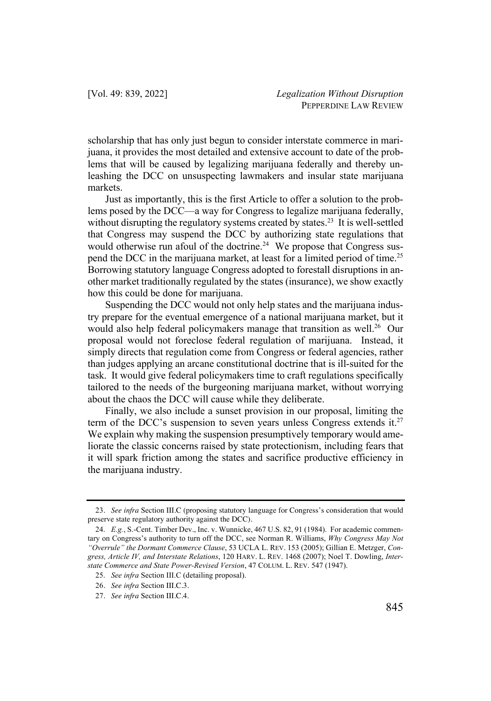scholarship that has only just begun to consider interstate commerce in marijuana, it provides the most detailed and extensive account to date of the problems that will be caused by legalizing marijuana federally and thereby unleashing the DCC on unsuspecting lawmakers and insular state marijuana markets.

Just as importantly, this is the first Article to offer a solution to the problems posed by the DCC—a way for Congress to legalize marijuana federally, without disrupting the regulatory systems created by states.<sup>23</sup> It is well-settled that Congress may suspend the DCC by authorizing state regulations that would otherwise run afoul of the doctrine.<sup>24</sup> We propose that Congress suspend the DCC in the marijuana market, at least for a limited period of time.<sup>25</sup> Borrowing statutory language Congress adopted to forestall disruptions in another market traditionally regulated by the states (insurance), we show exactly how this could be done for marijuana.

Suspending the DCC would not only help states and the marijuana industry prepare for the eventual emergence of a national marijuana market, but it would also help federal policymakers manage that transition as well.<sup>26</sup> Our proposal would not foreclose federal regulation of marijuana. Instead, it simply directs that regulation come from Congress or federal agencies, rather than judges applying an arcane constitutional doctrine that is ill-suited for the task. It would give federal policymakers time to craft regulations specifically tailored to the needs of the burgeoning marijuana market, without worrying about the chaos the DCC will cause while they deliberate.

Finally, we also include a sunset provision in our proposal, limiting the term of the DCC's suspension to seven years unless Congress extends it.<sup>27</sup> We explain why making the suspension presumptively temporary would ameliorate the classic concerns raised by state protectionism, including fears that it will spark friction among the states and sacrifice productive efficiency in the marijuana industry.

<sup>23</sup>. *See infra* Section III.C (proposing statutory language for Congress's consideration that would preserve state regulatory authority against the DCC).

<sup>24.</sup> *E.g.*, S.-Cent. Timber Dev., Inc. v. Wunnicke, 467 U.S. 82, 91 (1984). For academic commentary on Congress's authority to turn off the DCC, see Norman R. Williams, *Why Congress May Not "Overrule" the Dormant Commerce Clause*, 53 UCLA L. REV. 153 (2005); Gillian E. Metzger, *Congress, Article IV, and Interstate Relations*, 120 HARV. L. REV. 1468 (2007); Noel T. Dowling, *Interstate Commerce and State Power-Revised Version*, 47 COLUM. L. REV. 547 (1947).

<sup>25.</sup> *See infra* Section III.C (detailing proposal).

<sup>26</sup>. *See infra* Section III.C.3.

<sup>27</sup>. *See infra* Section III.C.4.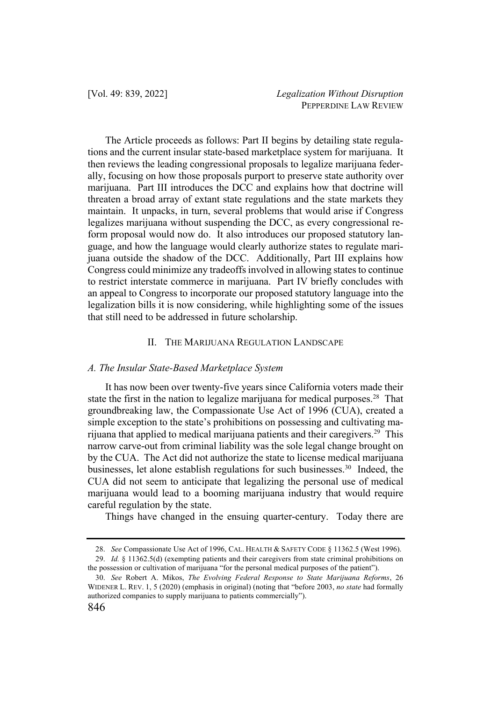The Article proceeds as follows: Part II begins by detailing state regulations and the current insular state-based marketplace system for marijuana. It then reviews the leading congressional proposals to legalize marijuana federally, focusing on how those proposals purport to preserve state authority over marijuana. Part III introduces the DCC and explains how that doctrine will threaten a broad array of extant state regulations and the state markets they maintain. It unpacks, in turn, several problems that would arise if Congress legalizes marijuana without suspending the DCC, as every congressional reform proposal would now do. It also introduces our proposed statutory language, and how the language would clearly authorize states to regulate marijuana outside the shadow of the DCC. Additionally, Part III explains how Congress could minimize any tradeoffs involved in allowing states to continue to restrict interstate commerce in marijuana. Part IV briefly concludes with an appeal to Congress to incorporate our proposed statutory language into the legalization bills it is now considering, while highlighting some of the issues that still need to be addressed in future scholarship.

# II. THE MARIJUANA REGULATION LANDSCAPE

# *A. The Insular State-Based Marketplace System*

It has now been over twenty-five years since California voters made their state the first in the nation to legalize marijuana for medical purposes.<sup>28</sup> That groundbreaking law, the Compassionate Use Act of 1996 (CUA), created a simple exception to the state's prohibitions on possessing and cultivating marijuana that applied to medical marijuana patients and their caregivers.29 This narrow carve-out from criminal liability was the sole legal change brought on by the CUA. The Act did not authorize the state to license medical marijuana businesses, let alone establish regulations for such businesses.<sup>30</sup> Indeed, the CUA did not seem to anticipate that legalizing the personal use of medical marijuana would lead to a booming marijuana industry that would require careful regulation by the state.

Things have changed in the ensuing quarter-century. Today there are

<sup>28.</sup> *See* Compassionate Use Act of 1996, CAL. HEALTH & SAFETY CODE § 11362.5 (West 1996).

<sup>29.</sup> *Id.* § 11362.5(d) (exempting patients and their caregivers from state criminal prohibitions on the possession or cultivation of marijuana "for the personal medical purposes of the patient").

<sup>30.</sup> *See* Robert A. Mikos, *The Evolving Federal Response to State Marijuana Reforms*, 26 WIDENER L. REV. 1, 5 (2020) (emphasis in original) (noting that "before 2003, *no state* had formally authorized companies to supply marijuana to patients commercially").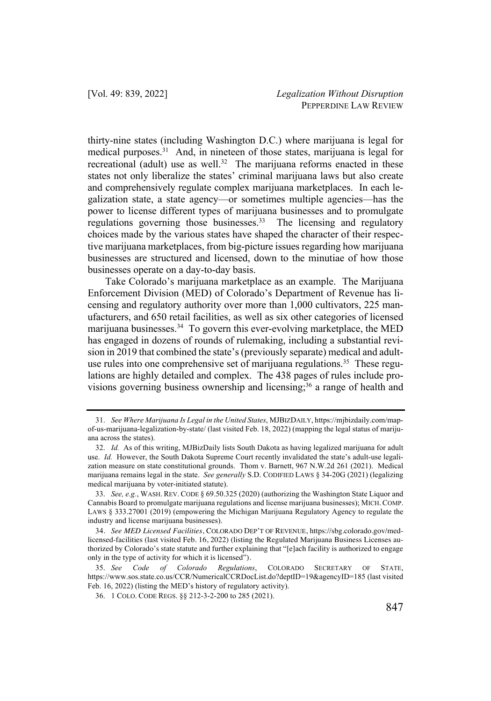thirty-nine states (including Washington D.C.) where marijuana is legal for medical purposes.<sup>31</sup> And, in nineteen of those states, marijuana is legal for recreational (adult) use as well.<sup>32</sup> The marijuana reforms enacted in these states not only liberalize the states' criminal marijuana laws but also create and comprehensively regulate complex marijuana marketplaces. In each legalization state, a state agency—or sometimes multiple agencies—has the power to license different types of marijuana businesses and to promulgate regulations governing those businesses.<sup>33</sup> The licensing and regulatory choices made by the various states have shaped the character of their respective marijuana marketplaces, from big-picture issues regarding how marijuana businesses are structured and licensed, down to the minutiae of how those businesses operate on a day-to-day basis.

Take Colorado's marijuana marketplace as an example. The Marijuana Enforcement Division (MED) of Colorado's Department of Revenue has licensing and regulatory authority over more than 1,000 cultivators, 225 manufacturers, and 650 retail facilities, as well as six other categories of licensed marijuana businesses.<sup>34</sup> To govern this ever-evolving marketplace, the MED has engaged in dozens of rounds of rulemaking, including a substantial revision in 2019 that combined the state's (previously separate) medical and adultuse rules into one comprehensive set of marijuana regulations. <sup>35</sup> These regulations are highly detailed and complex. The 438 pages of rules include provisions governing business ownership and licensing;<sup>36</sup> a range of health and

<sup>31.</sup> *See Where Marijuana Is Legal in the United States*, MJBIZDAILY, https://mjbizdaily.com/mapof-us-marijuana-legalization-by-state/ (last visited Feb. 18, 2022) (mapping the legal status of marijuana across the states).

<sup>32.</sup> *Id.* As of this writing, MJBizDaily lists South Dakota as having legalized marijuana for adult use. *Id.* However, the South Dakota Supreme Court recently invalidated the state's adult-use legalization measure on state constitutional grounds. Thom v. Barnett, 967 N.W.2d 261 (2021). Medical marijuana remains legal in the state. *See generally* S.D. CODIFIED LAWS § 34-20G (2021) (legalizing medical marijuana by voter-initiated statute).

<sup>33.</sup> *See, e.g.*, WASH. REV. CODE § 69.50.325 (2020) (authorizing the Washington State Liquor and Cannabis Board to promulgate marijuana regulations and license marijuana businesses); MICH. COMP. LAWS § 333.27001 (2019) (empowering the Michigan Marijuana Regulatory Agency to regulate the industry and license marijuana businesses).

<sup>34</sup>. *See MED Licensed Facilities*, COLORADO DEP'T OF REVENUE, https://sbg.colorado.gov/medlicensed-facilities (last visited Feb. 16, 2022) (listing the Regulated Marijuana Business Licenses authorized by Colorado's state statute and further explaining that "[e]ach facility is authorized to engage only in the type of activity for which it is licensed").

<sup>35.</sup> *See Code of Colorado Regulations*, COLORADO SECRETARY OF STATE, https://www.sos.state.co.us/CCR/NumericalCCRDocList.do?deptID=19&agencyID=185 (last visited Feb. 16, 2022) (listing the MED's history of regulatory activity).

<sup>36.</sup> 1 COLO. CODE REGS. §§ 212-3-2-200 to 285 (2021).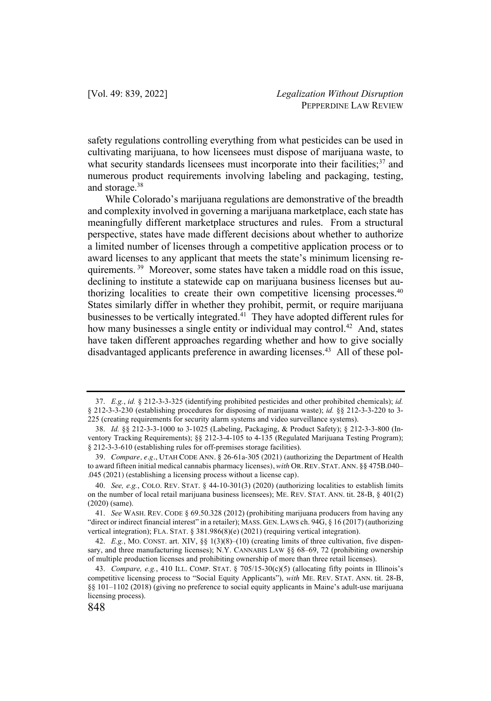safety regulations controlling everything from what pesticides can be used in cultivating marijuana, to how licensees must dispose of marijuana waste, to what security standards licensees must incorporate into their facilities; $37$  and numerous product requirements involving labeling and packaging, testing, and storage.<sup>38</sup>

While Colorado's marijuana regulations are demonstrative of the breadth and complexity involved in governing a marijuana marketplace, each state has meaningfully different marketplace structures and rules. From a structural perspective, states have made different decisions about whether to authorize a limited number of licenses through a competitive application process or to award licenses to any applicant that meets the state's minimum licensing requirements. <sup>39</sup> Moreover, some states have taken a middle road on this issue, declining to institute a statewide cap on marijuana business licenses but authorizing localities to create their own competitive licensing processes.<sup>40</sup> States similarly differ in whether they prohibit, permit, or require marijuana businesses to be vertically integrated.41 They have adopted different rules for how many businesses a single entity or individual may control.<sup>42</sup> And, states have taken different approaches regarding whether and how to give socially disadvantaged applicants preference in awarding licenses.<sup>43</sup> All of these pol-

<sup>37.</sup> *E.g.*, *id.* § 212-3-3-325 (identifying prohibited pesticides and other prohibited chemicals); *id.*  § 212-3-3-230 (establishing procedures for disposing of marijuana waste); *id.* §§ 212-3-3-220 to 3- 225 (creating requirements for security alarm systems and video surveillance systems).

<sup>38.</sup> *Id.* §§ 212-3-3-1000 to 3-1025 (Labeling, Packaging, & Product Safety); § 212-3-3-800 (Inventory Tracking Requirements); §§ 212-3-4-105 to 4-135 (Regulated Marijuana Testing Program); § 212-3-3-610 (establishing rules for off-premises storage facilities).

<sup>39</sup>. *Compare, e.g.*, UTAH CODE ANN. § 26-61a-305 (2021) (authorizing the Department of Health to award fifteen initial medical cannabis pharmacy licenses), *with* OR. REV. STAT. ANN. §§ 475B.040– .045 (2021) (establishing a licensing process without a license cap).

<sup>40.</sup> *See, e.g.*, COLO. REV. STAT. § 44-10-301(3) (2020) (authorizing localities to establish limits on the number of local retail marijuana business licensees); ME. REV. STAT. ANN. tit. 28-B, § 401(2) (2020) (same).

<sup>41.</sup> *See* WASH. REV. CODE § 69.50.328 (2012) (prohibiting marijuana producers from having any "direct or indirect financial interest" in a retailer); MASS. GEN. LAWS ch. 94G, § 16 (2017) (authorizing vertical integration); FLA. STAT. § 381.986(8)(e) (2021) (requiring vertical integration).

<sup>42.</sup> *E.g.*, MO. CONST. art. XIV, §§ 1(3)(8)–(10) (creating limits of three cultivation, five dispensary, and three manufacturing licenses); N.Y. CANNABIS LAW §§ 68–69, 72 (prohibiting ownership of multiple production licenses and prohibiting ownership of more than three retail licenses).

<sup>43.</sup> *Compare, e.g.*, 410 ILL. COMP. STAT. § 705/15-30(c)(5) (allocating fifty points in Illinois's competitive licensing process to "Social Equity Applicants"), *with* ME. REV. STAT. ANN. tit. 28-B, §§ 101–1102 (2018) (giving no preference to social equity applicants in Maine's adult-use marijuana licensing process).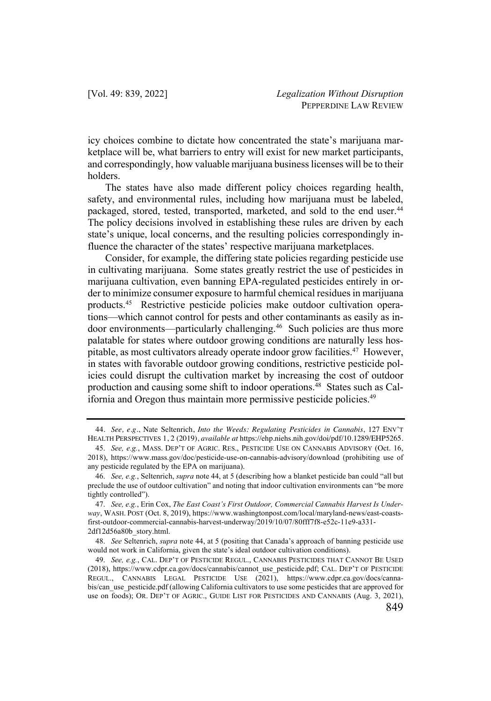icy choices combine to dictate how concentrated the state's marijuana marketplace will be, what barriers to entry will exist for new market participants, and correspondingly, how valuable marijuana business licenses will be to their holders.

The states have also made different policy choices regarding health, safety, and environmental rules, including how marijuana must be labeled, packaged, stored, tested, transported, marketed, and sold to the end user.<sup>44</sup> The policy decisions involved in establishing these rules are driven by each state's unique, local concerns, and the resulting policies correspondingly influence the character of the states' respective marijuana marketplaces.

Consider, for example, the differing state policies regarding pesticide use in cultivating marijuana. Some states greatly restrict the use of pesticides in marijuana cultivation, even banning EPA-regulated pesticides entirely in order to minimize consumer exposure to harmful chemical residues in marijuana products.45 Restrictive pesticide policies make outdoor cultivation operations—which cannot control for pests and other contaminants as easily as indoor environments—particularly challenging.46 Such policies are thus more palatable for states where outdoor growing conditions are naturally less hospitable, as most cultivators already operate indoor grow facilities.47 However, in states with favorable outdoor growing conditions, restrictive pesticide policies could disrupt the cultivation market by increasing the cost of outdoor production and causing some shift to indoor operations. $48$  States such as California and Oregon thus maintain more permissive pesticide policies.<sup>49</sup>

<sup>44</sup>. *See, e.g.*, Nate Seltenrich, *Into the Weeds: Regulating Pesticides in Cannabis*, 127 ENV'T HEALTH PERSPECTIVES 1, 2 (2019), *available at* https://ehp.niehs.nih.gov/doi/pdf/10.1289/EHP5265.

<sup>45.</sup> *See, e.g.*, MASS. DEP'T OF AGRIC. RES., PESTICIDE USE ON CANNABIS ADVISORY (Oct. 16, 2018), https://www.mass.gov/doc/pesticide-use-on-cannabis-advisory/download (prohibiting use of any pesticide regulated by the EPA on marijuana).

<sup>46.</sup> *See, e.g.*, Seltenrich, *supra* note 44, at 5 (describing how a blanket pesticide ban could "all but preclude the use of outdoor cultivation" and noting that indoor cultivation environments can "be more tightly controlled").

<sup>47.</sup> *See, e.g.*, Erin Cox, *The East Coast's First Outdoor, Commercial Cannabis Harvest Is Underway*, WASH. POST (Oct. 8, 2019), https://www.washingtonpost.com/local/maryland-news/east-coastsfirst-outdoor-commercial-cannabis-harvest-underway/2019/10/07/80fff7f8-e52c-11e9-a331- 2df12d56a80b\_story.html.

<sup>48.</sup> *See* Seltenrich, *supra* note 44, at 5 (positing that Canada's approach of banning pesticide use would not work in California, given the state's ideal outdoor cultivation conditions).

<sup>49.</sup> *See, e.g.*, CAL. DEP'T OF PESTICIDE REGUL., CANNABIS PESTICIDES THAT CANNOT BE USED (2018), https://www.cdpr.ca.gov/docs/cannabis/cannot\_use\_pesticide.pdf; CAL. DEP'T OF PESTICIDE REGUL., CANNABIS LEGAL PESTICIDE USE (2021), https://www.cdpr.ca.gov/docs/cannabis/can\_use\_pesticide.pdf (allowing California cultivators to use some pesticides that are approved for use on foods); OR. DEP'T OF AGRIC., GUIDE LIST FOR PESTICIDES AND CANNABIS (Aug. 3, 2021),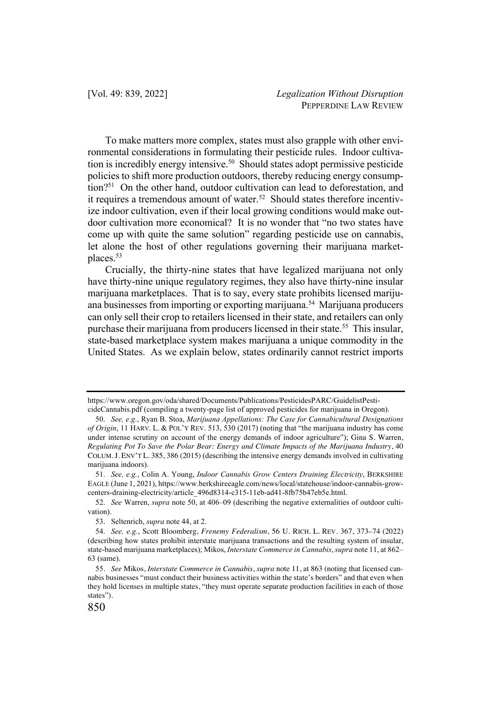To make matters more complex, states must also grapple with other environmental considerations in formulating their pesticide rules. Indoor cultivation is incredibly energy intensive.<sup>50</sup> Should states adopt permissive pesticide policies to shift more production outdoors, thereby reducing energy consumption?51 On the other hand, outdoor cultivation can lead to deforestation, and it requires a tremendous amount of water.<sup>52</sup> Should states therefore incentivize indoor cultivation, even if their local growing conditions would make outdoor cultivation more economical? It is no wonder that "no two states have come up with quite the same solution" regarding pesticide use on cannabis, let alone the host of other regulations governing their marijuana marketplaces.53

Crucially, the thirty-nine states that have legalized marijuana not only have thirty-nine unique regulatory regimes, they also have thirty-nine insular marijuana marketplaces. That is to say, every state prohibits licensed marijuana businesses from importing or exporting marijuana.<sup>54</sup> Marijuana producers can only sell their crop to retailers licensed in their state, and retailers can only purchase their marijuana from producers licensed in their state.<sup>55</sup> This insular, state-based marketplace system makes marijuana a unique commodity in the United States. As we explain below, states ordinarily cannot restrict imports

https://www.oregon.gov/oda/shared/Documents/Publications/PesticidesPARC/GuidelistPesticideCannabis.pdf (compiling a twenty-page list of approved pesticides for marijuana in Oregon).

<sup>50.</sup> *See, e.g.*, Ryan B. Stoa, *Marijuana Appellations: The Case for Cannabicultural Designations of Origin*, 11 HARV. L. & POL'Y REV. 513, 530 (2017) (noting that "the marijuana industry has come under intense scrutiny on account of the energy demands of indoor agriculture"); Gina S. Warren, *Regulating Pot To Save the Polar Bear: Energy and Climate Impacts of the Marijuana Industry*, 40 COLUM.J. ENV'T L. 385, 386 (2015) (describing the intensive energy demands involved in cultivating marijuana indoors).

<sup>51.</sup> *See, e.g.*, Colin A. Young, *Indoor Cannabis Grow Centers Draining Electricity*, BERKSHIRE EAGLE (June 1, 2021), https://www.berkshireeagle.com/news/local/statehouse/indoor-cannabis-growcenters-draining-electricity/article\_496d8314-c315-11eb-ad41-8fb75b47eb5e.html.

<sup>52.</sup> *See* Warren, *supra* note 50, at 406–09 (describing the negative externalities of outdoor cultivation).

<sup>53.</sup> Seltenrich, *supra* note 44, at 2.

<sup>54.</sup> *See, e.g.*, Scott Bloomberg, *Frenemy Federalism*, 56 U. RICH. L. REV. 367, 373–74 (2022) (describing how states prohibit interstate marijuana transactions and the resulting system of insular, state-based marijuana marketplaces); Mikos, *Interstate Commerce in Cannabis*, *supra* note 11, at 862– 63 (same).

<sup>55</sup>. *See* Mikos, *Interstate Commerce in Cannabis*, *supra* note 11, at 863 (noting that licensed cannabis businesses "must conduct their business activities within the state's borders" and that even when they hold licenses in multiple states, "they must operate separate production facilities in each of those states").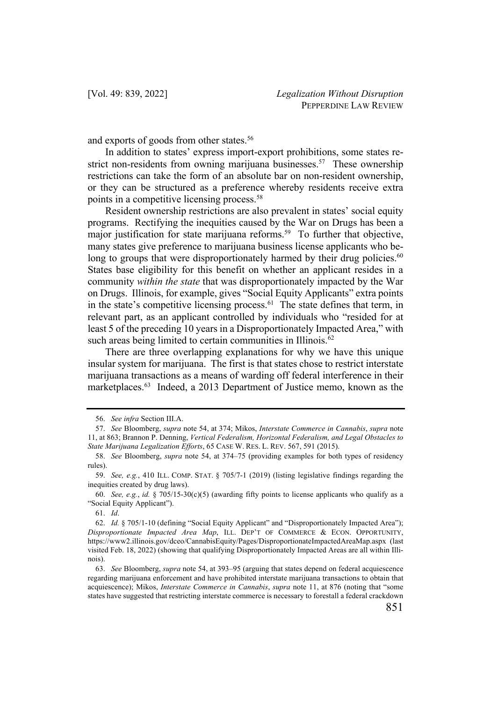and exports of goods from other states.<sup>56</sup>

In addition to states' express import-export prohibitions, some states restrict non-residents from owning marijuana businesses.<sup>57</sup> These ownership restrictions can take the form of an absolute bar on non-resident ownership, or they can be structured as a preference whereby residents receive extra points in a competitive licensing process.58

Resident ownership restrictions are also prevalent in states' social equity programs. Rectifying the inequities caused by the War on Drugs has been a major justification for state marijuana reforms.<sup>59</sup> To further that objective, many states give preference to marijuana business license applicants who belong to groups that were disproportionately harmed by their drug policies.<sup>60</sup> States base eligibility for this benefit on whether an applicant resides in a community *within the state* that was disproportionately impacted by the War on Drugs. Illinois, for example, gives "Social Equity Applicants" extra points in the state's competitive licensing process. $61$  The state defines that term, in relevant part, as an applicant controlled by individuals who "resided for at least 5 of the preceding 10 years in a Disproportionately Impacted Area," with such areas being limited to certain communities in Illinois.<sup>62</sup>

There are three overlapping explanations for why we have this unique insular system for marijuana. The first is that states chose to restrict interstate marijuana transactions as a means of warding off federal interference in their marketplaces.<sup>63</sup> Indeed, a 2013 Department of Justice memo, known as the

<sup>56.</sup> *See infra* Section III.A.

<sup>57.</sup> *See* Bloomberg, *supra* note 54, at 374; Mikos, *Interstate Commerce in Cannabis*, *supra* note 11, at 863; Brannon P. Denning, *Vertical Federalism, Horizontal Federalism, and Legal Obstacles to State Marijuana Legalization Efforts*, 65 CASE W. RES. L. REV. 567, 591 (2015).

<sup>58.</sup> *See* Bloomberg, *supra* note 54, at 374–75 (providing examples for both types of residency rules).

<sup>59.</sup> *See, e.g.*, 410 ILL. COMP. STAT. § 705/7-1 (2019) (listing legislative findings regarding the inequities created by drug laws).

<sup>60.</sup> *See, e.g.*, *id.* § 705/15-30(c)(5) (awarding fifty points to license applicants who qualify as a "Social Equity Applicant").

<sup>61.</sup> *Id*.

<sup>62.</sup> *Id.* § 705/1-10 (defining "Social Equity Applicant" and "Disproportionately Impacted Area"); *Disproportionate Impacted Area Map*, ILL. DEP'T OF COMMERCE & ECON. OPPORTUNITY, https://www2.illinois.gov/dceo/CannabisEquity/Pages/DisproportionateImpactedAreaMap.aspx (last visited Feb. 18, 2022) (showing that qualifying Disproportionately Impacted Areas are all within Illinois).

<sup>63.</sup> *See* Bloomberg, *supra* note 54, at 393–95 (arguing that states depend on federal acquiescence regarding marijuana enforcement and have prohibited interstate marijuana transactions to obtain that acquiescence); Mikos, *Interstate Commerce in Cannabis*, *supra* note 11, at 876 (noting that "some states have suggested that restricting interstate commerce is necessary to forestall a federal crackdown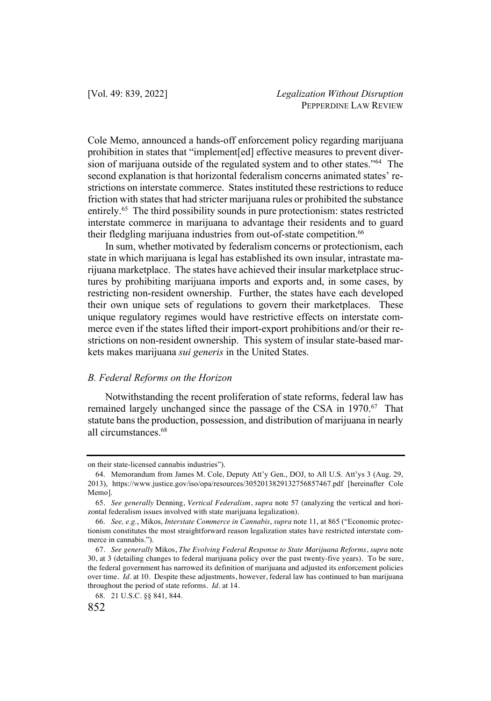Cole Memo, announced a hands-off enforcement policy regarding marijuana prohibition in states that "implement[ed] effective measures to prevent diversion of marijuana outside of the regulated system and to other states."<sup>64</sup> The second explanation is that horizontal federalism concerns animated states' restrictions on interstate commerce. States instituted these restrictions to reduce friction with states that had stricter marijuana rules or prohibited the substance entirely.<sup>65</sup> The third possibility sounds in pure protectionism: states restricted interstate commerce in marijuana to advantage their residents and to guard their fledgling marijuana industries from out-of-state competition.<sup>66</sup>

In sum, whether motivated by federalism concerns or protectionism, each state in which marijuana is legal has established its own insular, intrastate marijuana marketplace. The states have achieved their insular marketplace structures by prohibiting marijuana imports and exports and, in some cases, by restricting non-resident ownership. Further, the states have each developed their own unique sets of regulations to govern their marketplaces. These unique regulatory regimes would have restrictive effects on interstate commerce even if the states lifted their import-export prohibitions and/or their restrictions on non-resident ownership. This system of insular state-based markets makes marijuana *sui generis* in the United States.

#### *B. Federal Reforms on the Horizon*

Notwithstanding the recent proliferation of state reforms, federal law has remained largely unchanged since the passage of the CSA in 1970.<sup>67</sup> That statute bans the production, possession, and distribution of marijuana in nearly all circumstances.68

on their state-licensed cannabis industries").

<sup>64.</sup> Memorandum from James M. Cole, Deputy Att'y Gen., DOJ, to All U.S. Att'ys 3 (Aug. 29, 2013), https://www.justice.gov/iso/opa/resources/3052013829132756857467.pdf [hereinafter Cole Memo].

<sup>65</sup>. *See generally* Denning, *Vertical Federalism*, *supra* note 57 (analyzing the vertical and horizontal federalism issues involved with state marijuana legalization).

<sup>66.</sup> *See, e.g.*, Mikos, *Interstate Commerce in Cannabis*, *supra* note 11, at 865 ("Economic protectionism constitutes the most straightforward reason legalization states have restricted interstate commerce in cannabis.").

<sup>67</sup>. *See generally* Mikos, *The Evolving Federal Response to State Marijuana Reforms*, *supra* note 30, at 3 (detailing changes to federal marijuana policy over the past twenty-five years). To be sure, the federal government has narrowed its definition of marijuana and adjusted its enforcement policies over time. *Id.* at 10. Despite these adjustments, however, federal law has continued to ban marijuana throughout the period of state reforms. *Id.* at 14.

<sup>68.</sup> 21 U.S.C. §§ 841, 844.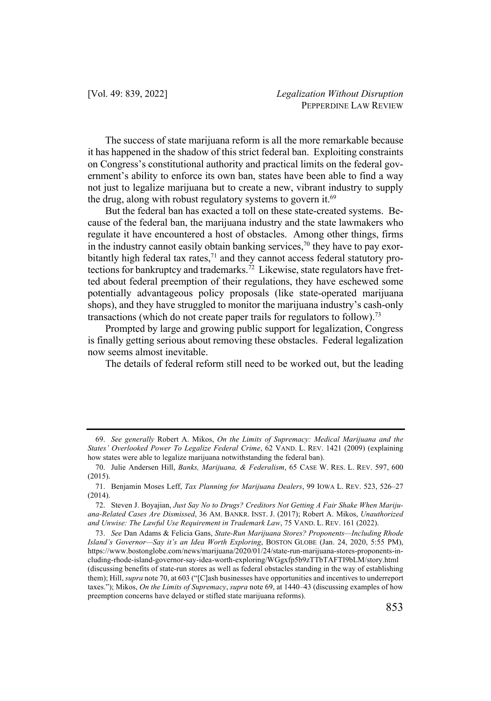The success of state marijuana reform is all the more remarkable because it has happened in the shadow of this strict federal ban. Exploiting constraints on Congress's constitutional authority and practical limits on the federal government's ability to enforce its own ban, states have been able to find a way not just to legalize marijuana but to create a new, vibrant industry to supply the drug, along with robust regulatory systems to govern it.<sup>69</sup>

But the federal ban has exacted a toll on these state-created systems. Because of the federal ban, the marijuana industry and the state lawmakers who regulate it have encountered a host of obstacles. Among other things, firms in the industry cannot easily obtain banking services,<sup>70</sup> they have to pay exorbitantly high federal tax rates, $71$  and they cannot access federal statutory protections for bankruptcy and trademarks.<sup>72</sup> Likewise, state regulators have fretted about federal preemption of their regulations, they have eschewed some potentially advantageous policy proposals (like state-operated marijuana shops), and they have struggled to monitor the marijuana industry's cash-only transactions (which do not create paper trails for regulators to follow). 73

Prompted by large and growing public support for legalization, Congress is finally getting serious about removing these obstacles. Federal legalization now seems almost inevitable.

The details of federal reform still need to be worked out, but the leading

<sup>69.</sup> *See generally* Robert A. Mikos, *On the Limits of Supremacy: Medical Marijuana and the States' Overlooked Power To Legalize Federal Crime*, 62 VAND. L. REV. 1421 (2009) (explaining how states were able to legalize marijuana notwithstanding the federal ban).

<sup>70.</sup> Julie Andersen Hill, *Banks, Marijuana, & Federalism*, 65 CASE W. RES. L. REV. 597, 600 (2015).

<sup>71.</sup> Benjamin Moses Leff, *Tax Planning for Marijuana Dealers*, 99 IOWA L. REV. 523, 526–27 (2014).

<sup>72.</sup> Steven J. Boyajian, *Just Say No to Drugs? Creditors Not Getting A Fair Shake When Marijuana-Related Cases Are Dismissed*, 36 AM. BANKR. INST. J. (2017); Robert A. Mikos, *Unauthorized and Unwise: The Lawful Use Requirement in Trademark Law*, 75 VAND. L. REV. 161 (2022).

<sup>73.</sup> *See* Dan Adams & Felicia Gans, *State-Run Marijuana Stores? Proponents—Including Rhode Island's Governor—Say it's an Idea Worth Exploring*, BOSTON GLOBE (Jan. 24, 2020, 5:55 PM), https://www.bostonglobe.com/news/marijuana/2020/01/24/state-run-marijuana-stores-proponents-including-rhode-island-governor-say-idea-worth-exploring/WGgxfp5b9zTTbTAFTI9bLM/story.html (discussing benefits of state-run stores as well as federal obstacles standing in the way of establishing them); Hill, *supra* note 70, at 603 ("[C]ash businesses have opportunities and incentives to underreport taxes."); Mikos, *On the Limits of Supremacy*, *supra* note 69, at 1440–43 (discussing examples of how preemption concerns have delayed or stifled state marijuana reforms).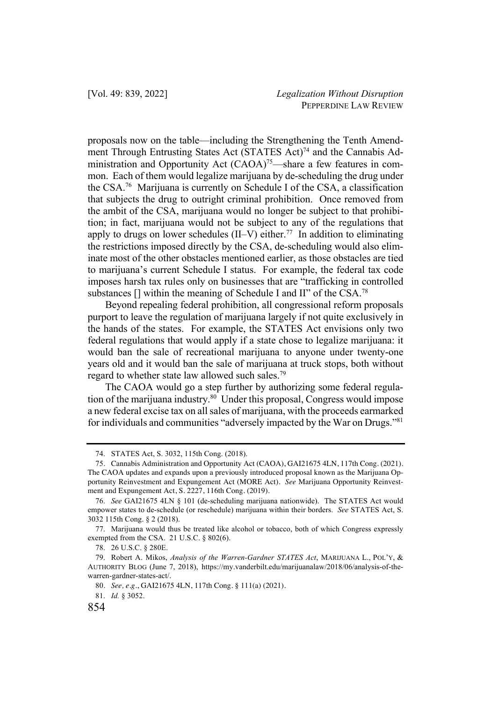proposals now on the table—including the Strengthening the Tenth Amendment Through Entrusting States Act (STATES Act)<sup>74</sup> and the Cannabis Administration and Opportunity Act (CAOA)<sup>75</sup>—share a few features in common. Each of them would legalize marijuana by de-scheduling the drug under the CSA.76 Marijuana is currently on Schedule I of the CSA, a classification that subjects the drug to outright criminal prohibition. Once removed from the ambit of the CSA, marijuana would no longer be subject to that prohibition; in fact, marijuana would not be subject to any of the regulations that apply to drugs on lower schedules (II–V) either.<sup>77</sup> In addition to eliminating the restrictions imposed directly by the CSA, de-scheduling would also eliminate most of the other obstacles mentioned earlier, as those obstacles are tied to marijuana's current Schedule I status. For example, the federal tax code imposes harsh tax rules only on businesses that are "trafficking in controlled substances  $\left[ \right]$  within the meaning of Schedule I and II" of the CSA.<sup>78</sup>

Beyond repealing federal prohibition, all congressional reform proposals purport to leave the regulation of marijuana largely if not quite exclusively in the hands of the states. For example, the STATES Act envisions only two federal regulations that would apply if a state chose to legalize marijuana: it would ban the sale of recreational marijuana to anyone under twenty-one years old and it would ban the sale of marijuana at truck stops, both without regard to whether state law allowed such sales.79

The CAOA would go a step further by authorizing some federal regulation of the marijuana industry.<sup>80</sup> Under this proposal, Congress would impose a new federal excise tax on all sales of marijuana, with the proceeds earmarked for individuals and communities "adversely impacted by the War on Drugs."81

81. *Id.* § 3052.

<sup>74.</sup> STATES Act, S. 3032, 115th Cong. (2018).

<sup>75</sup>. Cannabis Administration and Opportunity Act (CAOA), GAI21675 4LN, 117th Cong. (2021). The CAOA updates and expands upon a previously introduced proposal known as the Marijuana Opportunity Reinvestment and Expungement Act (MORE Act). *See* Marijuana Opportunity Reinvestment and Expungement Act, S. 2227, 116th Cong. (2019).

<sup>76.</sup> *See* GAI21675 4LN § 101 (de-scheduling marijuana nationwide). The STATES Act would empower states to de-schedule (or reschedule) marijuana within their borders. *See* STATES Act, S. 3032 115th Cong. § 2 (2018).

<sup>77.</sup> Marijuana would thus be treated like alcohol or tobacco, both of which Congress expressly exempted from the CSA. 21 U.S.C. § 802(6).

<sup>78.</sup> 26 U.S.C. § 280E.

<sup>79.</sup> Robert A. Mikos, *Analysis of the Warren-Gardner STATES Act*, MARIJUANA L., POL'Y, & AUTHORITY BLOG (June 7, 2018), https://my.vanderbilt.edu/marijuanalaw/2018/06/analysis-of-thewarren-gardner-states-act/.

<sup>80</sup>. *See, e.g.*, GAI21675 4LN, 117th Cong. § 111(a) (2021).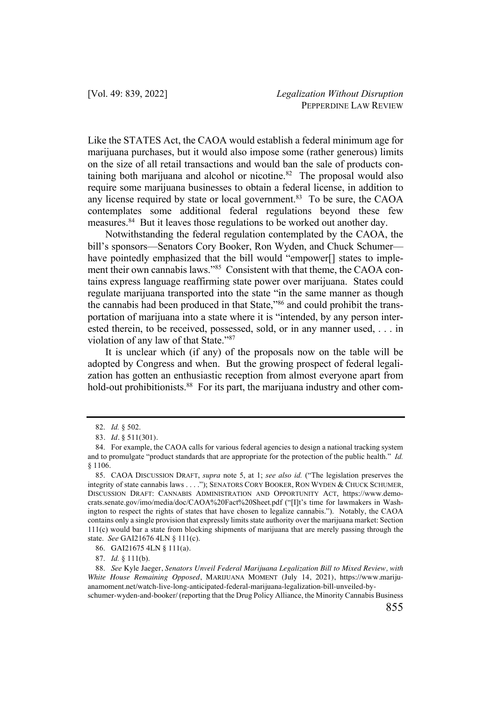Like the STATES Act, the CAOA would establish a federal minimum age for marijuana purchases, but it would also impose some (rather generous) limits on the size of all retail transactions and would ban the sale of products containing both marijuana and alcohol or nicotine. $82$  The proposal would also require some marijuana businesses to obtain a federal license, in addition to any license required by state or local government.<sup>83</sup> To be sure, the CAOA contemplates some additional federal regulations beyond these few measures.<sup>84</sup> But it leaves those regulations to be worked out another day.

Notwithstanding the federal regulation contemplated by the CAOA, the bill's sponsors—Senators Cory Booker, Ron Wyden, and Chuck Schumer have pointedly emphasized that the bill would "empower<sup>[]</sup> states to implement their own cannabis laws."85 Consistent with that theme, the CAOA contains express language reaffirming state power over marijuana. States could regulate marijuana transported into the state "in the same manner as though the cannabis had been produced in that State,"86 and could prohibit the transportation of marijuana into a state where it is "intended, by any person interested therein, to be received, possessed, sold, or in any manner used, . . . in violation of any law of that State."87

It is unclear which (if any) of the proposals now on the table will be adopted by Congress and when. But the growing prospect of federal legalization has gotten an enthusiastic reception from almost everyone apart from hold-out prohibitionists.<sup>88</sup> For its part, the marijuana industry and other com-

<sup>82.</sup> *Id.* § 502.

<sup>83</sup>. *Id.* § 511(301).

<sup>84.</sup> For example, the CAOA calls for various federal agencies to design a national tracking system and to promulgate "product standards that are appropriate for the protection of the public health." *Id.* § 1106.

<sup>85.</sup> CAOA DISCUSSION DRAFT, *supra* note 5, at 1; *see also id.* ("The legislation preserves the integrity of state cannabis laws . . . ."); SENATORS CORY BOOKER, RON WYDEN & CHUCK SCHUMER, DISCUSSION DRAFT: CANNABIS ADMINISTRATION AND OPPORTUNITY ACT, https://www.democrats.senate.gov/imo/media/doc/CAOA%20Fact%20Sheet.pdf ("[I]t's time for lawmakers in Washington to respect the rights of states that have chosen to legalize cannabis."). Notably, the CAOA contains only a single provision that expressly limits state authority over the marijuana market: Section 111(c) would bar a state from blocking shipments of marijuana that are merely passing through the state. *See* GAI21676 4LN § 111(c).

<sup>86.</sup> GAI21675 4LN § 111(a).

<sup>87.</sup> *Id.* § 111(b).

<sup>88.</sup> *See* Kyle Jaeger, *Senators Unveil Federal Marijuana Legalization Bill to Mixed Review, with White House Remaining Opposed*, MARIJUANA MOMENT (July 14, 2021), https://www.marijuanamoment.net/watch-live-long-anticipated-federal-marijuana-legalization-bill-unveiled-by-

schumer-wyden-and-booker/ (reporting that the Drug Policy Alliance, the Minority Cannabis Business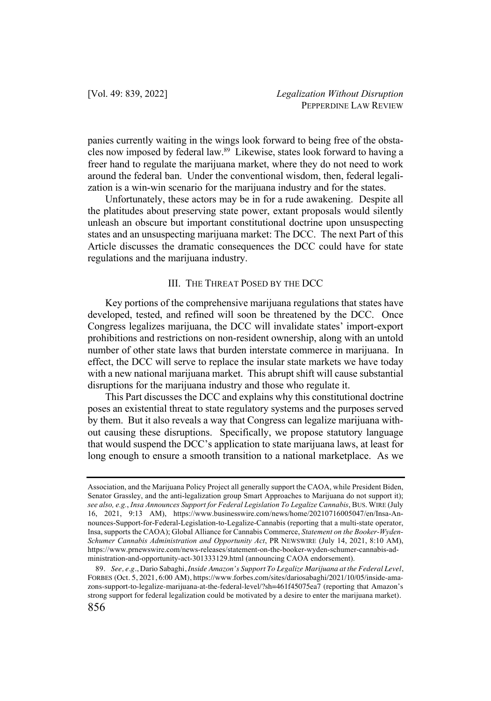panies currently waiting in the wings look forward to being free of the obstacles now imposed by federal law.89 Likewise, states look forward to having a freer hand to regulate the marijuana market, where they do not need to work around the federal ban. Under the conventional wisdom, then, federal legalization is a win-win scenario for the marijuana industry and for the states.

Unfortunately, these actors may be in for a rude awakening. Despite all the platitudes about preserving state power, extant proposals would silently unleash an obscure but important constitutional doctrine upon unsuspecting states and an unsuspecting marijuana market: The DCC. The next Part of this Article discusses the dramatic consequences the DCC could have for state regulations and the marijuana industry.

# III. THE THREAT POSED BY THE DCC

Key portions of the comprehensive marijuana regulations that states have developed, tested, and refined will soon be threatened by the DCC. Once Congress legalizes marijuana, the DCC will invalidate states' import-export prohibitions and restrictions on non-resident ownership, along with an untold number of other state laws that burden interstate commerce in marijuana. In effect, the DCC will serve to replace the insular state markets we have today with a new national marijuana market. This abrupt shift will cause substantial disruptions for the marijuana industry and those who regulate it.

This Part discusses the DCC and explains why this constitutional doctrine poses an existential threat to state regulatory systems and the purposes served by them. But it also reveals a way that Congress can legalize marijuana without causing these disruptions. Specifically, we propose statutory language that would suspend the DCC's application to state marijuana laws, at least for long enough to ensure a smooth transition to a national marketplace. As we

Association, and the Marijuana Policy Project all generally support the CAOA, while President Biden, Senator Grassley, and the anti-legalization group Smart Approaches to Marijuana do not support it); *see also, e.g.*, *Insa Announces Support for Federal Legislation To Legalize Cannabis*, BUS. WIRE (July 16, 2021, 9:13 AM), https://www.businesswire.com/news/home/20210716005047/en/Insa-Announces-Support-for-Federal-Legislation-to-Legalize-Cannabis (reporting that a multi-state operator, Insa, supports the CAOA); Global Alliance for Cannabis Commerce, *Statement on the Booker-Wyden-Schumer Cannabis Administration and Opportunity Act*, PR NEWSWIRE (July 14, 2021, 8:10 AM), https://www.prnewswire.com/news-releases/statement-on-the-booker-wyden-schumer-cannabis-administration-and-opportunity-act-301333129.html (announcing CAOA endorsement).

<sup>89</sup>. *See, e.g.*, Dario Sabaghi, *Inside Amazon's Support To Legalize Marijuana at the Federal Level*, FORBES (Oct. 5, 2021, 6:00 AM), https://www.forbes.com/sites/dariosabaghi/2021/10/05/inside-amazons-support-to-legalize-marijuana-at-the-federal-level/?sh=461f45075ea7 (reporting that Amazon's strong support for federal legalization could be motivated by a desire to enter the marijuana market).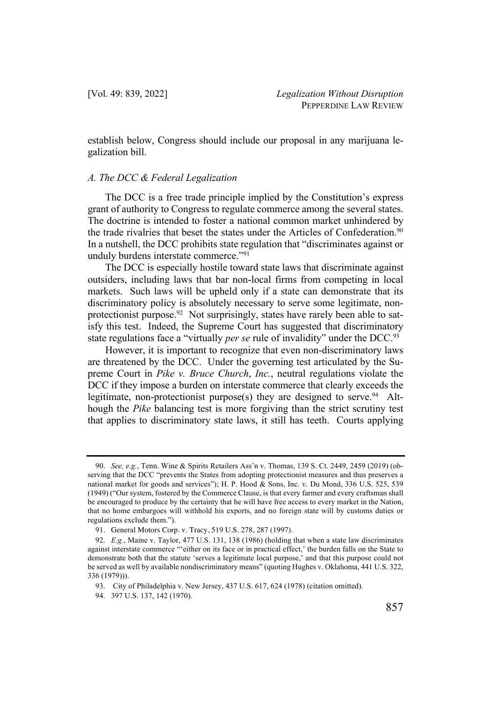establish below, Congress should include our proposal in any marijuana legalization bill.

#### *A. The DCC & Federal Legalization*

The DCC is a free trade principle implied by the Constitution's express grant of authority to Congress to regulate commerce among the several states. The doctrine is intended to foster a national common market unhindered by the trade rivalries that beset the states under the Articles of Confederation.<sup>90</sup> In a nutshell, the DCC prohibits state regulation that "discriminates against or unduly burdens interstate commerce."91

The DCC is especially hostile toward state laws that discriminate against outsiders, including laws that bar non-local firms from competing in local markets. Such laws will be upheld only if a state can demonstrate that its discriminatory policy is absolutely necessary to serve some legitimate, nonprotectionist purpose.<sup>92</sup> Not surprisingly, states have rarely been able to satisfy this test. Indeed, the Supreme Court has suggested that discriminatory state regulations face a "virtually *per se* rule of invalidity" under the DCC.<sup>93</sup>

However, it is important to recognize that even non-discriminatory laws are threatened by the DCC. Under the governing test articulated by the Supreme Court in *Pike v. Bruce Church*, *Inc.*, neutral regulations violate the DCC if they impose a burden on interstate commerce that clearly exceeds the legitimate, non-protectionist purpose(s) they are designed to serve. <sup>94</sup> Although the *Pike* balancing test is more forgiving than the strict scrutiny test that applies to discriminatory state laws, it still has teeth. Courts applying

<sup>90.</sup> *See, e.g.*, Tenn. Wine & Spirits Retailers Ass'n v. Thomas, 139 S. Ct. 2449, 2459 (2019) (observing that the DCC "prevents the States from adopting protectionist measures and thus preserves a national market for goods and services"); H. P. Hood & Sons, Inc. v. Du Mond, 336 U.S. 525, 539 (1949) ("Our system, fostered by the Commerce Clause, is that every farmer and every craftsman shall be encouraged to produce by the certainty that he will have free access to every market in the Nation, that no home embargoes will withhold his exports, and no foreign state will by customs duties or regulations exclude them.").

<sup>91</sup>. General Motors Corp. v. Tracy, 519 U.S. 278, 287 (1997).

<sup>92.</sup> *E.g.*, Maine v. Taylor, 477 U.S. 131, 138 (1986) (holding that when a state law discriminates against interstate commerce "'either on its face or in practical effect,' the burden falls on the State to demonstrate both that the statute 'serves a legitimate local purpose,' and that this purpose could not be served as well by available nondiscriminatory means" (quoting Hughes v. Oklahoma, 441 U.S. 322, 336 (1979))).

<sup>93.</sup> City of Philadelphia v. New Jersey, 437 U.S. 617, 624 (1978) (citation omitted).

<sup>94.</sup> 397 U.S. 137, 142 (1970).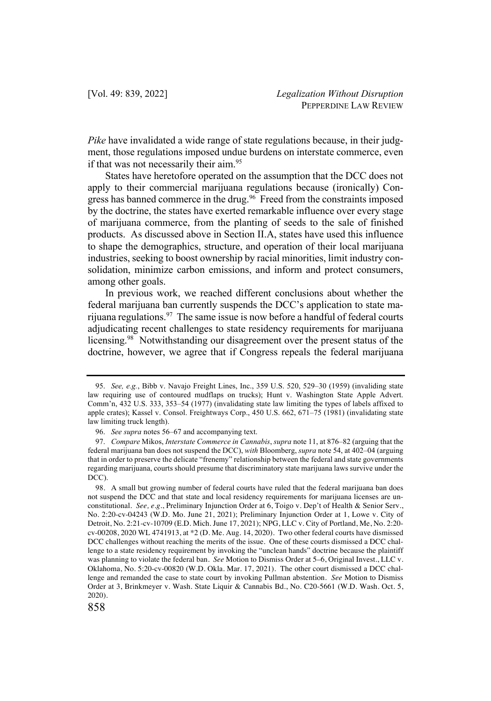*Pike* have invalidated a wide range of state regulations because, in their judgment, those regulations imposed undue burdens on interstate commerce, even if that was not necessarily their aim.<sup>95</sup>

States have heretofore operated on the assumption that the DCC does not apply to their commercial marijuana regulations because (ironically) Congress has banned commerce in the drug.<sup>96</sup> Freed from the constraints imposed by the doctrine, the states have exerted remarkable influence over every stage of marijuana commerce, from the planting of seeds to the sale of finished products. As discussed above in Section II.A, states have used this influence to shape the demographics, structure, and operation of their local marijuana industries, seeking to boost ownership by racial minorities, limit industry consolidation, minimize carbon emissions, and inform and protect consumers, among other goals.

In previous work, we reached different conclusions about whether the federal marijuana ban currently suspends the DCC's application to state marijuana regulations.<sup>97</sup> The same issue is now before a handful of federal courts adjudicating recent challenges to state residency requirements for marijuana licensing.98 Notwithstanding our disagreement over the present status of the doctrine, however, we agree that if Congress repeals the federal marijuana

<sup>95.</sup> *See, e.g.*, Bibb v. Navajo Freight Lines, Inc., 359 U.S. 520, 529–30 (1959) (invaliding state law requiring use of contoured mudflaps on trucks); Hunt v. Washington State Apple Advert. Comm'n, 432 U.S. 333, 353–54 (1977) (invalidating state law limiting the types of labels affixed to apple crates); Kassel v. Consol. Freightways Corp., 450 U.S. 662, 671–75 (1981) (invalidating state law limiting truck length).

<sup>96.</sup> *See supra* notes 56–67 and accompanying text.

<sup>97.</sup> *Compare* Mikos, *Interstate Commerce in Cannabis*, *supra* note 11, at 876–82 (arguing that the federal marijuana ban does not suspend the DCC), *with* Bloomberg, *supra* note 54, at 402–04 (arguing that in order to preserve the delicate "frenemy" relationship between the federal and state governments regarding marijuana, courts should presume that discriminatory state marijuana laws survive under the DCC).

<sup>98</sup>. A small but growing number of federal courts have ruled that the federal marijuana ban does not suspend the DCC and that state and local residency requirements for marijuana licenses are unconstitutional. *See, e.g.*, Preliminary Injunction Order at 6, Toigo v. Dep't of Health & Senior Serv., No. 2:20-cv-04243 (W.D. Mo. June 21, 2021); Preliminary Injunction Order at 1, Lowe v. City of Detroit, No. 2:21-cv-10709 (E.D. Mich. June 17, 2021); NPG, LLC v. City of Portland, Me, No. 2:20 cv-00208, 2020 WL 4741913, at \*2 (D. Me. Aug. 14, 2020). Two other federal courts have dismissed DCC challenges without reaching the merits of the issue. One of these courts dismissed a DCC challenge to a state residency requirement by invoking the "unclean hands" doctrine because the plaintiff was planning to violate the federal ban. *See* Motion to Dismiss Order at 5–6, Original Invest., LLC v. Oklahoma, No. 5:20-cv-00820 (W.D. Okla. Mar. 17, 2021). The other court dismissed a DCC challenge and remanded the case to state court by invoking Pullman abstention. *See* Motion to Dismiss Order at 3, Brinkmeyer v. Wash. State Liquir & Cannabis Bd., No. C20-5661 (W.D. Wash. Oct. 5, 2020).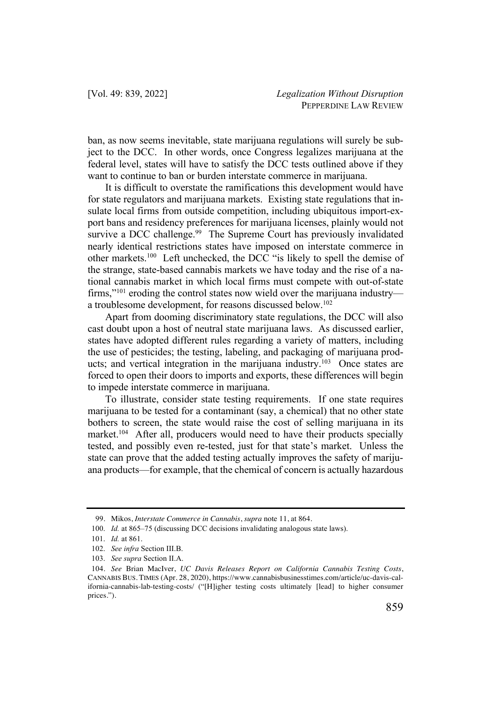ban, as now seems inevitable, state marijuana regulations will surely be subject to the DCC. In other words, once Congress legalizes marijuana at the federal level, states will have to satisfy the DCC tests outlined above if they want to continue to ban or burden interstate commerce in marijuana.

It is difficult to overstate the ramifications this development would have for state regulators and marijuana markets. Existing state regulations that insulate local firms from outside competition, including ubiquitous import-export bans and residency preferences for marijuana licenses, plainly would not survive a DCC challenge.<sup>99</sup> The Supreme Court has previously invalidated nearly identical restrictions states have imposed on interstate commerce in other markets.100 Left unchecked, the DCC "is likely to spell the demise of the strange, state-based cannabis markets we have today and the rise of a national cannabis market in which local firms must compete with out-of-state firms,"101 eroding the control states now wield over the marijuana industry a troublesome development, for reasons discussed below.<sup>102</sup>

Apart from dooming discriminatory state regulations, the DCC will also cast doubt upon a host of neutral state marijuana laws. As discussed earlier, states have adopted different rules regarding a variety of matters, including the use of pesticides; the testing, labeling, and packaging of marijuana products; and vertical integration in the marijuana industry.<sup>103</sup> Once states are forced to open their doors to imports and exports, these differences will begin to impede interstate commerce in marijuana.

To illustrate, consider state testing requirements. If one state requires marijuana to be tested for a contaminant (say, a chemical) that no other state bothers to screen, the state would raise the cost of selling marijuana in its market.<sup>104</sup> After all, producers would need to have their products specially tested, and possibly even re-tested, just for that state's market. Unless the state can prove that the added testing actually improves the safety of marijuana products—for example, that the chemical of concern is actually hazardous

<sup>99</sup>. Mikos, *Interstate Commerce in Cannabis*, *supra* note 11, at 864.

<sup>100.</sup> *Id.* at 865–75 (discussing DCC decisions invalidating analogous state laws).

<sup>101.</sup> *Id.* at 861.

<sup>102.</sup> *See infra* Section III.B.

<sup>103.</sup> *See supra* Section II.A.

<sup>104</sup>. *See* Brian MacIver, *UC Davis Releases Report on California Cannabis Testing Costs*, CANNABIS BUS. TIMES (Apr. 28, 2020), https://www.cannabisbusinesstimes.com/article/uc-davis-california-cannabis-lab-testing-costs/ ("[H]igher testing costs ultimately [lead] to higher consumer prices.").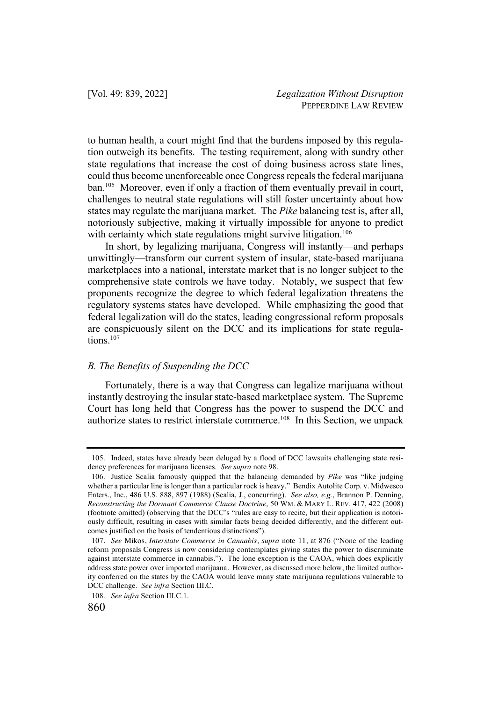to human health, a court might find that the burdens imposed by this regulation outweigh its benefits. The testing requirement, along with sundry other state regulations that increase the cost of doing business across state lines, could thus become unenforceable once Congress repeals the federal marijuana ban.<sup>105</sup> Moreover, even if only a fraction of them eventually prevail in court, challenges to neutral state regulations will still foster uncertainty about how states may regulate the marijuana market. The *Pike* balancing test is, after all, notoriously subjective, making it virtually impossible for anyone to predict with certainty which state regulations might survive litigation.<sup>106</sup>

In short, by legalizing marijuana, Congress will instantly—and perhaps unwittingly—transform our current system of insular, state-based marijuana marketplaces into a national, interstate market that is no longer subject to the comprehensive state controls we have today. Notably, we suspect that few proponents recognize the degree to which federal legalization threatens the regulatory systems states have developed. While emphasizing the good that federal legalization will do the states, leading congressional reform proposals are conspicuously silent on the DCC and its implications for state regulations.<sup>107</sup>

# *B. The Benefits of Suspending the DCC*

Fortunately, there is a way that Congress can legalize marijuana without instantly destroying the insular state-based marketplace system. The Supreme Court has long held that Congress has the power to suspend the DCC and authorize states to restrict interstate commerce.108 In this Section, we unpack

<sup>105.</sup> Indeed, states have already been deluged by a flood of DCC lawsuits challenging state residency preferences for marijuana licenses. *See supra* note 98.

<sup>106.</sup> Justice Scalia famously quipped that the balancing demanded by *Pike* was "like judging whether a particular line is longer than a particular rock is heavy." Bendix Autolite Corp. v. Midwesco Enters., Inc., 486 U.S. 888, 897 (1988) (Scalia, J., concurring). *See also, e.g.*, Brannon P. Denning, *Reconstructing the Dormant Commerce Clause Doctrine*, 50 WM. & MARY L. REV. 417, 422 (2008) (footnote omitted) (observing that the DCC's "rules are easy to recite, but their application is notoriously difficult, resulting in cases with similar facts being decided differently, and the different outcomes justified on the basis of tendentious distinctions").

<sup>107</sup>. *See* Mikos, *Interstate Commerce in Cannabis*, *supra* note 11, at 876 ("None of the leading reform proposals Congress is now considering contemplates giving states the power to discriminate against interstate commerce in cannabis."). The lone exception is the CAOA, which does explicitly address state power over imported marijuana. However, as discussed more below, the limited authority conferred on the states by the CAOA would leave many state marijuana regulations vulnerable to DCC challenge. *See infra* Section III.C.

<sup>108.</sup> *See infra* Section III.C.1.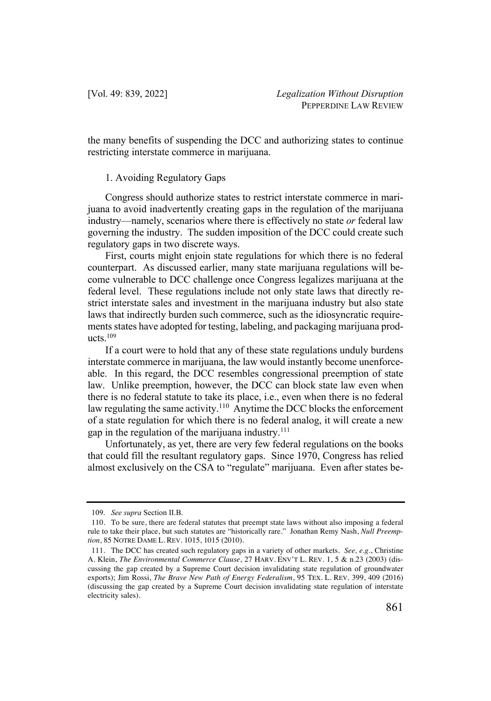the many benefits of suspending the DCC and authorizing states to continue restricting interstate commerce in marijuana.

## 1. Avoiding Regulatory Gaps

Congress should authorize states to restrict interstate commerce in marijuana to avoid inadvertently creating gaps in the regulation of the marijuana industry—namely, scenarios where there is effectively no state *or* federal law governing the industry. The sudden imposition of the DCC could create such regulatory gaps in two discrete ways.

First, courts might enjoin state regulations for which there is no federal counterpart. As discussed earlier, many state marijuana regulations will become vulnerable to DCC challenge once Congress legalizes marijuana at the federal level. These regulations include not only state laws that directly restrict interstate sales and investment in the marijuana industry but also state laws that indirectly burden such commerce, such as the idiosyncratic requirements states have adopted for testing, labeling, and packaging marijuana products.109

If a court were to hold that any of these state regulations unduly burdens interstate commerce in marijuana, the law would instantly become unenforceable. In this regard, the DCC resembles congressional preemption of state law. Unlike preemption, however, the DCC can block state law even when there is no federal statute to take its place, i.e., even when there is no federal law regulating the same activity.<sup>110</sup> Anytime the DCC blocks the enforcement of a state regulation for which there is no federal analog, it will create a new gap in the regulation of the marijuana industry. $111$ 

Unfortunately, as yet, there are very few federal regulations on the books that could fill the resultant regulatory gaps. Since 1970, Congress has relied almost exclusively on the CSA to "regulate" marijuana. Even after states be-

<sup>109.</sup> *See supra* Section II.B.

<sup>110.</sup> To be sure, there are federal statutes that preempt state laws without also imposing a federal rule to take their place, but such statutes are "historically rare." Jonathan Remy Nash, *Null Preemption*, 85 NOTRE DAME L. REV. 1015, 1015 (2010).

<sup>111</sup>. The DCC has created such regulatory gaps in a variety of other markets. *See, e.g.*, Christine A. Klein, *The Environmental Commerce Clause*, 27 HARV. ENV'T L. REV. 1, 5 & n.23 (2003) (discussing the gap created by a Supreme Court decision invalidating state regulation of groundwater exports); Jim Rossi, *The Brave New Path of Energy Federalism*, 95 TEX. L. REV. 399, 409 (2016) (discussing the gap created by a Supreme Court decision invalidating state regulation of interstate electricity sales).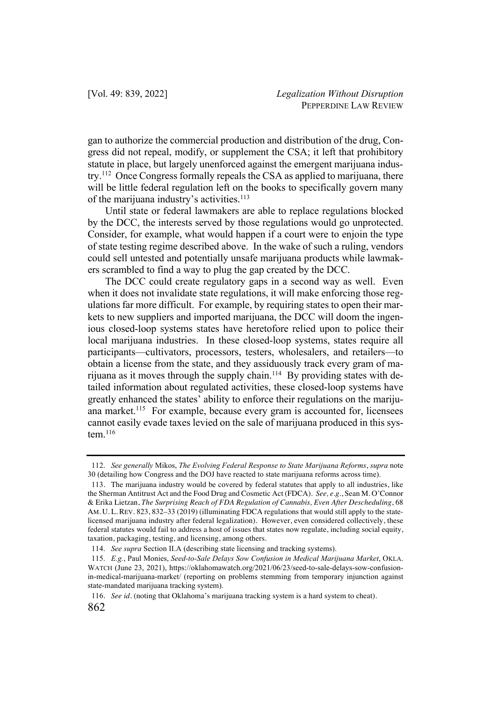gan to authorize the commercial production and distribution of the drug, Congress did not repeal, modify, or supplement the CSA; it left that prohibitory statute in place, but largely unenforced against the emergent marijuana industry.112 Once Congress formally repeals the CSA as applied to marijuana, there will be little federal regulation left on the books to specifically govern many of the marijuana industry's activities.<sup>113</sup>

Until state or federal lawmakers are able to replace regulations blocked by the DCC, the interests served by those regulations would go unprotected. Consider, for example, what would happen if a court were to enjoin the type of state testing regime described above. In the wake of such a ruling, vendors could sell untested and potentially unsafe marijuana products while lawmakers scrambled to find a way to plug the gap created by the DCC.

The DCC could create regulatory gaps in a second way as well. Even when it does not invalidate state regulations, it will make enforcing those regulations far more difficult. For example, by requiring states to open their markets to new suppliers and imported marijuana, the DCC will doom the ingenious closed-loop systems states have heretofore relied upon to police their local marijuana industries. In these closed-loop systems, states require all participants—cultivators, processors, testers, wholesalers, and retailers—to obtain a license from the state, and they assiduously track every gram of marijuana as it moves through the supply chain.<sup>114</sup> By providing states with detailed information about regulated activities, these closed-loop systems have greatly enhanced the states' ability to enforce their regulations on the marijuana market.<sup>115</sup> For example, because every gram is accounted for, licensees cannot easily evade taxes levied on the sale of marijuana produced in this system.116

<sup>112.</sup> *See generally* Mikos, *The Evolving Federal Response to State Marijuana Reforms*, *supra* note 30 (detailing how Congress and the DOJ have reacted to state marijuana reforms across time).

<sup>113</sup>. The marijuana industry would be covered by federal statutes that apply to all industries, like the Sherman Antitrust Act and the Food Drug and Cosmetic Act (FDCA). *See, e.g.*, Sean M. O'Connor & Erika Lietzan, *The Surprising Reach of FDA Regulation of Cannabis, Even After Descheduling*, 68 AM. U. L. REV. 823, 832–33 (2019) (illuminating FDCA regulations that would still apply to the statelicensed marijuana industry after federal legalization). However, even considered collectively, these federal statutes would fail to address a host of issues that states now regulate, including social equity, taxation, packaging, testing, and licensing, among others.

<sup>114.</sup> *See supra* Section II.A (describing state licensing and tracking systems).

<sup>115.</sup> *E.g.*, Paul Monies, *Seed-to-Sale Delays Sow Confusion in Medical Marijuana Market*, OKLA. WATCH (June 23, 2021), https://oklahomawatch.org/2021/06/23/seed-to-sale-delays-sow-confusionin-medical-marijuana-market/ (reporting on problems stemming from temporary injunction against state-mandated marijuana tracking system).

<sup>116</sup>. *See id.* (noting that Oklahoma's marijuana tracking system is a hard system to cheat).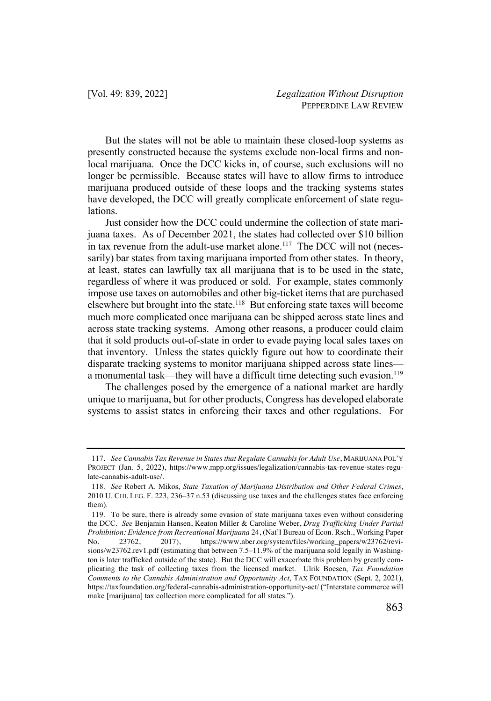But the states will not be able to maintain these closed-loop systems as presently constructed because the systems exclude non-local firms and nonlocal marijuana. Once the DCC kicks in, of course, such exclusions will no longer be permissible. Because states will have to allow firms to introduce marijuana produced outside of these loops and the tracking systems states have developed, the DCC will greatly complicate enforcement of state regulations.

Just consider how the DCC could undermine the collection of state marijuana taxes. As of December 2021, the states had collected over \$10 billion in tax revenue from the adult-use market alone.<sup>117</sup> The DCC will not (necessarily) bar states from taxing marijuana imported from other states. In theory, at least, states can lawfully tax all marijuana that is to be used in the state, regardless of where it was produced or sold. For example, states commonly impose use taxes on automobiles and other big-ticket items that are purchased elsewhere but brought into the state.118 But enforcing state taxes will become much more complicated once marijuana can be shipped across state lines and across state tracking systems. Among other reasons, a producer could claim that it sold products out-of-state in order to evade paying local sales taxes on that inventory. Unless the states quickly figure out how to coordinate their disparate tracking systems to monitor marijuana shipped across state lines a monumental task—they will have a difficult time detecting such evasion.<sup>119</sup>

The challenges posed by the emergence of a national market are hardly unique to marijuana, but for other products, Congress has developed elaborate systems to assist states in enforcing their taxes and other regulations. For

<sup>117</sup>. *See Cannabis Tax Revenue in States that Regulate Cannabis for Adult Use*, MARIJUANA POL'Y PROJECT (Jan. 5, 2022), https://www.mpp.org/issues/legalization/cannabis-tax-revenue-states-regulate-cannabis-adult-use/.

<sup>118.</sup> *See* Robert A. Mikos, *State Taxation of Marijuana Distribution and Other Federal Crimes*, 2010 U. CHI. LEG. F. 223, 236–37 n.53 (discussing use taxes and the challenges states face enforcing them).

<sup>119.</sup> To be sure, there is already some evasion of state marijuana taxes even without considering the DCC. *See* Benjamin Hansen, Keaton Miller & Caroline Weber, *Drug Trafficking Under Partial Prohibition: Evidence from Recreational Marijuana* 24, (Nat'l Bureau of Econ. Rsch., Working Paper No. 23762, 2017), https://www.nber.org/system/files/working\_papers/w23762/revi-No. 23762, 2017), https://www.nber.org/system/files/working\_papers/w23762/revisions/w23762.rev1.pdf (estimating that between 7.5–11.9% of the marijuana sold legally in Washington is later trafficked outside of the state). But the DCC will exacerbate this problem by greatly complicating the task of collecting taxes from the licensed market. Ulrik Boesen, *Tax Foundation Comments to the Cannabis Administration and Opportunity Act*, TAX FOUNDATION (Sept. 2, 2021), https://taxfoundation.org/federal-cannabis-administration-opportunity-act/ ("Interstate commerce will make [marijuana] tax collection more complicated for all states.").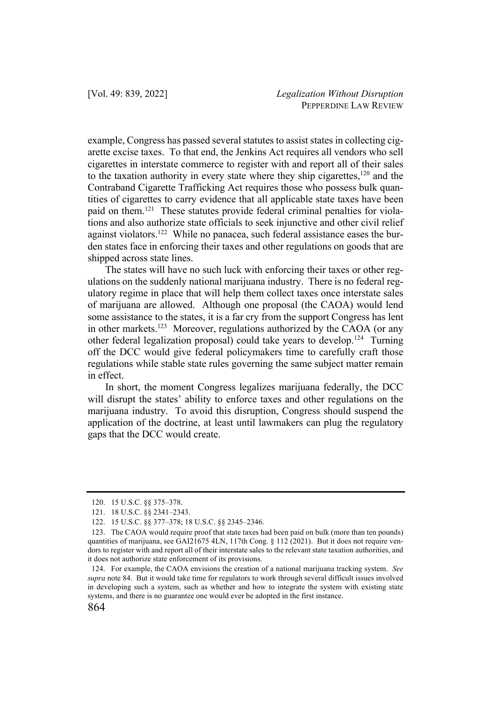example, Congress has passed several statutes to assist states in collecting cigarette excise taxes. To that end, the Jenkins Act requires all vendors who sell cigarettes in interstate commerce to register with and report all of their sales to the taxation authority in every state where they ship cigarettes, $120$  and the Contraband Cigarette Trafficking Act requires those who possess bulk quantities of cigarettes to carry evidence that all applicable state taxes have been paid on them.121 These statutes provide federal criminal penalties for violations and also authorize state officials to seek injunctive and other civil relief against violators.<sup>122</sup> While no panacea, such federal assistance eases the burden states face in enforcing their taxes and other regulations on goods that are shipped across state lines.

The states will have no such luck with enforcing their taxes or other regulations on the suddenly national marijuana industry. There is no federal regulatory regime in place that will help them collect taxes once interstate sales of marijuana are allowed. Although one proposal (the CAOA) would lend some assistance to the states, it is a far cry from the support Congress has lent in other markets.<sup>123</sup> Moreover, regulations authorized by the CAOA (or any other federal legalization proposal) could take years to develop.124 Turning off the DCC would give federal policymakers time to carefully craft those regulations while stable state rules governing the same subject matter remain in effect.

In short, the moment Congress legalizes marijuana federally, the DCC will disrupt the states' ability to enforce taxes and other regulations on the marijuana industry. To avoid this disruption, Congress should suspend the application of the doctrine, at least until lawmakers can plug the regulatory gaps that the DCC would create.

<sup>120.</sup> 15 U.S.C. §§ 375–378.

<sup>121.</sup> 18 U.S.C. §§ 2341–2343.

<sup>122.</sup> 15 U.S.C. §§ 377–378; 18 U.S.C. §§ 2345–2346.

<sup>123.</sup> The CAOA would require proof that state taxes had been paid on bulk (more than ten pounds) quantities of marijuana, see GAI21675 4LN, 117th Cong. § 112 (2021). But it does not require vendors to register with and report all of their interstate sales to the relevant state taxation authorities, and it does not authorize state enforcement of its provisions.

<sup>124.</sup> For example, the CAOA envisions the creation of a national marijuana tracking system. *See supra* note 84. But it would take time for regulators to work through several difficult issues involved in developing such a system, such as whether and how to integrate the system with existing state systems, and there is no guarantee one would ever be adopted in the first instance.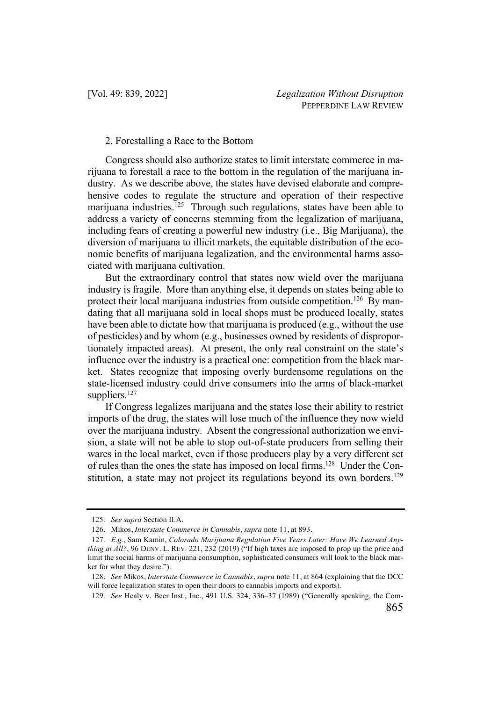## 2. Forestalling a Race to the Bottom

Congress should also authorize states to limit interstate commerce in marijuana to forestall a race to the bottom in the regulation of the marijuana industry. As we describe above, the states have devised elaborate and comprehensive codes to regulate the structure and operation of their respective marijuana industries.<sup>125</sup> Through such regulations, states have been able to address a variety of concerns stemming from the legalization of marijuana, including fears of creating a powerful new industry (i.e., Big Marijuana), the diversion of marijuana to illicit markets, the equitable distribution of the economic benefits of marijuana legalization, and the environmental harms associated with marijuana cultivation.

But the extraordinary control that states now wield over the marijuana industry is fragile. More than anything else, it depends on states being able to protect their local marijuana industries from outside competition.<sup>126</sup> By mandating that all marijuana sold in local shops must be produced locally, states have been able to dictate how that marijuana is produced (e.g., without the use of pesticides) and by whom (e.g., businesses owned by residents of disproportionately impacted areas). At present, the only real constraint on the state's influence over the industry is a practical one: competition from the black market. States recognize that imposing overly burdensome regulations on the state-licensed industry could drive consumers into the arms of black-market suppliers. $127$ 

If Congress legalizes marijuana and the states lose their ability to restrict imports of the drug, the states will lose much of the influence they now wield over the marijuana industry. Absent the congressional authorization we envision, a state will not be able to stop out-of-state producers from selling their wares in the local market, even if those producers play by a very different set of rules than the ones the state has imposed on local firms.128 Under the Constitution, a state may not project its regulations beyond its own borders.<sup>129</sup>

<sup>125.</sup> *See supra* Section II.A.

<sup>126</sup>. Mikos, *Interstate Commerce in Cannabis*, *supra* note 11, at 893.

<sup>127.</sup> *E.g.*, Sam Kamin, *Colorado Marijuana Regulation Five Years Later: Have We Learned Anything at All?*, 96 DENV. L. REV. 221, 232 (2019) ("If high taxes are imposed to prop up the price and limit the social harms of marijuana consumption, sophisticated consumers will look to the black market for what they desire.").

<sup>128</sup>. *See* Mikos, *Interstate Commerce in Cannabis*, *supra* note 11, at 864 (explaining that the DCC will force legalization states to open their doors to cannabis imports and exports).

<sup>129.</sup> *See* Healy v. Beer Inst., Inc., 491 U.S. 324, 336–37 (1989) ("Generally speaking, the Com-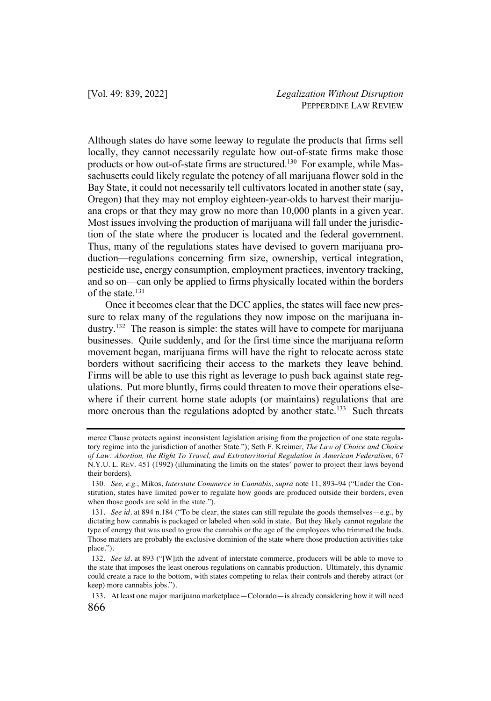Although states do have some leeway to regulate the products that firms sell locally, they cannot necessarily regulate how out-of-state firms make those products or how out-of-state firms are structured.<sup>130</sup> For example, while Massachusetts could likely regulate the potency of all marijuana flower sold in the Bay State, it could not necessarily tell cultivators located in another state (say, Oregon) that they may not employ eighteen-year-olds to harvest their marijuana crops or that they may grow no more than 10,000 plants in a given year. Most issues involving the production of marijuana will fall under the jurisdiction of the state where the producer is located and the federal government. Thus, many of the regulations states have devised to govern marijuana production—regulations concerning firm size, ownership, vertical integration, pesticide use, energy consumption, employment practices, inventory tracking, and so on—can only be applied to firms physically located within the borders of the state.<sup>131</sup>

Once it becomes clear that the DCC applies, the states will face new pressure to relax many of the regulations they now impose on the marijuana industry.132 The reason is simple: the states will have to compete for marijuana businesses. Quite suddenly, and for the first time since the marijuana reform movement began, marijuana firms will have the right to relocate across state borders without sacrificing their access to the markets they leave behind. Firms will be able to use this right as leverage to push back against state regulations. Put more bluntly, firms could threaten to move their operations elsewhere if their current home state adopts (or maintains) regulations that are more onerous than the regulations adopted by another state.<sup>133</sup> Such threats

merce Clause protects against inconsistent legislation arising from the projection of one state regulatory regime into the jurisdiction of another State."); Seth F. Kreimer, *The Law of Choice and Choice of Law: Abortion, the Right To Travel, and Extraterritorial Regulation in American Federalism*, 67 N.Y.U. L. REV. 451 (1992) (illuminating the limits on the states' power to project their laws beyond their borders).

<sup>130.</sup> *See, e.g.*, Mikos, *Interstate Commerce in Cannabis*, *supra* note 11, 893–94 ("Under the Constitution, states have limited power to regulate how goods are produced outside their borders, even when those goods are sold in the state.").

<sup>131</sup>. *See id.* at 894 n.184 ("To be clear, the states can still regulate the goods themselves—e.g., by dictating how cannabis is packaged or labeled when sold in state. But they likely cannot regulate the type of energy that was used to grow the cannabis or the age of the employees who trimmed the buds. Those matters are probably the exclusive dominion of the state where those production activities take place.").

<sup>132</sup>. *See id.* at 893 ("[W]ith the advent of interstate commerce, producers will be able to move to the state that imposes the least onerous regulations on cannabis production. Ultimately, this dynamic could create a race to the bottom, with states competing to relax their controls and thereby attract (or keep) more cannabis jobs.").

<sup>133</sup>. At least one major marijuana marketplace—Colorado—is already considering how it will need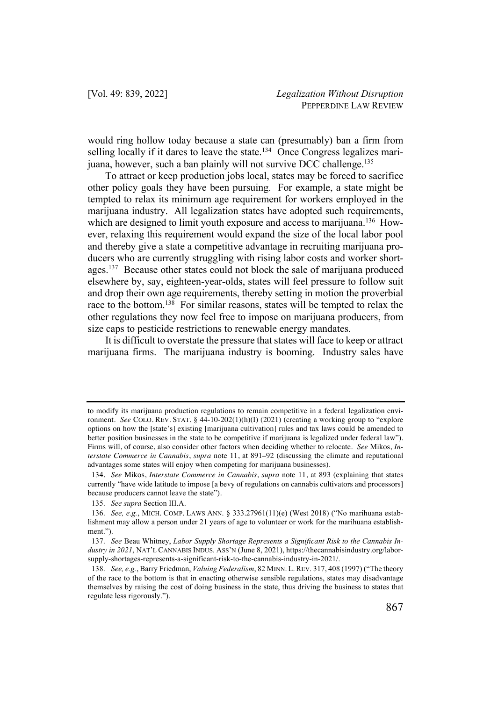would ring hollow today because a state can (presumably) ban a firm from selling locally if it dares to leave the state.<sup>134</sup> Once Congress legalizes marijuana, however, such a ban plainly will not survive DCC challenge.<sup>135</sup>

To attract or keep production jobs local, states may be forced to sacrifice other policy goals they have been pursuing. For example, a state might be tempted to relax its minimum age requirement for workers employed in the marijuana industry. All legalization states have adopted such requirements, which are designed to limit youth exposure and access to marijuana.<sup>136</sup> However, relaxing this requirement would expand the size of the local labor pool and thereby give a state a competitive advantage in recruiting marijuana producers who are currently struggling with rising labor costs and worker shortages.137 Because other states could not block the sale of marijuana produced elsewhere by, say, eighteen-year-olds, states will feel pressure to follow suit and drop their own age requirements, thereby setting in motion the proverbial race to the bottom.<sup>138</sup> For similar reasons, states will be tempted to relax the other regulations they now feel free to impose on marijuana producers, from size caps to pesticide restrictions to renewable energy mandates.

It is difficult to overstate the pressure that states will face to keep or attract marijuana firms. The marijuana industry is booming. Industry sales have

to modify its marijuana production regulations to remain competitive in a federal legalization environment. *See* COLO. REV. STAT. § 44-10-202(1)(h)(I) (2021) (creating a working group to "explore" options on how the [state's] existing [marijuana cultivation] rules and tax laws could be amended to better position businesses in the state to be competitive if marijuana is legalized under federal law"). Firms will, of course, also consider other factors when deciding whether to relocate. *See* Mikos, *Interstate Commerce in Cannabis*, *supra* note 11, at 891–92 (discussing the climate and reputational advantages some states will enjoy when competing for marijuana businesses).

<sup>134</sup>. *See* Mikos, *Interstate Commerce in Cannabis*, *supra* note 11, at 893 (explaining that states currently "have wide latitude to impose [a bevy of regulations on cannabis cultivators and processors] because producers cannot leave the state").

<sup>135.</sup> *See supra* Section III.A.

<sup>136.</sup> *See, e.g.*, MICH. COMP. LAWS ANN. § 333.27961(11)(e) (West 2018) ("No marihuana establishment may allow a person under 21 years of age to volunteer or work for the marihuana establishment.").

<sup>137.</sup> *See* Beau Whitney, *Labor Supply Shortage Represents a Significant Risk to the Cannabis Industry in 2021*, NAT'L CANNABIS INDUS. ASS'N (June 8, 2021), https://thecannabisindustry.org/laborsupply-shortages-represents-a-significant-risk-to-the-cannabis-industry-in-2021/.

<sup>138.</sup> *See, e.g.*, Barry Friedman, *Valuing Federalism*, 82 MINN. L.REV. 317, 408 (1997) ("The theory of the race to the bottom is that in enacting otherwise sensible regulations, states may disadvantage themselves by raising the cost of doing business in the state, thus driving the business to states that regulate less rigorously.").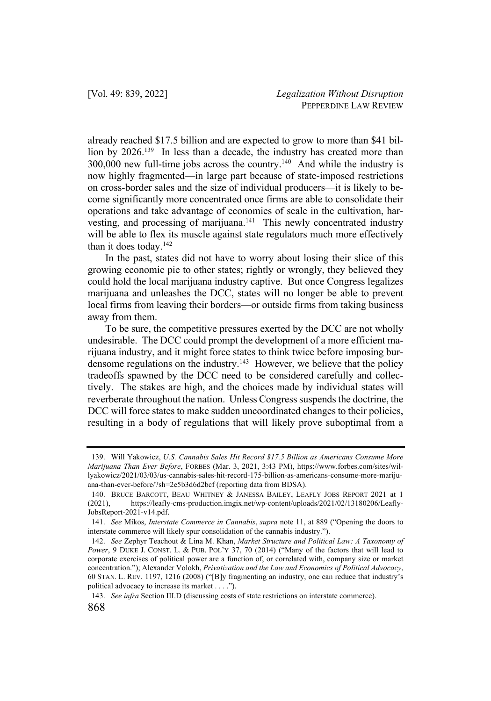already reached \$17.5 billion and are expected to grow to more than \$41 billion by 2026.<sup>139</sup> In less than a decade, the industry has created more than  $300,000$  new full-time jobs across the country.<sup>140</sup> And while the industry is now highly fragmented—in large part because of state-imposed restrictions on cross-border sales and the size of individual producers—it is likely to become significantly more concentrated once firms are able to consolidate their operations and take advantage of economies of scale in the cultivation, harvesting, and processing of marijuana.<sup>141</sup> This newly concentrated industry will be able to flex its muscle against state regulators much more effectively than it does today.142

In the past, states did not have to worry about losing their slice of this growing economic pie to other states; rightly or wrongly, they believed they could hold the local marijuana industry captive. But once Congress legalizes marijuana and unleashes the DCC, states will no longer be able to prevent local firms from leaving their borders—or outside firms from taking business away from them.

To be sure, the competitive pressures exerted by the DCC are not wholly undesirable. The DCC could prompt the development of a more efficient marijuana industry, and it might force states to think twice before imposing burdensome regulations on the industry.<sup>143</sup> However, we believe that the policy tradeoffs spawned by the DCC need to be considered carefully and collectively. The stakes are high, and the choices made by individual states will reverberate throughout the nation. Unless Congress suspends the doctrine, the DCC will force states to make sudden uncoordinated changes to their policies, resulting in a body of regulations that will likely prove suboptimal from a

143. *See infra* Section III.D (discussing costs of state restrictions on interstate commerce).

<sup>139.</sup> Will Yakowicz, *U.S. Cannabis Sales Hit Record \$17.5 Billion as Americans Consume More Marijuana Than Ever Before*, FORBES (Mar. 3, 2021, 3:43 PM), https://www.forbes.com/sites/willyakowicz/2021/03/03/us-cannabis-sales-hit-record-175-billion-as-americans-consume-more-marijuana-than-ever-before/?sh=2e5b3d6d2bcf (reporting data from BDSA).

<sup>140.</sup> BRUCE BARCOTT, BEAU WHITNEY & JANESSA BAILEY, LEAFLY JOBS REPORT 2021 at 1 (2021), https://leafly-cms-production.imgix.net/wp-content/uploads/2021/02/13180206/Leafly-JobsReport-2021-v14.pdf.

<sup>141.</sup> *See* Mikos, *Interstate Commerce in Cannabis*, *supra* note 11, at 889 ("Opening the doors to interstate commerce will likely spur consolidation of the cannabis industry.").

<sup>142.</sup> *See* Zephyr Teachout & Lina M. Khan, *Market Structure and Political Law: A Taxonomy of Power*, 9 DUKE J. CONST. L. & PUB. POL'Y 37, 70 (2014) ("Many of the factors that will lead to corporate exercises of political power are a function of, or correlated with, company size or market concentration."); Alexander Volokh, *Privatization and the Law and Economics of Political Advocacy*, 60 STAN. L. REV. 1197, 1216 (2008) ("[B]y fragmenting an industry, one can reduce that industry's political advocacy to increase its market . . . .").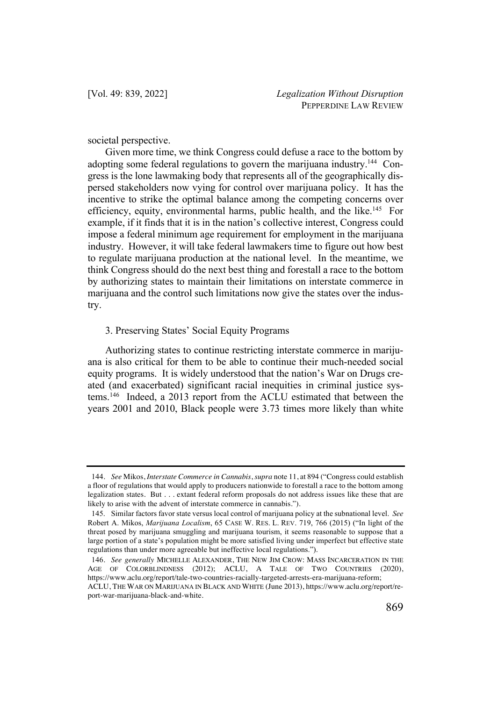societal perspective.

Given more time, we think Congress could defuse a race to the bottom by adopting some federal regulations to govern the marijuana industry.<sup>144</sup> Congress is the lone lawmaking body that represents all of the geographically dispersed stakeholders now vying for control over marijuana policy. It has the incentive to strike the optimal balance among the competing concerns over efficiency, equity, environmental harms, public health, and the like.<sup>145</sup> For example, if it finds that it is in the nation's collective interest, Congress could impose a federal minimum age requirement for employment in the marijuana industry. However, it will take federal lawmakers time to figure out how best to regulate marijuana production at the national level. In the meantime, we think Congress should do the next best thing and forestall a race to the bottom by authorizing states to maintain their limitations on interstate commerce in marijuana and the control such limitations now give the states over the industry.

# 3. Preserving States' Social Equity Programs

Authorizing states to continue restricting interstate commerce in marijuana is also critical for them to be able to continue their much-needed social equity programs. It is widely understood that the nation's War on Drugs created (and exacerbated) significant racial inequities in criminal justice systems.146 Indeed, a 2013 report from the ACLU estimated that between the years 2001 and 2010, Black people were 3.73 times more likely than white

<sup>144</sup>. *See* Mikos, *Interstate Commerce in Cannabis*, *supra* note 11, at 894 ("Congress could establish a floor of regulations that would apply to producers nationwide to forestall a race to the bottom among legalization states. But . . . extant federal reform proposals do not address issues like these that are likely to arise with the advent of interstate commerce in cannabis.").

<sup>145.</sup> Similar factors favor state versus local control of marijuana policy at the subnational level. *See* Robert A. Mikos, *Marijuana Localism*, 65 CASE W. RES. L. REV. 719, 766 (2015) ("In light of the threat posed by marijuana smuggling and marijuana tourism, it seems reasonable to suppose that a large portion of a state's population might be more satisfied living under imperfect but effective state regulations than under more agreeable but ineffective local regulations.").

<sup>146</sup>. *See generally* MICHELLE ALEXANDER, THE NEW JIM CROW: MASS INCARCERATION IN THE AGE OF COLORBLINDNESS (2012); ACLU, A TALE OF TWO COUNTRIES (2020), https://www.aclu.org/report/tale-two-countries-racially-targeted-arrests-era-marijuana-reform;

ACLU, THE WAR ON MARIJUANA IN BLACK AND WHITE (June 2013), https://www.aclu.org/report/report-war-marijuana-black-and-white.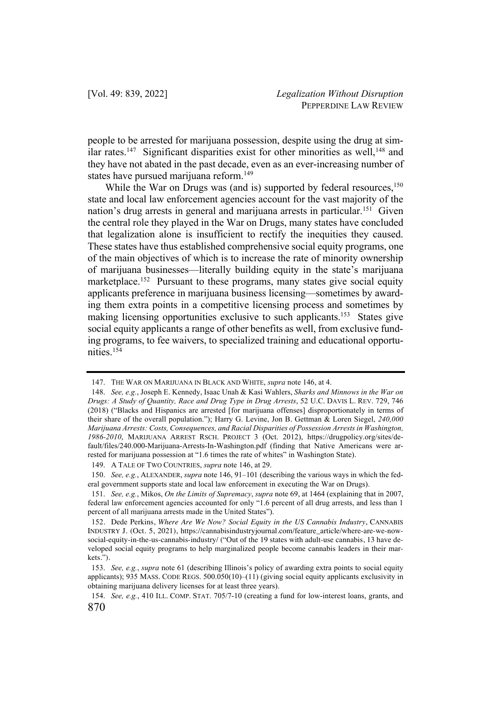people to be arrested for marijuana possession, despite using the drug at similar rates.<sup>147</sup> Significant disparities exist for other minorities as well,<sup>148</sup> and they have not abated in the past decade, even as an ever-increasing number of states have pursued marijuana reform.<sup>149</sup>

While the War on Drugs was (and is) supported by federal resources, $150$ state and local law enforcement agencies account for the vast majority of the nation's drug arrests in general and marijuana arrests in particular.<sup>151</sup> Given the central role they played in the War on Drugs, many states have concluded that legalization alone is insufficient to rectify the inequities they caused. These states have thus established comprehensive social equity programs, one of the main objectives of which is to increase the rate of minority ownership of marijuana businesses—literally building equity in the state's marijuana marketplace.<sup>152</sup> Pursuant to these programs, many states give social equity applicants preference in marijuana business licensing—sometimes by awarding them extra points in a competitive licensing process and sometimes by making licensing opportunities exclusive to such applicants.<sup>153</sup> States give social equity applicants a range of other benefits as well, from exclusive funding programs, to fee waivers, to specialized training and educational opportunities.154

<sup>147.</sup> THE WAR ON MARIJUANA IN BLACK AND WHITE, *supra* note 146, at 4.

<sup>148.</sup> *See, e.g.*, Joseph E. Kennedy, Isaac Unah & Kasi Wahlers, *Sharks and Minnows in the War on Drugs: A Study of Quantity, Race and Drug Type in Drug Arrests*, 52 U.C. DAVIS L. REV. 729, 746 (2018) ("Blacks and Hispanics are arrested [for marijuana offenses] disproportionately in terms of their share of the overall population."); Harry G. Levine, Jon B. Gettman & Loren Siegel, *240,000 Marijuana Arrests: Costs, Consequences, and Racial Disparities of Possession Arrests in Washington, 1986-2010*, MARIJUANA ARREST RSCH. PROJECT 3 (Oct. 2012), https://drugpolicy.org/sites/default/files/240.000-Marijuana-Arrests-In-Washington.pdf (finding that Native Americans were arrested for marijuana possession at "1.6 times the rate of whites" in Washington State).

<sup>149.</sup> A TALE OF TWO COUNTRIES, *supra* note 146, at 29.

<sup>150.</sup> *See, e.g.*, ALEXANDER, *supra* note 146, 91–101 (describing the various ways in which the federal government supports state and local law enforcement in executing the War on Drugs).

<sup>151.</sup> *See, e.g.*, Mikos, *On the Limits of Supremacy*, *supra* note 69, at 1464 (explaining that in 2007, federal law enforcement agencies accounted for only "1.6 percent of all drug arrests, and less than 1 percent of all marijuana arrests made in the United States").

<sup>152</sup>. Dede Perkins, *Where Are We Now? Social Equity in the US Cannabis Industry*, CANNABIS INDUSTRY J. (Oct. 5, 2021), https://cannabisindustryjournal.com/feature\_article/where-are-we-nowsocial-equity-in-the-us-cannabis-industry/ ("Out of the 19 states with adult-use cannabis, 13 have developed social equity programs to help marginalized people become cannabis leaders in their markets.").

<sup>153.</sup> *See, e.g.*, *supra* note 61 (describing Illinois's policy of awarding extra points to social equity applicants); 935 MASS. CODE REGS. 500.050(10)–(11) (giving social equity applicants exclusivity in obtaining marijuana delivery licenses for at least three years).

<sup>870</sup> 154. *See, e.g.*, 410 ILL. COMP. STAT. 705/7-10 (creating a fund for low-interest loans, grants, and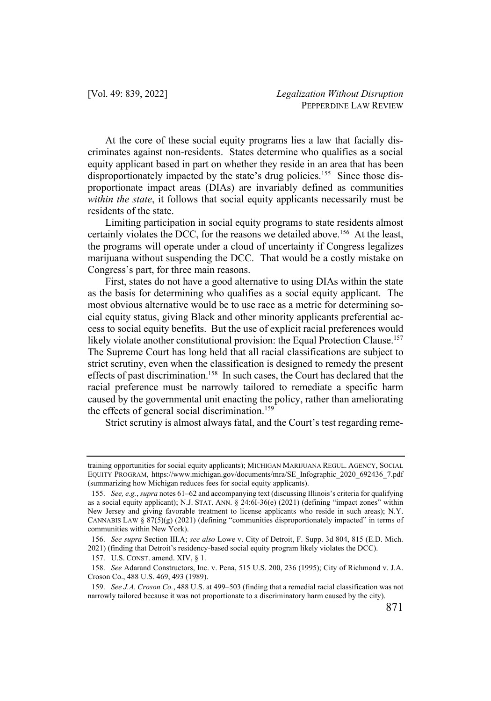At the core of these social equity programs lies a law that facially discriminates against non-residents. States determine who qualifies as a social equity applicant based in part on whether they reside in an area that has been disproportionately impacted by the state's drug policies.<sup>155</sup> Since those disproportionate impact areas (DIAs) are invariably defined as communities *within the state*, it follows that social equity applicants necessarily must be residents of the state.

Limiting participation in social equity programs to state residents almost certainly violates the DCC, for the reasons we detailed above.<sup>156</sup> At the least, the programs will operate under a cloud of uncertainty if Congress legalizes marijuana without suspending the DCC. That would be a costly mistake on Congress's part, for three main reasons.

First, states do not have a good alternative to using DIAs within the state as the basis for determining who qualifies as a social equity applicant. The most obvious alternative would be to use race as a metric for determining social equity status, giving Black and other minority applicants preferential access to social equity benefits. But the use of explicit racial preferences would likely violate another constitutional provision: the Equal Protection Clause.<sup>157</sup> The Supreme Court has long held that all racial classifications are subject to strict scrutiny, even when the classification is designed to remedy the present effects of past discrimination.<sup>158</sup> In such cases, the Court has declared that the racial preference must be narrowly tailored to remediate a specific harm caused by the governmental unit enacting the policy, rather than ameliorating the effects of general social discrimination.<sup>159</sup>

Strict scrutiny is almost always fatal, and the Court's test regarding reme-

training opportunities for social equity applicants); MICHIGAN MARIJUANA REGUL. AGENCY, SOCIAL EQUITY PROGRAM, https://www.michigan.gov/documents/mra/SE\_Infographic\_2020\_692436\_7.pdf (summarizing how Michigan reduces fees for social equity applicants).

<sup>155.</sup> *See, e.g.*, *supra* notes 61–62 and accompanying text (discussing Illinois's criteria for qualifying as a social equity applicant); N.J. STAT. ANN. § 24:6I-36(e) (2021) (defining "impact zones" within New Jersey and giving favorable treatment to license applicants who reside in such areas); N.Y. CANNABIS LAW §  $87(5)(g)$  (2021) (defining "communities disproportionately impacted" in terms of communities within New York).

<sup>156.</sup> *See supra* Section III.A; *see also* Lowe v. City of Detroit, F. Supp. 3d 804, 815 (E.D. Mich. 2021) (finding that Detroit's residency-based social equity program likely violates the DCC).

<sup>157.</sup> U.S. CONST. amend. XIV, § 1.

<sup>158.</sup> *See* Adarand Constructors, Inc. v. Pena, 515 U.S. 200, 236 (1995); City of Richmond v. J.A. Croson Co., 488 U.S. 469, 493 (1989).

<sup>159.</sup> *See J.A. Croson Co.*, 488 U.S. at 499–503 (finding that a remedial racial classification was not narrowly tailored because it was not proportionate to a discriminatory harm caused by the city).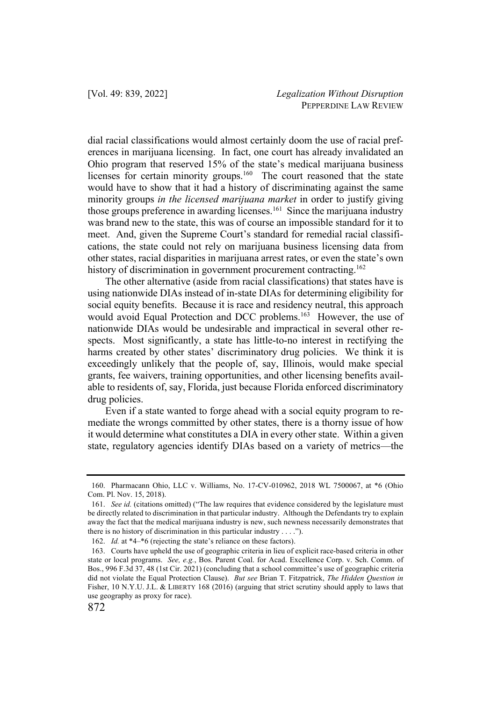dial racial classifications would almost certainly doom the use of racial preferences in marijuana licensing. In fact, one court has already invalidated an Ohio program that reserved 15% of the state's medical marijuana business licenses for certain minority groups.<sup>160</sup> The court reasoned that the state would have to show that it had a history of discriminating against the same minority groups *in the licensed marijuana market* in order to justify giving those groups preference in awarding licenses.<sup>161</sup> Since the marijuana industry was brand new to the state, this was of course an impossible standard for it to meet. And, given the Supreme Court's standard for remedial racial classifications, the state could not rely on marijuana business licensing data from other states, racial disparities in marijuana arrest rates, or even the state's own history of discrimination in government procurement contracting.<sup>162</sup>

The other alternative (aside from racial classifications) that states have is using nationwide DIAs instead of in-state DIAs for determining eligibility for social equity benefits. Because it is race and residency neutral, this approach would avoid Equal Protection and DCC problems.<sup>163</sup> However, the use of nationwide DIAs would be undesirable and impractical in several other respects. Most significantly, a state has little-to-no interest in rectifying the harms created by other states' discriminatory drug policies. We think it is exceedingly unlikely that the people of, say, Illinois, would make special grants, fee waivers, training opportunities, and other licensing benefits available to residents of, say, Florida, just because Florida enforced discriminatory drug policies.

Even if a state wanted to forge ahead with a social equity program to remediate the wrongs committed by other states, there is a thorny issue of how it would determine what constitutes a DIA in every other state. Within a given state, regulatory agencies identify DIAs based on a variety of metrics—the

<sup>160.</sup> Pharmacann Ohio, LLC v. Williams, No. 17-CV-010962, 2018 WL 7500067, at \*6 (Ohio Com. Pl. Nov. 15, 2018).

<sup>161.</sup> *See id.* (citations omitted) ("The law requires that evidence considered by the legislature must be directly related to discrimination in that particular industry. Although the Defendants try to explain away the fact that the medical marijuana industry is new, such newness necessarily demonstrates that there is no history of discrimination in this particular industry . . . .").

<sup>162.</sup> *Id.* at \*4–\*6 (rejecting the state's reliance on these factors).

<sup>163.</sup> Courts have upheld the use of geographic criteria in lieu of explicit race-based criteria in other state or local programs. *See, e.g.*, Bos. Parent Coal. for Acad. Excellence Corp. v. Sch. Comm. of Bos., 996 F.3d 37, 48 (1st Cir. 2021) (concluding that a school committee's use of geographic criteria did not violate the Equal Protection Clause). *But see* Brian T. Fitzpatrick, *The Hidden Question in*  Fisher, 10 N.Y.U. J.L. & LIBERTY 168 (2016) (arguing that strict scrutiny should apply to laws that use geography as proxy for race).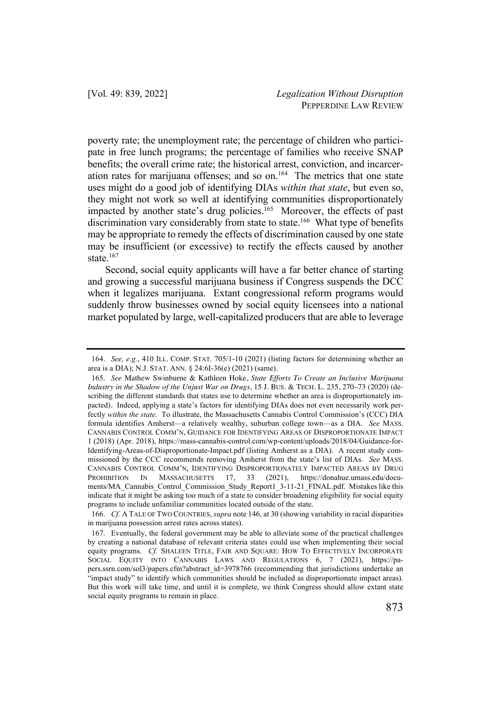poverty rate; the unemployment rate; the percentage of children who participate in free lunch programs; the percentage of families who receive SNAP benefits; the overall crime rate; the historical arrest, conviction, and incarceration rates for marijuana offenses; and so on.<sup>164</sup> The metrics that one state uses might do a good job of identifying DIAs *within that state*, but even so, they might not work so well at identifying communities disproportionately impacted by another state's drug policies.<sup>165</sup> Moreover, the effects of past discrimination vary considerably from state to state.<sup>166</sup> What type of benefits may be appropriate to remedy the effects of discrimination caused by one state may be insufficient (or excessive) to rectify the effects caused by another state.<sup>167</sup>

Second, social equity applicants will have a far better chance of starting and growing a successful marijuana business if Congress suspends the DCC when it legalizes marijuana. Extant congressional reform programs would suddenly throw businesses owned by social equity licensees into a national market populated by large, well-capitalized producers that are able to leverage

<sup>164.</sup> *See, e.g.*, 410 ILL. COMP. STAT. 705/1-10 (2021) (listing factors for determining whether an area is a DIA); N.J. STAT. ANN. § 24:6I-36(e) (2021) (same).

<sup>165.</sup> *See* Mathew Swinburne & Kathleen Hoke, *State Efforts To Create an Inclusive Marijuana Industry in the Shadow of the Unjust War on Drugs*, 15 J. BUS. & TECH. L. 235, 270–73 (2020) (describing the different standards that states use to determine whether an area is disproportionately impacted). Indeed, applying a state's factors for identifying DIAs does not even necessarily work perfectly *within the state*. To illustrate, the Massachusetts Cannabis Control Commission's (CCC) DIA formula identifies Amherst—a relatively wealthy, suburban college town—as a DIA. *See* MASS. CANNABIS CONTROL COMM'N, GUIDANCE FOR IDENTIFYING AREAS OF DISPROPORTIONATE IMPACT 1 (2018) (Apr. 2018), https://mass-cannabis-control.com/wp-content/uploads/2018/04/Guidance-for-Identifying-Areas-of-Disproportionate-Impact.pdf (listing Amherst as a DIA). A recent study commissioned by the CCC recommends removing Amherst from the state's list of DIAs. *See* MASS. CANNABIS CONTROL COMM'N, IDENTIFYING DISPROPORTIONATELY IMPACTED AREAS BY DRUG PROHIBITION IN MASSACHUSETTS 17, 33 (2021), https://donahue.umass.edu/documents/MA\_Cannabis\_Control\_Commission\_Study\_Report1\_3-11-21\_FINAL.pdf. Mistakes like this indicate that it might be asking too much of a state to consider broadening eligibility for social equity programs to include unfamiliar communities located outside of the state.

<sup>166.</sup> *Cf.* A TALE OF TWO COUNTRIES, *supra* note 146, at 30 (showing variability in racial disparities in marijuana possession arrest rates across states).

<sup>167.</sup> Eventually, the federal government may be able to alleviate some of the practical challenges by creating a national database of relevant criteria states could use when implementing their social equity programs. *Cf.* SHALEEN TITLE, FAIR AND SQUARE: HOW TO EFFECTIVELY INCORPORATE SOCIAL EQUITY INTO CANNABIS LAWS AND REGULATIONS 6, 7 (2021), https://papers.ssrn.com/sol3/papers.cfm?abstract\_id=3978766 (recommending that jurisdictions undertake an "impact study" to identify which communities should be included as disproportionate impact areas). But this work will take time, and until it is complete, we think Congress should allow extant state social equity programs to remain in place.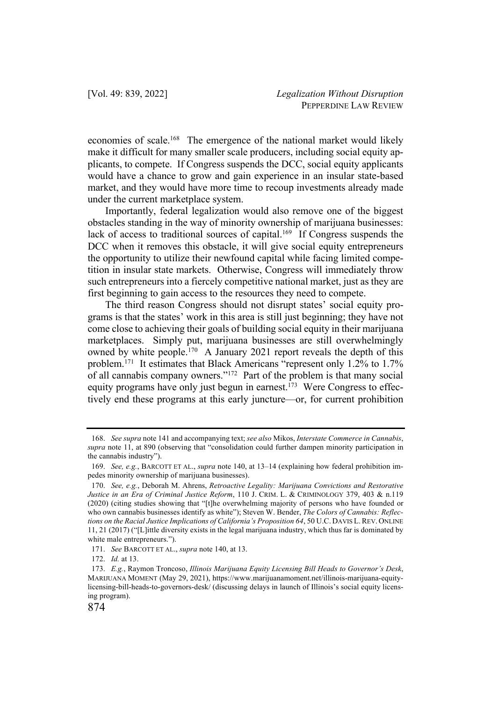economies of scale.168 The emergence of the national market would likely make it difficult for many smaller scale producers, including social equity applicants, to compete. If Congress suspends the DCC, social equity applicants would have a chance to grow and gain experience in an insular state-based market, and they would have more time to recoup investments already made under the current marketplace system.

Importantly, federal legalization would also remove one of the biggest obstacles standing in the way of minority ownership of marijuana businesses: lack of access to traditional sources of capital.<sup>169</sup> If Congress suspends the DCC when it removes this obstacle, it will give social equity entrepreneurs the opportunity to utilize their newfound capital while facing limited competition in insular state markets. Otherwise, Congress will immediately throw such entrepreneurs into a fiercely competitive national market, just as they are first beginning to gain access to the resources they need to compete.

The third reason Congress should not disrupt states' social equity programs is that the states' work in this area is still just beginning; they have not come close to achieving their goals of building social equity in their marijuana marketplaces. Simply put, marijuana businesses are still overwhelmingly owned by white people.<sup>170</sup> A January 2021 report reveals the depth of this problem.171 It estimates that Black Americans "represent only 1.2% to 1.7% of all cannabis company owners."172 Part of the problem is that many social equity programs have only just begun in earnest.<sup>173</sup> Were Congress to effectively end these programs at this early juncture—or, for current prohibition

<sup>168.</sup> *See supra* note 141 and accompanying text; *see also* Mikos, *Interstate Commerce in Cannabis*, *supra* note 11, at 890 (observing that "consolidation could further dampen minority participation in the cannabis industry").

<sup>169.</sup> *See, e.g.*, BARCOTT ET AL., *supra* note 140, at 13–14 (explaining how federal prohibition impedes minority ownership of marijuana businesses).

<sup>170.</sup> *See, e.g.*, Deborah M. Ahrens, *Retroactive Legality: Marijuana Convictions and Restorative Justice in an Era of Criminal Justice Reform*, 110 J. CRIM. L. & CRIMINOLOGY 379, 403 & n.119 (2020) (citing studies showing that "[t]he overwhelming majority of persons who have founded or who own cannabis businesses identify as white"); Steven W. Bender, *The Colors of Cannabis: Reflections on the Racial Justice Implications of California's Proposition 64*, 50 U.C. DAVIS L.REV. ONLINE 11, 21 (2017) ("[L]ittle diversity exists in the legal marijuana industry, which thus far is dominated by white male entrepreneurs.").

<sup>171.</sup> *See* BARCOTT ET AL., *supra* note 140, at 13.

<sup>172.</sup> *Id.* at 13.

<sup>173.</sup> *E.g.*, Raymon Troncoso, *Illinois Marijuana Equity Licensing Bill Heads to Governor's Desk*, MARIJUANA MOMENT (May 29, 2021), https://www.marijuanamoment.net/illinois-marijuana-equitylicensing-bill-heads-to-governors-desk/ (discussing delays in launch of Illinois's social equity licensing program).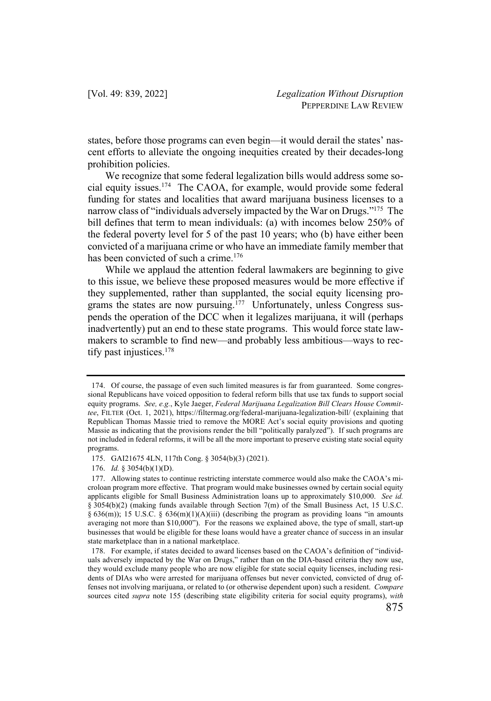states, before those programs can even begin—it would derail the states' nascent efforts to alleviate the ongoing inequities created by their decades-long prohibition policies.

We recognize that some federal legalization bills would address some social equity issues.174 The CAOA, for example, would provide some federal funding for states and localities that award marijuana business licenses to a narrow class of "individuals adversely impacted by the War on Drugs."<sup>175</sup> The bill defines that term to mean individuals: (a) with incomes below 250% of the federal poverty level for 5 of the past 10 years; who (b) have either been convicted of a marijuana crime or who have an immediate family member that has been convicted of such a crime.<sup>176</sup>

While we applaud the attention federal lawmakers are beginning to give to this issue, we believe these proposed measures would be more effective if they supplemented, rather than supplanted, the social equity licensing programs the states are now pursuing.<sup>177</sup> Unfortunately, unless Congress suspends the operation of the DCC when it legalizes marijuana, it will (perhaps inadvertently) put an end to these state programs. This would force state lawmakers to scramble to find new—and probably less ambitious—ways to rectify past injustices.178

<sup>174.</sup> Of course, the passage of even such limited measures is far from guaranteed. Some congressional Republicans have voiced opposition to federal reform bills that use tax funds to support social equity programs. *See, e.g.*, Kyle Jaeger, *Federal Marijuana Legalization Bill Clears House Committee*, FILTER (Oct. 1, 2021), https://filtermag.org/federal-marijuana-legalization-bill/ (explaining that Republican Thomas Massie tried to remove the MORE Act's social equity provisions and quoting Massie as indicating that the provisions render the bill "politically paralyzed"). If such programs are not included in federal reforms, it will be all the more important to preserve existing state social equity programs.

<sup>175.</sup> GAI21675 4LN, 117th Cong. § 3054(b)(3) (2021).

<sup>176.</sup> *Id.* § 3054(b)(1)(D).

<sup>177.</sup> Allowing states to continue restricting interstate commerce would also make the CAOA's microloan program more effective. That program would make businesses owned by certain social equity applicants eligible for Small Business Administration loans up to approximately \$10,000. *See id.* § 3054(b)(2) (making funds available through Section 7(m) of the Small Business Act, 15 U.S.C. § 636(m)); 15 U.S.C. § 636(m)(1)(A)(iii) (describing the program as providing loans "in amounts averaging not more than \$10,000"). For the reasons we explained above, the type of small, start-up businesses that would be eligible for these loans would have a greater chance of success in an insular state marketplace than in a national marketplace.

<sup>178.</sup> For example, if states decided to award licenses based on the CAOA's definition of "individuals adversely impacted by the War on Drugs," rather than on the DIA-based criteria they now use, they would exclude many people who are now eligible for state social equity licenses, including residents of DIAs who were arrested for marijuana offenses but never convicted, convicted of drug offenses not involving marijuana, or related to (or otherwise dependent upon) such a resident. *Compare* sources cited *supra* note 155 (describing state eligibility criteria for social equity programs), *with*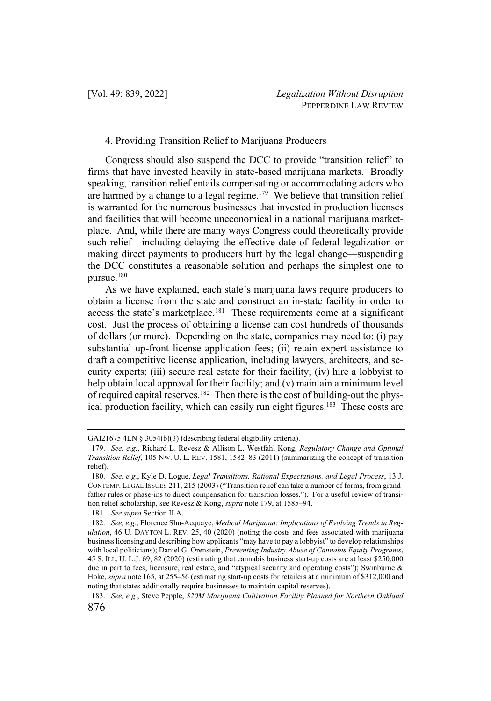## 4. Providing Transition Relief to Marijuana Producers

Congress should also suspend the DCC to provide "transition relief" to firms that have invested heavily in state-based marijuana markets. Broadly speaking, transition relief entails compensating or accommodating actors who are harmed by a change to a legal regime.<sup>179</sup> We believe that transition relief is warranted for the numerous businesses that invested in production licenses and facilities that will become uneconomical in a national marijuana marketplace. And, while there are many ways Congress could theoretically provide such relief—including delaying the effective date of federal legalization or making direct payments to producers hurt by the legal change—suspending the DCC constitutes a reasonable solution and perhaps the simplest one to pursue.180

As we have explained, each state's marijuana laws require producers to obtain a license from the state and construct an in-state facility in order to access the state's marketplace.181 These requirements come at a significant cost. Just the process of obtaining a license can cost hundreds of thousands of dollars (or more). Depending on the state, companies may need to: (i) pay substantial up-front license application fees; (ii) retain expert assistance to draft a competitive license application, including lawyers, architects, and security experts; (iii) secure real estate for their facility; (iv) hire a lobbyist to help obtain local approval for their facility; and (v) maintain a minimum level of required capital reserves.<sup>182</sup> Then there is the cost of building-out the physical production facility, which can easily run eight figures.<sup>183</sup> These costs are

GAI21675 4LN § 3054(b)(3) (describing federal eligibility criteria).

<sup>179.</sup> *See, e.g.*, Richard L. Revesz & Allison L. Westfahl Kong, *Regulatory Change and Optimal Transition Relief*, 105 NW. U. L. REV. 1581, 1582–83 (2011) (summarizing the concept of transition relief).

<sup>180.</sup> *See, e.g.*, Kyle D. Logue, *Legal Transitions, Rational Expectations, and Legal Process*, 13 J. CONTEMP. LEGAL ISSUES 211, 215 (2003) ("Transition relief can take a number of forms, from grandfather rules or phase-ins to direct compensation for transition losses."). For a useful review of transition relief scholarship, see Revesz & Kong, *supra* note 179, at 1585–94.

<sup>181.</sup> *See supra* Section II.A.

<sup>182.</sup> *See, e.g.*, Florence Shu-Acquaye, *Medical Marijuana: Implications of Evolving Trends in Regulation*, 46 U. DAYTON L. REV. 25, 40 (2020) (noting the costs and fees associated with marijuana business licensing and describing how applicants "may have to pay a lobbyist" to develop relationships with local politicians); Daniel G. Orenstein, *Preventing Industry Abuse of Cannabis Equity Programs*, 45 S. ILL. U. L.J. 69, 82 (2020) (estimating that cannabis business start-up costs are at least \$250,000 due in part to fees, licensure, real estate, and "atypical security and operating costs"); Swinburne & Hoke, *supra* note 165, at 255–56 (estimating start-up costs for retailers at a minimum of \$312,000 and noting that states additionally require businesses to maintain capital reserves).

<sup>876</sup> 183. *See, e.g.*, Steve Pepple, *\$20M Marijuana Cultivation Facility Planned for Northern Oakland*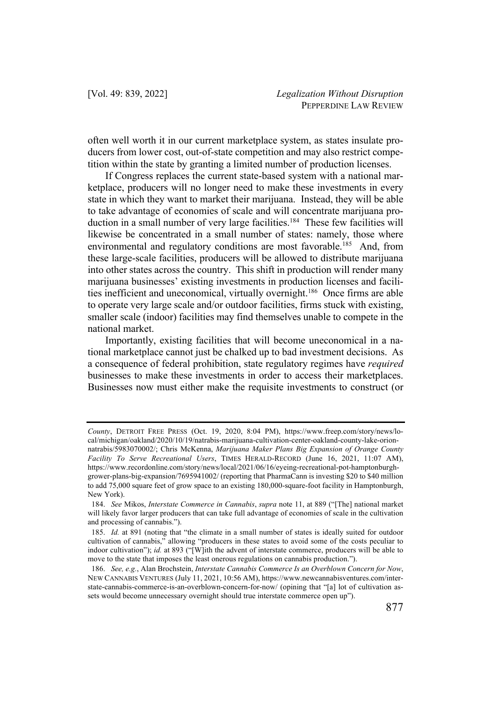often well worth it in our current marketplace system, as states insulate producers from lower cost, out-of-state competition and may also restrict competition within the state by granting a limited number of production licenses.

If Congress replaces the current state-based system with a national marketplace, producers will no longer need to make these investments in every state in which they want to market their marijuana. Instead, they will be able to take advantage of economies of scale and will concentrate marijuana production in a small number of very large facilities.<sup>184</sup> These few facilities will likewise be concentrated in a small number of states: namely, those where environmental and regulatory conditions are most favorable.<sup>185</sup> And, from these large-scale facilities, producers will be allowed to distribute marijuana into other states across the country. This shift in production will render many marijuana businesses' existing investments in production licenses and facilities inefficient and uneconomical, virtually overnight.186 Once firms are able to operate very large scale and/or outdoor facilities, firms stuck with existing, smaller scale (indoor) facilities may find themselves unable to compete in the national market.

Importantly, existing facilities that will become uneconomical in a national marketplace cannot just be chalked up to bad investment decisions. As a consequence of federal prohibition, state regulatory regimes have *required* businesses to make these investments in order to access their marketplaces. Businesses now must either make the requisite investments to construct (or

*County*, DETROIT FREE PRESS (Oct. 19, 2020, 8:04 PM), https://www.freep.com/story/news/local/michigan/oakland/2020/10/19/natrabis-marijuana-cultivation-center-oakland-county-lake-orion-

natrabis/5983070002/; Chris McKenna, *Marijuana Maker Plans Big Expansion of Orange County Facility To Serve Recreational Users*, TIMES HERALD-RECORD (June 16, 2021, 11:07 AM), https://www.recordonline.com/story/news/local/2021/06/16/eyeing-recreational-pot-hamptonburghgrower-plans-big-expansion/7695941002/ (reporting that PharmaCann is investing \$20 to \$40 million to add 75,000 square feet of grow space to an existing 180,000-square-foot facility in Hamptonburgh, New York).

<sup>184.</sup> *See* Mikos, *Interstate Commerce in Cannabis*, *supra* note 11, at 889 ("[The] national market will likely favor larger producers that can take full advantage of economies of scale in the cultivation and processing of cannabis.").

<sup>185.</sup> *Id.* at 891 (noting that "the climate in a small number of states is ideally suited for outdoor cultivation of cannabis," allowing "producers in these states to avoid some of the costs peculiar to indoor cultivation"); *id.* at 893 ("[W]ith the advent of interstate commerce, producers will be able to move to the state that imposes the least onerous regulations on cannabis production.").

<sup>186.</sup> *See, e.g.*, Alan Brochstein, *Interstate Cannabis Commerce Is an Overblown Concern for Now*, NEW CANNABIS VENTURES (July 11, 2021, 10:56 AM), https://www.newcannabisventures.com/interstate-cannabis-commerce-is-an-overblown-concern-for-now/ (opining that "[a] lot of cultivation assets would become unnecessary overnight should true interstate commerce open up").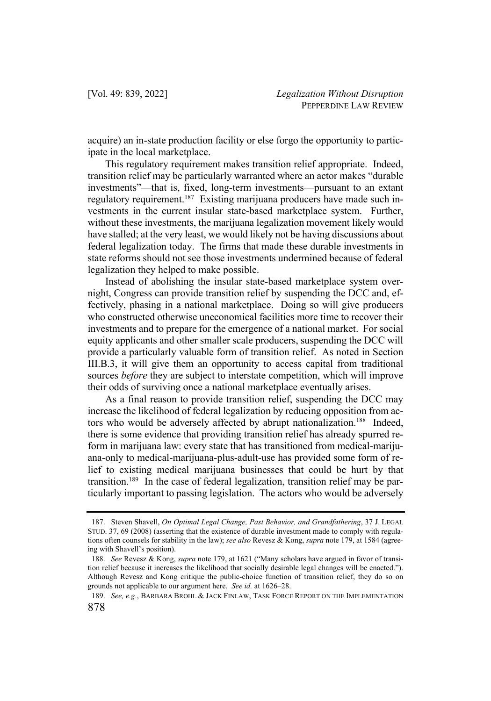acquire) an in-state production facility or else forgo the opportunity to participate in the local marketplace.

This regulatory requirement makes transition relief appropriate. Indeed, transition relief may be particularly warranted where an actor makes "durable investments"—that is, fixed, long-term investments—pursuant to an extant regulatory requirement.<sup>187</sup> Existing marijuana producers have made such investments in the current insular state-based marketplace system. Further, without these investments, the marijuana legalization movement likely would have stalled; at the very least, we would likely not be having discussions about federal legalization today. The firms that made these durable investments in state reforms should not see those investments undermined because of federal legalization they helped to make possible.

Instead of abolishing the insular state-based marketplace system overnight, Congress can provide transition relief by suspending the DCC and, effectively, phasing in a national marketplace. Doing so will give producers who constructed otherwise uneconomical facilities more time to recover their investments and to prepare for the emergence of a national market. For social equity applicants and other smaller scale producers, suspending the DCC will provide a particularly valuable form of transition relief. As noted in Section III.B.3, it will give them an opportunity to access capital from traditional sources *before* they are subject to interstate competition, which will improve their odds of surviving once a national marketplace eventually arises.

As a final reason to provide transition relief, suspending the DCC may increase the likelihood of federal legalization by reducing opposition from actors who would be adversely affected by abrupt nationalization.<sup>188</sup> Indeed, there is some evidence that providing transition relief has already spurred reform in marijuana law: every state that has transitioned from medical-marijuana-only to medical-marijuana-plus-adult-use has provided some form of relief to existing medical marijuana businesses that could be hurt by that transition.<sup>189</sup> In the case of federal legalization, transition relief may be particularly important to passing legislation. The actors who would be adversely

<sup>187.</sup> Steven Shavell, *On Optimal Legal Change, Past Behavior, and Grandfathering*, 37 J. LEGAL STUD. 37, 69 (2008) (asserting that the existence of durable investment made to comply with regulations often counsels for stability in the law); *see also* Revesz & Kong, *supra* note 179, at 1584 (agreeing with Shavell's position).

<sup>188.</sup> *See* Revesz & Kong, *supra* note 179, at 1621 ("Many scholars have argued in favor of transition relief because it increases the likelihood that socially desirable legal changes will be enacted."). Although Revesz and Kong critique the public-choice function of transition relief, they do so on grounds not applicable to our argument here. *See id.* at 1626–28.

<sup>878</sup> 189. *See, e.g.*, BARBARA BROHL & JACK FINLAW, TASK FORCE REPORT ON THE IMPLEMENTATION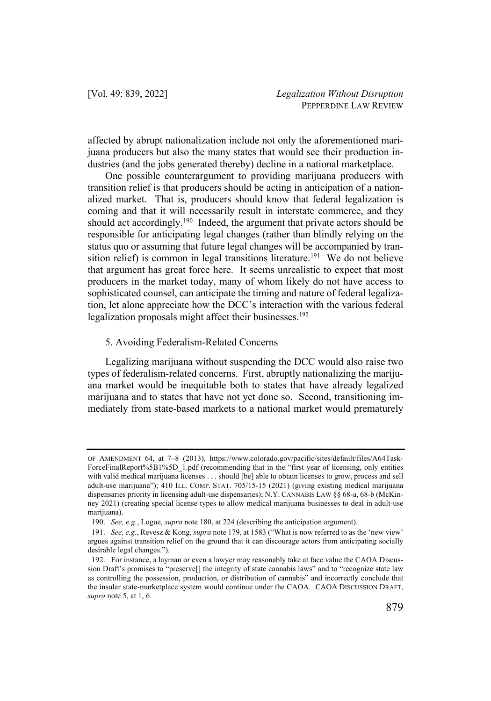affected by abrupt nationalization include not only the aforementioned marijuana producers but also the many states that would see their production industries (and the jobs generated thereby) decline in a national marketplace.

One possible counterargument to providing marijuana producers with transition relief is that producers should be acting in anticipation of a nationalized market. That is, producers should know that federal legalization is coming and that it will necessarily result in interstate commerce, and they should act accordingly.<sup>190</sup> Indeed, the argument that private actors should be responsible for anticipating legal changes (rather than blindly relying on the status quo or assuming that future legal changes will be accompanied by transition relief) is common in legal transitions literature.<sup>191</sup> We do not believe that argument has great force here. It seems unrealistic to expect that most producers in the market today, many of whom likely do not have access to sophisticated counsel, can anticipate the timing and nature of federal legalization, let alone appreciate how the DCC's interaction with the various federal legalization proposals might affect their businesses.<sup>192</sup>

#### 5. Avoiding Federalism-Related Concerns

Legalizing marijuana without suspending the DCC would also raise two types of federalism-related concerns. First, abruptly nationalizing the marijuana market would be inequitable both to states that have already legalized marijuana and to states that have not yet done so. Second, transitioning immediately from state-based markets to a national market would prematurely

OF AMENDMENT 64, at 7–8 (2013), https://www.colorado.gov/pacific/sites/default/files/A64Task-ForceFinalReport%5B1%5D\_1.pdf (recommending that in the "first year of licensing, only entities with valid medical marijuana licenses . . . should [be] able to obtain licenses to grow, process and sell adult-use marijuana"); 410 ILL. COMP. STAT. 705/15-15 (2021) (giving existing medical marijuana dispensaries priority in licensing adult-use dispensaries); N.Y. CANNABIS LAW §§ 68-a, 68-b (McKinney 2021) (creating special license types to allow medical marijuana businesses to deal in adult-use marijuana).

<sup>190.</sup> *See, e.g.*, Logue, *supra* note 180, at 224 (describing the anticipation argument).

<sup>191.</sup> *See, e.g.*, Revesz & Kong, *supra* note 179, at 1583 ("What is now referred to as the 'new view' argues against transition relief on the ground that it can discourage actors from anticipating socially desirable legal changes.").

<sup>192.</sup> For instance, a layman or even a lawyer may reasonably take at face value the CAOA Discussion Draft's promises to "preserve[] the integrity of state cannabis laws" and to "recognize state law as controlling the possession, production, or distribution of cannabis" and incorrectly conclude that the insular state-marketplace system would continue under the CAOA. CAOA DISCUSSION DRAFT, *supra* note 5, at 1, 6.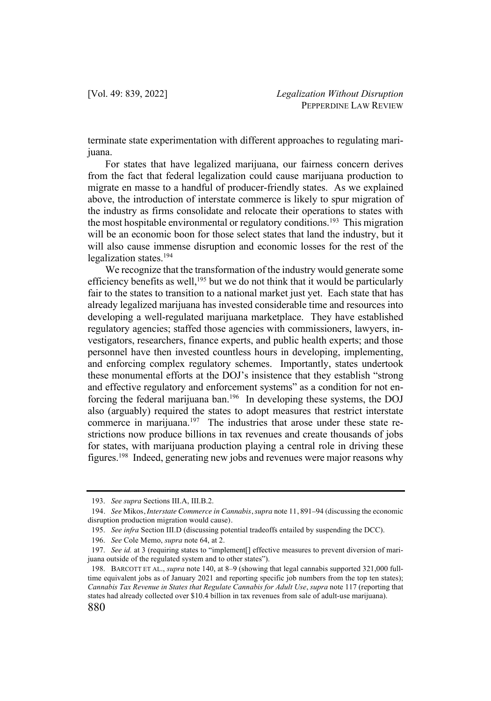terminate state experimentation with different approaches to regulating marijuana.

For states that have legalized marijuana, our fairness concern derives from the fact that federal legalization could cause marijuana production to migrate en masse to a handful of producer-friendly states. As we explained above, the introduction of interstate commerce is likely to spur migration of the industry as firms consolidate and relocate their operations to states with the most hospitable environmental or regulatory conditions.<sup>193</sup> This migration will be an economic boon for those select states that land the industry, but it will also cause immense disruption and economic losses for the rest of the legalization states.194

We recognize that the transformation of the industry would generate some efficiency benefits as well,<sup>195</sup> but we do not think that it would be particularly fair to the states to transition to a national market just yet. Each state that has already legalized marijuana has invested considerable time and resources into developing a well-regulated marijuana marketplace. They have established regulatory agencies; staffed those agencies with commissioners, lawyers, investigators, researchers, finance experts, and public health experts; and those personnel have then invested countless hours in developing, implementing, and enforcing complex regulatory schemes. Importantly, states undertook these monumental efforts at the DOJ's insistence that they establish "strong and effective regulatory and enforcement systems" as a condition for not enforcing the federal marijuana ban.196 In developing these systems, the DOJ also (arguably) required the states to adopt measures that restrict interstate commerce in marijuana.<sup>197</sup> The industries that arose under these state restrictions now produce billions in tax revenues and create thousands of jobs for states, with marijuana production playing a central role in driving these figures.198 Indeed, generating new jobs and revenues were major reasons why

<sup>193.</sup> *See supra* Sections III.A, III.B.2.

<sup>194</sup>. *See* Mikos, *Interstate Commerce in Cannabis*, *supra* note 11, 891–94 (discussing the economic disruption production migration would cause).

<sup>195.</sup> *See infra* Section III.D (discussing potential tradeoffs entailed by suspending the DCC).

<sup>196.</sup> *See* Cole Memo, *supra* note 64, at 2.

<sup>197.</sup> *See id.* at 3 (requiring states to "implement[] effective measures to prevent diversion of marijuana outside of the regulated system and to other states").

<sup>198.</sup> BARCOTT ET AL., *supra* note 140, at 8–9 (showing that legal cannabis supported 321,000 fulltime equivalent jobs as of January 2021 and reporting specific job numbers from the top ten states); *Cannabis Tax Revenue in States that Regulate Cannabis for Adult Use*, *supra* note 117 (reporting that states had already collected over \$10.4 billion in tax revenues from sale of adult-use marijuana).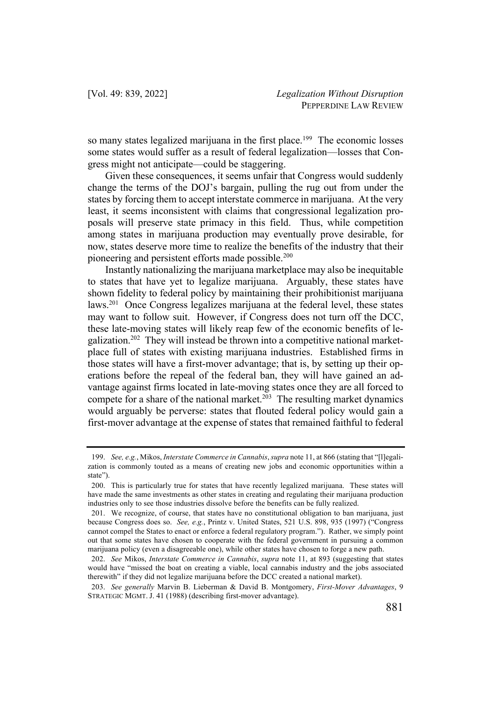so many states legalized marijuana in the first place.<sup>199</sup> The economic losses some states would suffer as a result of federal legalization—losses that Congress might not anticipate—could be staggering.

Given these consequences, it seems unfair that Congress would suddenly change the terms of the DOJ's bargain, pulling the rug out from under the states by forcing them to accept interstate commerce in marijuana. At the very least, it seems inconsistent with claims that congressional legalization proposals will preserve state primacy in this field. Thus, while competition among states in marijuana production may eventually prove desirable, for now, states deserve more time to realize the benefits of the industry that their pioneering and persistent efforts made possible.<sup>200</sup>

Instantly nationalizing the marijuana marketplace may also be inequitable to states that have yet to legalize marijuana. Arguably, these states have shown fidelity to federal policy by maintaining their prohibitionist marijuana laws.<sup>201</sup> Once Congress legalizes marijuana at the federal level, these states may want to follow suit. However, if Congress does not turn off the DCC, these late-moving states will likely reap few of the economic benefits of legalization.202 They will instead be thrown into a competitive national marketplace full of states with existing marijuana industries. Established firms in those states will have a first-mover advantage; that is, by setting up their operations before the repeal of the federal ban, they will have gained an advantage against firms located in late-moving states once they are all forced to compete for a share of the national market.<sup>203</sup> The resulting market dynamics would arguably be perverse: states that flouted federal policy would gain a first-mover advantage at the expense of states that remained faithful to federal

<sup>199.</sup> *See, e.g.*, Mikos, *Interstate Commerce in Cannabis*, *supra* note 11, at 866 (stating that "[l]egalization is commonly touted as a means of creating new jobs and economic opportunities within a state").

<sup>200.</sup> This is particularly true for states that have recently legalized marijuana. These states will have made the same investments as other states in creating and regulating their marijuana production industries only to see those industries dissolve before the benefits can be fully realized.

<sup>201.</sup> We recognize, of course, that states have no constitutional obligation to ban marijuana, just because Congress does so. *See, e.g.*, Printz v. United States, 521 U.S. 898, 935 (1997) ("Congress cannot compel the States to enact or enforce a federal regulatory program."). Rather, we simply point out that some states have chosen to cooperate with the federal government in pursuing a common marijuana policy (even a disagreeable one), while other states have chosen to forge a new path.

<sup>202.</sup> *See* Mikos, *Interstate Commerce in Cannabis*, *supra* note 11, at 893 (suggesting that states would have "missed the boat on creating a viable, local cannabis industry and the jobs associated therewith" if they did not legalize marijuana before the DCC created a national market).

<sup>203.</sup> *See generally* Marvin B. Lieberman & David B. Montgomery, *First-Mover Advantages*, 9 STRATEGIC MGMT. J. 41 (1988) (describing first-mover advantage).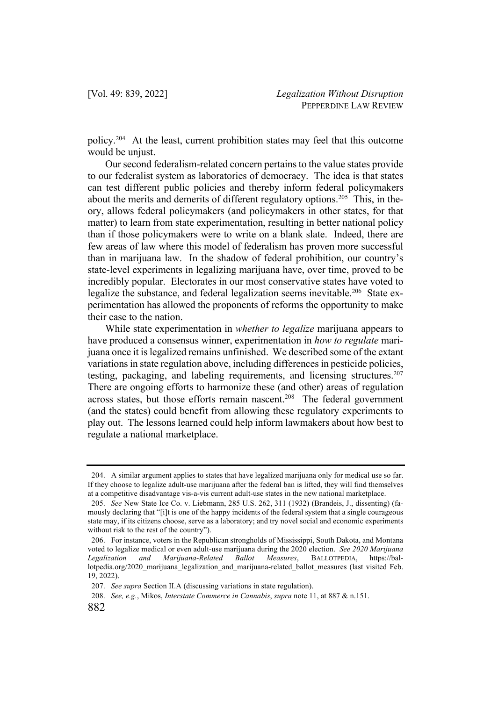policy.204 At the least, current prohibition states may feel that this outcome would be uniust.

Our second federalism-related concern pertains to the value states provide to our federalist system as laboratories of democracy. The idea is that states can test different public policies and thereby inform federal policymakers about the merits and demerits of different regulatory options.<sup>205</sup> This, in theory, allows federal policymakers (and policymakers in other states, for that matter) to learn from state experimentation, resulting in better national policy than if those policymakers were to write on a blank slate. Indeed, there are few areas of law where this model of federalism has proven more successful than in marijuana law. In the shadow of federal prohibition, our country's state-level experiments in legalizing marijuana have, over time, proved to be incredibly popular. Electorates in our most conservative states have voted to legalize the substance, and federal legalization seems inevitable.<sup>206</sup> State experimentation has allowed the proponents of reforms the opportunity to make their case to the nation.

While state experimentation in *whether to legalize* marijuana appears to have produced a consensus winner, experimentation in *how to regulate* marijuana once it is legalized remains unfinished. We described some of the extant variations in state regulation above, including differences in pesticide policies, testing, packaging, and labeling requirements, and licensing structures.<sup>207</sup> There are ongoing efforts to harmonize these (and other) areas of regulation across states, but those efforts remain nascent.<sup>208</sup> The federal government (and the states) could benefit from allowing these regulatory experiments to play out. The lessons learned could help inform lawmakers about how best to regulate a national marketplace.

<sup>204.</sup> A similar argument applies to states that have legalized marijuana only for medical use so far. If they choose to legalize adult-use marijuana after the federal ban is lifted, they will find themselves at a competitive disadvantage vis-a-vis current adult-use states in the new national marketplace.

<sup>205.</sup> *See* New State Ice Co. v. Liebmann, 285 U.S. 262, 311 (1932) (Brandeis, J., dissenting) (famously declaring that "[i]t is one of the happy incidents of the federal system that a single courageous state may, if its citizens choose, serve as a laboratory; and try novel social and economic experiments without risk to the rest of the country").

<sup>206.</sup> For instance, voters in the Republican strongholds of Mississippi, South Dakota, and Montana voted to legalize medical or even adult-use marijuana during the 2020 election. *See 2020 Marijuana Legalization and Marijuana-Related Ballot Measures*, BALLOTPEDIA, https://ballotpedia.org/2020\_marijuana\_legalization\_and\_marijuana-related\_ballot\_measures (last visited Feb. 19, 2022).

<sup>207.</sup> *See supra* Section II.A (discussing variations in state regulation).

<sup>208.</sup> *See, e.g.*, Mikos, *Interstate Commerce in Cannabis*, *supra* note 11, at 887 & n.151.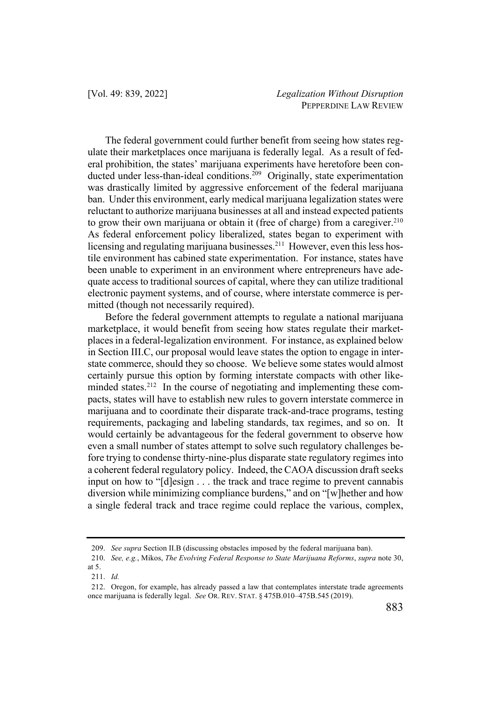The federal government could further benefit from seeing how states regulate their marketplaces once marijuana is federally legal. As a result of federal prohibition, the states' marijuana experiments have heretofore been conducted under less-than-ideal conditions.<sup>209</sup> Originally, state experimentation was drastically limited by aggressive enforcement of the federal marijuana ban. Under this environment, early medical marijuana legalization states were reluctant to authorize marijuana businesses at all and instead expected patients to grow their own marijuana or obtain it (free of charge) from a caregiver.<sup>210</sup> As federal enforcement policy liberalized, states began to experiment with licensing and regulating marijuana businesses.<sup>211</sup> However, even this less hostile environment has cabined state experimentation. For instance, states have been unable to experiment in an environment where entrepreneurs have adequate access to traditional sources of capital, where they can utilize traditional electronic payment systems, and of course, where interstate commerce is permitted (though not necessarily required).

Before the federal government attempts to regulate a national marijuana marketplace, it would benefit from seeing how states regulate their marketplaces in a federal-legalization environment. For instance, as explained below in Section III.C, our proposal would leave states the option to engage in interstate commerce, should they so choose. We believe some states would almost certainly pursue this option by forming interstate compacts with other likeminded states.<sup>212</sup> In the course of negotiating and implementing these compacts, states will have to establish new rules to govern interstate commerce in marijuana and to coordinate their disparate track-and-trace programs, testing requirements, packaging and labeling standards, tax regimes, and so on. It would certainly be advantageous for the federal government to observe how even a small number of states attempt to solve such regulatory challenges before trying to condense thirty-nine-plus disparate state regulatory regimes into a coherent federal regulatory policy. Indeed, the CAOA discussion draft seeks input on how to "[d]esign . . . the track and trace regime to prevent cannabis diversion while minimizing compliance burdens," and on "[w]hether and how a single federal track and trace regime could replace the various, complex,

<sup>209.</sup> *See supra* Section II.B (discussing obstacles imposed by the federal marijuana ban).

<sup>210.</sup> *See, e.g.*, Mikos, *The Evolving Federal Response to State Marijuana Reforms*, *supra* note 30, at 5.

<sup>211.</sup> *Id.*

<sup>212.</sup> Oregon, for example, has already passed a law that contemplates interstate trade agreements once marijuana is federally legal. *See* OR. REV. STAT. § 475B.010–475B.545 (2019).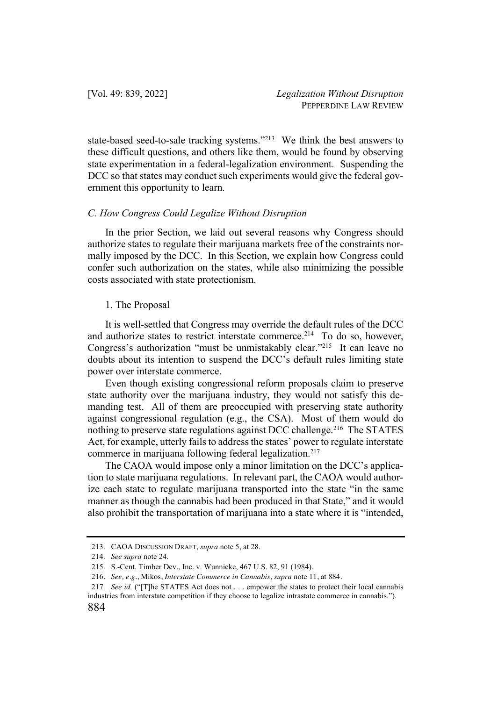state-based seed-to-sale tracking systems."213 We think the best answers to these difficult questions, and others like them, would be found by observing state experimentation in a federal-legalization environment. Suspending the DCC so that states may conduct such experiments would give the federal government this opportunity to learn.

## *C. How Congress Could Legalize Without Disruption*

In the prior Section, we laid out several reasons why Congress should authorize states to regulate their marijuana markets free of the constraints normally imposed by the DCC. In this Section, we explain how Congress could confer such authorization on the states, while also minimizing the possible costs associated with state protectionism.

## 1. The Proposal

It is well-settled that Congress may override the default rules of the DCC and authorize states to restrict interstate commerce.<sup>214</sup> To do so, however, Congress's authorization "must be unmistakably clear."215 It can leave no doubts about its intention to suspend the DCC's default rules limiting state power over interstate commerce.

Even though existing congressional reform proposals claim to preserve state authority over the marijuana industry, they would not satisfy this demanding test. All of them are preoccupied with preserving state authority against congressional regulation (e.g., the CSA). Most of them would do nothing to preserve state regulations against DCC challenge.<sup>216</sup> The STATES Act, for example, utterly fails to address the states' power to regulate interstate commerce in marijuana following federal legalization.<sup>217</sup>

The CAOA would impose only a minor limitation on the DCC's application to state marijuana regulations. In relevant part, the CAOA would authorize each state to regulate marijuana transported into the state "in the same manner as though the cannabis had been produced in that State," and it would also prohibit the transportation of marijuana into a state where it is "intended,

<sup>213.</sup> CAOA DISCUSSION DRAFT, *supra* note 5, at 28.

<sup>214.</sup> *See supra* note 24.

<sup>215.</sup> S.-Cent. Timber Dev., Inc. v. Wunnicke, 467 U.S. 82, 91 (1984).

<sup>216</sup>. *See, e.g.*, Mikos, *Interstate Commerce in Cannabis*, *supra* note 11, at 884.

<sup>217.</sup> *See id.* ("[T]he STATES Act does not . . . empower the states to protect their local cannabis industries from interstate competition if they choose to legalize intrastate commerce in cannabis.").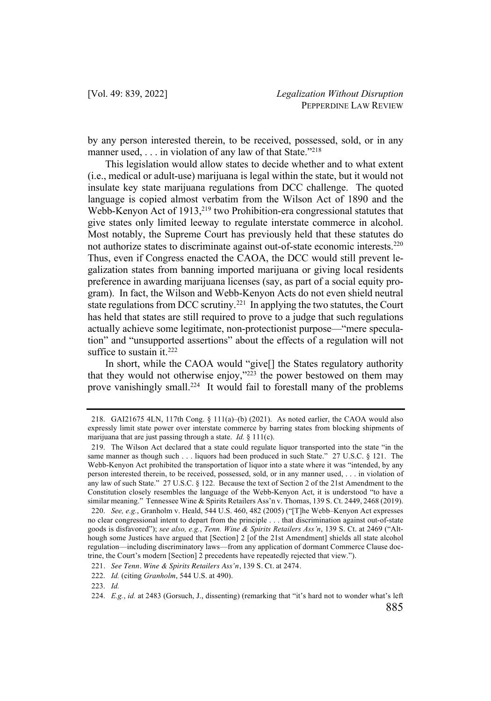by any person interested therein, to be received, possessed, sold, or in any manner used,  $\dots$  in violation of any law of that State."<sup>218</sup>

This legislation would allow states to decide whether and to what extent (i.e., medical or adult-use) marijuana is legal within the state, but it would not insulate key state marijuana regulations from DCC challenge. The quoted language is copied almost verbatim from the Wilson Act of 1890 and the Webb-Kenyon Act of 1913,<sup>219</sup> two Prohibition-era congressional statutes that give states only limited leeway to regulate interstate commerce in alcohol. Most notably, the Supreme Court has previously held that these statutes do not authorize states to discriminate against out-of-state economic interests.220 Thus, even if Congress enacted the CAOA, the DCC would still prevent legalization states from banning imported marijuana or giving local residents preference in awarding marijuana licenses (say, as part of a social equity program). In fact, the Wilson and Webb-Kenyon Acts do not even shield neutral state regulations from DCC scrutiny.<sup>221</sup> In applying the two statutes, the Court has held that states are still required to prove to a judge that such regulations actually achieve some legitimate, non-protectionist purpose—"mere speculation" and "unsupported assertions" about the effects of a regulation will not suffice to sustain it. $222$ 

In short, while the CAOA would "give[] the States regulatory authority that they would not otherwise enjoy," $223$  the power bestowed on them may prove vanishingly small.224 It would fail to forestall many of the problems

<sup>218.</sup> GAI21675 4LN, 117th Cong. § 111(a)–(b) (2021). As noted earlier, the CAOA would also expressly limit state power over interstate commerce by barring states from blocking shipments of marijuana that are just passing through a state. *Id.* § 111(c).

<sup>219.</sup> The Wilson Act declared that a state could regulate liquor transported into the state "in the same manner as though such . . . liquors had been produced in such State." 27 U.S.C. § 121. The Webb-Kenyon Act prohibited the transportation of liquor into a state where it was "intended, by any person interested therein, to be received, possessed, sold, or in any manner used, . . . in violation of any law of such State." 27 U.S.C. § 122. Because the text of Section 2 of the 21st Amendment to the Constitution closely resembles the language of the Webb-Kenyon Act, it is understood "to have a similar meaning." Tennessee Wine & Spirits Retailers Ass'n v. Thomas, 139 S. Ct. 2449, 2468 (2019).

<sup>220.</sup> *See, e.g.*, Granholm v. Heald, 544 U.S. 460, 482 (2005) ("[T]he Webb–Kenyon Act expresses no clear congressional intent to depart from the principle . . . that discrimination against out-of-state goods is disfavored"); *see also, e.g.*, *Tenn. Wine & Spirits Retailers Ass'n*, 139 S. Ct. at 2469 ("Although some Justices have argued that [Section] 2 [of the 21st Amendment] shields all state alcohol regulation—including discriminatory laws—from any application of dormant Commerce Clause doctrine, the Court's modern [Section] 2 precedents have repeatedly rejected that view.").

<sup>221</sup>. *See Tenn. Wine & Spirits Retailers Ass'n*, 139 S. Ct. at 2474.

<sup>222.</sup> *Id.* (citing *Granholm*, 544 U.S. at 490).

<sup>223.</sup> *Id.*

<sup>224.</sup> *E.g.*, *id.* at 2483 (Gorsuch, J., dissenting) (remarking that "it's hard not to wonder what's left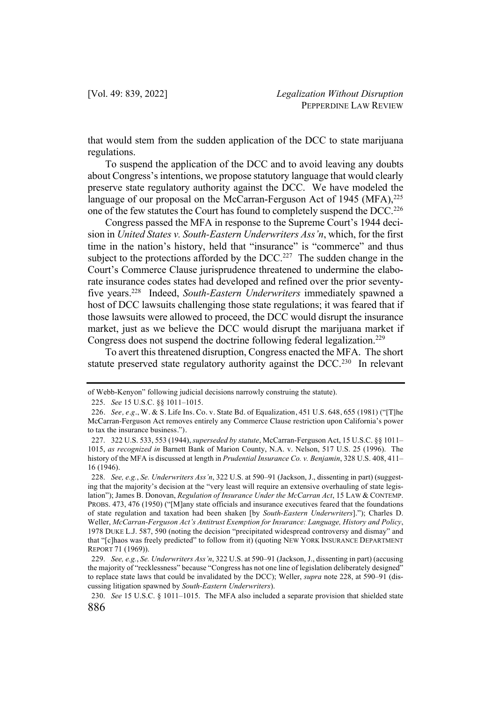that would stem from the sudden application of the DCC to state marijuana regulations.

To suspend the application of the DCC and to avoid leaving any doubts about Congress's intentions, we propose statutory language that would clearly preserve state regulatory authority against the DCC. We have modeled the language of our proposal on the McCarran-Ferguson Act of 1945 (MFA), $^{225}$ one of the few statutes the Court has found to completely suspend the DCC.<sup>226</sup>

Congress passed the MFA in response to the Supreme Court's 1944 decision in *United States v. South-Eastern Underwriters Ass'n*, which, for the first time in the nation's history, held that "insurance" is "commerce" and thus subject to the protections afforded by the DCC.<sup>227</sup> The sudden change in the Court's Commerce Clause jurisprudence threatened to undermine the elaborate insurance codes states had developed and refined over the prior seventyfive years.228 Indeed, *South-Eastern Underwriters* immediately spawned a host of DCC lawsuits challenging those state regulations; it was feared that if those lawsuits were allowed to proceed, the DCC would disrupt the insurance market, just as we believe the DCC would disrupt the marijuana market if Congress does not suspend the doctrine following federal legalization.<sup>229</sup>

To avert this threatened disruption, Congress enacted the MFA. The short statute preserved state regulatory authority against the  $DCC<sup>230</sup>$  In relevant

of Webb-Kenyon" following judicial decisions narrowly construing the statute).

<sup>225.</sup> *See* 15 U.S.C. §§ 1011–1015.

<sup>226</sup>. *See, e.g.*, W. & S. Life Ins. Co. v. State Bd. of Equalization, 451 U.S. 648, 655 (1981) ("[T]he McCarran-Ferguson Act removes entirely any Commerce Clause restriction upon California's power to tax the insurance business.").

<sup>227.</sup> 322 U.S. 533, 553 (1944), *superseded by statute*, McCarran-Ferguson Act, 15 U.S.C. §§ 1011– 1015, *as recognized in* Barnett Bank of Marion County, N.A. v. Nelson, 517 U.S. 25 (1996). The history of the MFA is discussed at length in *Prudential Insurance Co. v. Benjamin*, 328 U.S. 408, 411– 16 (1946).

<sup>228.</sup> *See, e.g.*, *Se. Underwriters Ass'n*, 322 U.S. at 590–91 (Jackson, J., dissenting in part) (suggesting that the majority's decision at the "very least will require an extensive overhauling of state legislation"); James B. Donovan, *Regulation of Insurance Under the McCarran Act*, 15 LAW & CONTEMP. PROBS. 473, 476 (1950) ("[M]any state officials and insurance executives feared that the foundations of state regulation and taxation had been shaken [by *South-Eastern Underwriters*]."); Charles D. Weller, *McCarran-Ferguson Act's Antitrust Exemption for Insurance: Language, History and Policy*, 1978 DUKE L.J. 587, 590 (noting the decision "precipitated widespread controversy and dismay" and that "[c]haos was freely predicted" to follow from it) (quoting NEW YORK INSURANCE DEPARTMENT REPORT 71 (1969)).

<sup>229.</sup> *See, e.g.*, *Se. Underwriters Ass'n*, 322 U.S. at 590–91 (Jackson, J., dissenting in part) (accusing the majority of "recklessness" because "Congress has not one line of legislation deliberately designed" to replace state laws that could be invalidated by the DCC); Weller, *supra* note 228, at 590–91 (discussing litigation spawned by *South-Eastern Underwriters*).

<sup>230.</sup> *See* 15 U.S.C. § 1011–1015. The MFA also included a separate provision that shielded state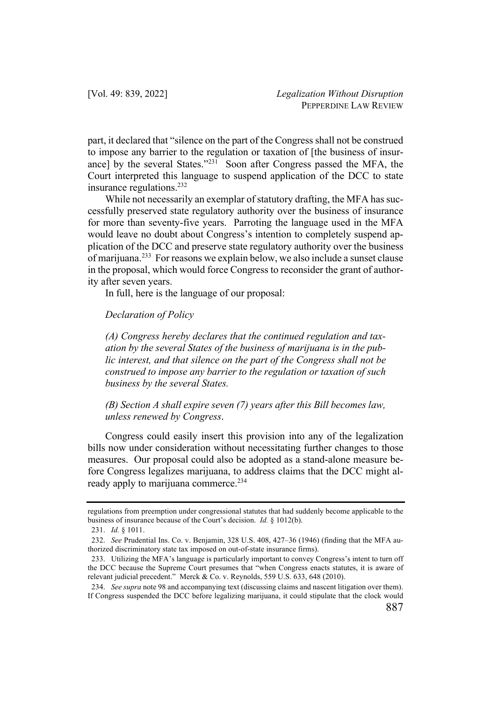part, it declared that "silence on the part of the Congress shall not be construed to impose any barrier to the regulation or taxation of [the business of insurance] by the several States."<sup>231</sup> Soon after Congress passed the MFA, the Court interpreted this language to suspend application of the DCC to state insurance regulations.232

While not necessarily an exemplar of statutory drafting, the MFA has successfully preserved state regulatory authority over the business of insurance for more than seventy-five years. Parroting the language used in the MFA would leave no doubt about Congress's intention to completely suspend application of the DCC and preserve state regulatory authority over the business of marijuana.233 For reasons we explain below, we also include a sunset clause in the proposal, which would force Congress to reconsider the grant of authority after seven years.

In full, here is the language of our proposal:

# *Declaration of Policy*

*(A) Congress hereby declares that the continued regulation and taxation by the several States of the business of marijuana is in the public interest, and that silence on the part of the Congress shall not be construed to impose any barrier to the regulation or taxation of such business by the several States.*

*(B) Section A shall expire seven (7) years after this Bill becomes law, unless renewed by Congress*.

Congress could easily insert this provision into any of the legalization bills now under consideration without necessitating further changes to those measures. Our proposal could also be adopted as a stand-alone measure before Congress legalizes marijuana, to address claims that the DCC might already apply to marijuana commerce.<sup>234</sup>

regulations from preemption under congressional statutes that had suddenly become applicable to the business of insurance because of the Court's decision. *Id.* § 1012(b).

<sup>231.</sup> *Id.* § 1011.

<sup>232.</sup> *See* Prudential Ins. Co. v. Benjamin, 328 U.S. 408, 427–36 (1946) (finding that the MFA authorized discriminatory state tax imposed on out-of-state insurance firms).

<sup>233.</sup> Utilizing the MFA's language is particularly important to convey Congress's intent to turn off the DCC because the Supreme Court presumes that "when Congress enacts statutes, it is aware of relevant judicial precedent." Merck & Co. v. Reynolds, 559 U.S. 633, 648 (2010).

<sup>234.</sup> *See supra* note 98 and accompanying text (discussing claims and nascent litigation over them). If Congress suspended the DCC before legalizing marijuana, it could stipulate that the clock would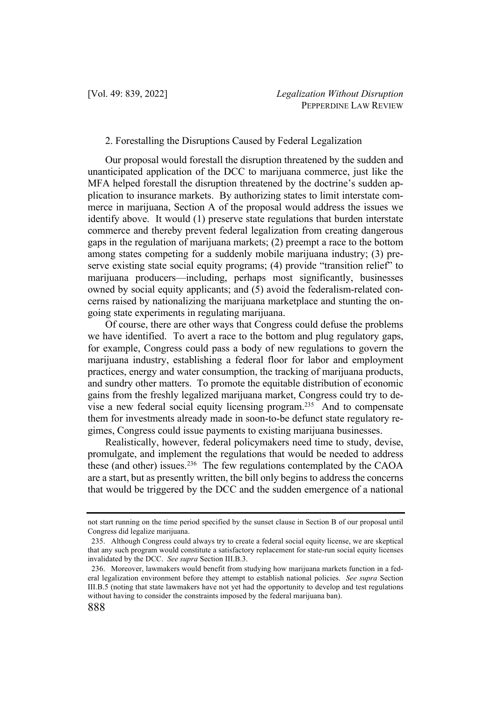# 2. Forestalling the Disruptions Caused by Federal Legalization

Our proposal would forestall the disruption threatened by the sudden and unanticipated application of the DCC to marijuana commerce, just like the MFA helped forestall the disruption threatened by the doctrine's sudden application to insurance markets. By authorizing states to limit interstate commerce in marijuana, Section A of the proposal would address the issues we identify above. It would (1) preserve state regulations that burden interstate commerce and thereby prevent federal legalization from creating dangerous gaps in the regulation of marijuana markets; (2) preempt a race to the bottom among states competing for a suddenly mobile marijuana industry; (3) preserve existing state social equity programs; (4) provide "transition relief" to marijuana producers—including, perhaps most significantly, businesses owned by social equity applicants; and (5) avoid the federalism-related concerns raised by nationalizing the marijuana marketplace and stunting the ongoing state experiments in regulating marijuana.

Of course, there are other ways that Congress could defuse the problems we have identified. To avert a race to the bottom and plug regulatory gaps, for example, Congress could pass a body of new regulations to govern the marijuana industry, establishing a federal floor for labor and employment practices, energy and water consumption, the tracking of marijuana products, and sundry other matters. To promote the equitable distribution of economic gains from the freshly legalized marijuana market, Congress could try to devise a new federal social equity licensing program.235 And to compensate them for investments already made in soon-to-be defunct state regulatory regimes, Congress could issue payments to existing marijuana businesses.

Realistically, however, federal policymakers need time to study, devise, promulgate, and implement the regulations that would be needed to address these (and other) issues. $236$  The few regulations contemplated by the CAOA are a start, but as presently written, the bill only begins to address the concerns that would be triggered by the DCC and the sudden emergence of a national

not start running on the time period specified by the sunset clause in Section B of our proposal until Congress did legalize marijuana.

<sup>235.</sup> Although Congress could always try to create a federal social equity license, we are skeptical that any such program would constitute a satisfactory replacement for state-run social equity licenses invalidated by the DCC. *See supra* Section III.B.3.

<sup>236.</sup> Moreover, lawmakers would benefit from studying how marijuana markets function in a federal legalization environment before they attempt to establish national policies. *See supra* Section III.B.5 (noting that state lawmakers have not yet had the opportunity to develop and test regulations without having to consider the constraints imposed by the federal marijuana ban).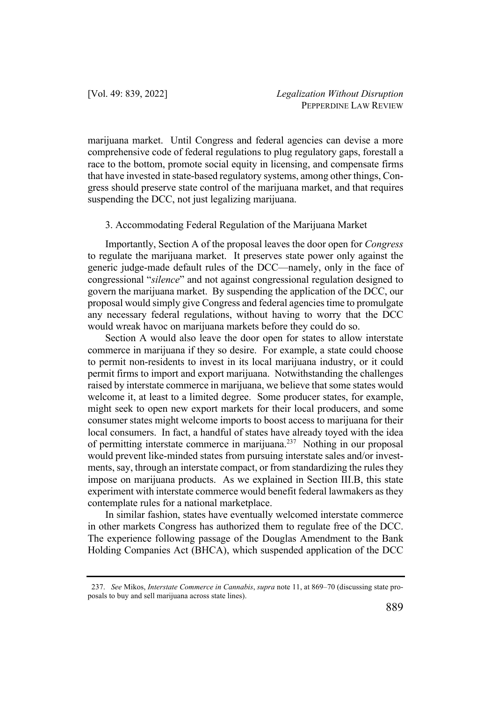marijuana market. Until Congress and federal agencies can devise a more comprehensive code of federal regulations to plug regulatory gaps, forestall a race to the bottom, promote social equity in licensing, and compensate firms that have invested in state-based regulatory systems, among other things, Congress should preserve state control of the marijuana market, and that requires suspending the DCC, not just legalizing marijuana.

# 3. Accommodating Federal Regulation of the Marijuana Market

Importantly, Section A of the proposal leaves the door open for *Congress* to regulate the marijuana market. It preserves state power only against the generic judge-made default rules of the DCC—namely, only in the face of congressional "*silence*" and not against congressional regulation designed to govern the marijuana market. By suspending the application of the DCC, our proposal would simply give Congress and federal agencies time to promulgate any necessary federal regulations, without having to worry that the DCC would wreak havoc on marijuana markets before they could do so.

Section A would also leave the door open for states to allow interstate commerce in marijuana if they so desire. For example, a state could choose to permit non-residents to invest in its local marijuana industry, or it could permit firms to import and export marijuana. Notwithstanding the challenges raised by interstate commerce in marijuana, we believe that some states would welcome it, at least to a limited degree. Some producer states, for example, might seek to open new export markets for their local producers, and some consumer states might welcome imports to boost access to marijuana for their local consumers. In fact, a handful of states have already toyed with the idea of permitting interstate commerce in marijuana.237 Nothing in our proposal would prevent like-minded states from pursuing interstate sales and/or investments, say, through an interstate compact, or from standardizing the rules they impose on marijuana products. As we explained in Section III.B, this state experiment with interstate commerce would benefit federal lawmakers as they contemplate rules for a national marketplace.

In similar fashion, states have eventually welcomed interstate commerce in other markets Congress has authorized them to regulate free of the DCC. The experience following passage of the Douglas Amendment to the Bank Holding Companies Act (BHCA), which suspended application of the DCC

<sup>237.</sup> *See* Mikos, *Interstate Commerce in Cannabis*, *supra* note 11, at 869–70 (discussing state proposals to buy and sell marijuana across state lines).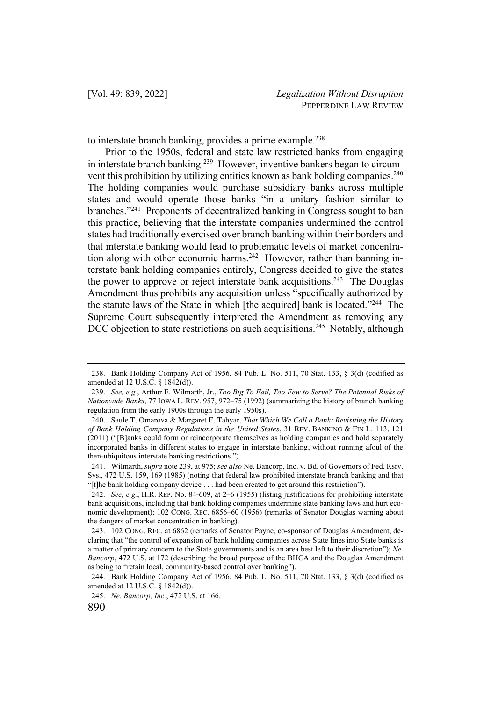to interstate branch banking, provides a prime example.<sup>238</sup>

Prior to the 1950s, federal and state law restricted banks from engaging in interstate branch banking.<sup>239</sup> However, inventive bankers began to circumvent this prohibition by utilizing entities known as bank holding companies.<sup>240</sup> The holding companies would purchase subsidiary banks across multiple states and would operate those banks "in a unitary fashion similar to branches."241 Proponents of decentralized banking in Congress sought to ban this practice, believing that the interstate companies undermined the control states had traditionally exercised over branch banking within their borders and that interstate banking would lead to problematic levels of market concentration along with other economic harms.<sup>242</sup> However, rather than banning interstate bank holding companies entirely, Congress decided to give the states the power to approve or reject interstate bank acquisitions.<sup>243</sup> The Douglas Amendment thus prohibits any acquisition unless "specifically authorized by the statute laws of the State in which [the acquired] bank is located."244 The Supreme Court subsequently interpreted the Amendment as removing any DCC objection to state restrictions on such acquisitions.<sup>245</sup> Notably, although

<sup>238.</sup> Bank Holding Company Act of 1956, 84 Pub. L. No. 511, 70 Stat. 133, § 3(d) (codified as amended at 12 U.S.C. § 1842(d)).

<sup>239.</sup> *See, e.g.*, Arthur E. Wilmarth, Jr., *Too Big To Fail, Too Few to Serve? The Potential Risks of Nationwide Banks*, 77 IOWA L. REV. 957, 972–75 (1992) (summarizing the history of branch banking regulation from the early 1900s through the early 1950s).

<sup>240</sup>. Saule T. Omarova & Margaret E. Tahyar, *That Which We Call a Bank: Revisiting the History of Bank Holding Company Regulations in the United States*, 31 REV. BANKING & FIN L. 113, 121 (2011) ("[B]anks could form or reincorporate themselves as holding companies and hold separately incorporated banks in different states to engage in interstate banking, without running afoul of the then-ubiquitous interstate banking restrictions.").

<sup>241.</sup> Wilmarth, *supra* note 239, at 975; *see also* Ne. Bancorp, Inc. v. Bd. of Governors of Fed. Rsrv. Sys., 472 U.S. 159, 169 (1985) (noting that federal law prohibited interstate branch banking and that "[t]he bank holding company device . . . had been created to get around this restriction").

<sup>242.</sup> *See, e.g.*, H.R. REP. No. 84-609, at 2–6 (1955) (listing justifications for prohibiting interstate bank acquisitions, including that bank holding companies undermine state banking laws and hurt economic development); 102 CONG. REC. 6856–60 (1956) (remarks of Senator Douglas warning about the dangers of market concentration in banking).

<sup>243.</sup> 102 CONG. REC. at 6862 (remarks of Senator Payne, co-sponsor of Douglas Amendment, declaring that "the control of expansion of bank holding companies across State lines into State banks is a matter of primary concern to the State governments and is an area best left to their discretion"); *Ne. Bancorp*, 472 U.S. at 172 (describing the broad purpose of the BHCA and the Douglas Amendment as being to "retain local, community-based control over banking").

<sup>244.</sup> Bank Holding Company Act of 1956, 84 Pub. L. No. 511, 70 Stat. 133, § 3(d) (codified as amended at 12 U.S.C. § 1842(d)).

<sup>245.</sup> *Ne. Bancorp, Inc.*, 472 U.S. at 166.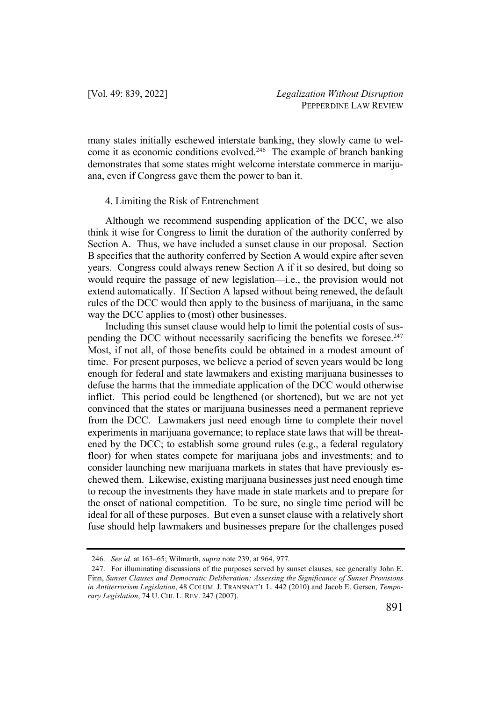many states initially eschewed interstate banking, they slowly came to welcome it as economic conditions evolved.<sup>246</sup> The example of branch banking demonstrates that some states might welcome interstate commerce in marijuana, even if Congress gave them the power to ban it.

# 4. Limiting the Risk of Entrenchment

Although we recommend suspending application of the DCC, we also think it wise for Congress to limit the duration of the authority conferred by Section A. Thus, we have included a sunset clause in our proposal. Section B specifies that the authority conferred by Section A would expire after seven years. Congress could always renew Section A if it so desired, but doing so would require the passage of new legislation—i.e., the provision would not extend automatically. If Section A lapsed without being renewed, the default rules of the DCC would then apply to the business of marijuana, in the same way the DCC applies to (most) other businesses.

Including this sunset clause would help to limit the potential costs of suspending the DCC without necessarily sacrificing the benefits we foresee.<sup>247</sup> Most, if not all, of those benefits could be obtained in a modest amount of time. For present purposes, we believe a period of seven years would be long enough for federal and state lawmakers and existing marijuana businesses to defuse the harms that the immediate application of the DCC would otherwise inflict. This period could be lengthened (or shortened), but we are not yet convinced that the states or marijuana businesses need a permanent reprieve from the DCC. Lawmakers just need enough time to complete their novel experiments in marijuana governance; to replace state laws that will be threatened by the DCC; to establish some ground rules (e.g., a federal regulatory floor) for when states compete for marijuana jobs and investments; and to consider launching new marijuana markets in states that have previously eschewed them. Likewise, existing marijuana businesses just need enough time to recoup the investments they have made in state markets and to prepare for the onset of national competition. To be sure, no single time period will be ideal for all of these purposes. But even a sunset clause with a relatively short fuse should help lawmakers and businesses prepare for the challenges posed

<sup>246.</sup> *See id.* at 163–65; Wilmarth, *supra* note 239, at 964, 977.

<sup>247.</sup> For illuminating discussions of the purposes served by sunset clauses, see generally John E. Finn, *Sunset Clauses and Democratic Deliberation: Assessing the Significance of Sunset Provisions in Antiterrorism Legislation*, 48 COLUM. J. TRANSNAT'L L. 442 (2010) and Jacob E. Gersen, *Temporary Legislation*, 74 U. CHI. L. REV. 247 (2007).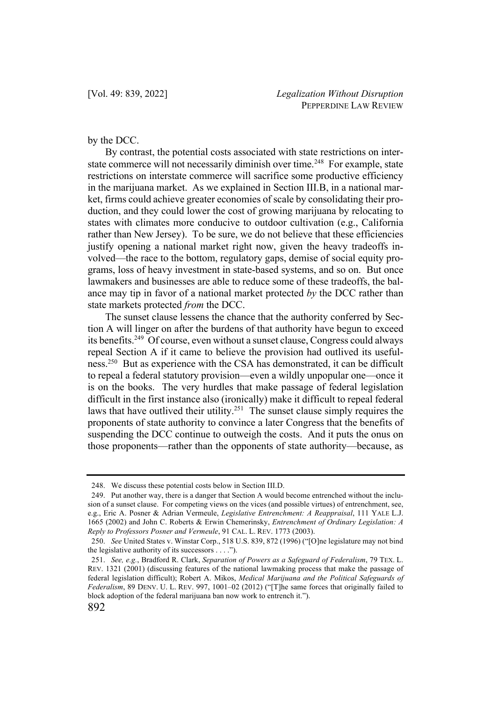# by the DCC.

By contrast, the potential costs associated with state restrictions on interstate commerce will not necessarily diminish over time.<sup>248</sup> For example, state restrictions on interstate commerce will sacrifice some productive efficiency in the marijuana market. As we explained in Section III.B, in a national market, firms could achieve greater economies of scale by consolidating their production, and they could lower the cost of growing marijuana by relocating to states with climates more conducive to outdoor cultivation (e.g., California rather than New Jersey). To be sure, we do not believe that these efficiencies justify opening a national market right now, given the heavy tradeoffs involved—the race to the bottom, regulatory gaps, demise of social equity programs, loss of heavy investment in state-based systems, and so on. But once lawmakers and businesses are able to reduce some of these tradeoffs, the balance may tip in favor of a national market protected *by* the DCC rather than state markets protected *from* the DCC.

The sunset clause lessens the chance that the authority conferred by Section A will linger on after the burdens of that authority have begun to exceed its benefits.249 Of course, even without a sunset clause, Congress could always repeal Section A if it came to believe the provision had outlived its usefulness.250 But as experience with the CSA has demonstrated, it can be difficult to repeal a federal statutory provision—even a wildly unpopular one—once it is on the books. The very hurdles that make passage of federal legislation difficult in the first instance also (ironically) make it difficult to repeal federal laws that have outlived their utility.<sup>251</sup> The sunset clause simply requires the proponents of state authority to convince a later Congress that the benefits of suspending the DCC continue to outweigh the costs. And it puts the onus on those proponents—rather than the opponents of state authority—because, as

<sup>248.</sup> We discuss these potential costs below in Section III.D.

<sup>249.</sup> Put another way, there is a danger that Section A would become entrenched without the inclusion of a sunset clause. For competing views on the vices (and possible virtues) of entrenchment, see, e.g., Eric A. Posner & Adrian Vermeule, *Legislative Entrenchment: A Reappraisal*, 111 YALE L.J. 1665 (2002) and John C. Roberts & Erwin Chemerinsky, *Entrenchment of Ordinary Legislation: A Reply to Professors Posner and Vermeule*, 91 CAL. L. REV. 1773 (2003).

<sup>250.</sup> *See* United States v. Winstar Corp., 518 U.S. 839, 872 (1996) ("[O]ne legislature may not bind the legislative authority of its successors . . . .").

<sup>251.</sup> *See, e.g.*, Bradford R. Clark, *Separation of Powers as a Safeguard of Federalism*, 79 TEX. L. REV. 1321 (2001) (discussing features of the national lawmaking process that make the passage of federal legislation difficult); Robert A. Mikos, *Medical Marijuana and the Political Safeguards of Federalism*, 89 DENV. U. L. REV. 997, 1001–02 (2012) ("[T]he same forces that originally failed to block adoption of the federal marijuana ban now work to entrench it.").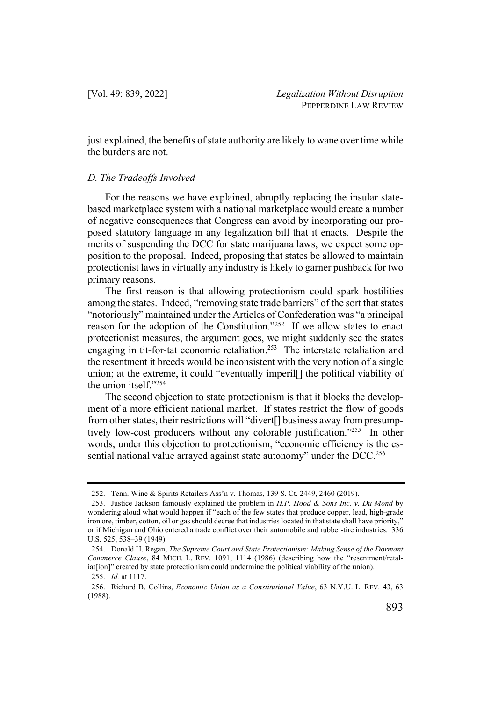just explained, the benefits of state authority are likely to wane over time while the burdens are not.

#### *D. The Tradeoffs Involved*

For the reasons we have explained, abruptly replacing the insular statebased marketplace system with a national marketplace would create a number of negative consequences that Congress can avoid by incorporating our proposed statutory language in any legalization bill that it enacts. Despite the merits of suspending the DCC for state marijuana laws, we expect some opposition to the proposal. Indeed, proposing that states be allowed to maintain protectionist laws in virtually any industry is likely to garner pushback for two primary reasons.

The first reason is that allowing protectionism could spark hostilities among the states. Indeed, "removing state trade barriers" of the sort that states "notoriously" maintained under the Articles of Confederation was "a principal reason for the adoption of the Constitution."<sup>252</sup> If we allow states to enact protectionist measures, the argument goes, we might suddenly see the states engaging in tit-for-tat economic retaliation.253 The interstate retaliation and the resentment it breeds would be inconsistent with the very notion of a single union; at the extreme, it could "eventually imperil[] the political viability of the union itself."254

The second objection to state protectionism is that it blocks the development of a more efficient national market. If states restrict the flow of goods from other states, their restrictions will "divert[] business away from presumptively low-cost producers without any colorable justification."255 In other words, under this objection to protectionism, "economic efficiency is the essential national value arrayed against state autonomy" under the DCC.<sup>256</sup>

<sup>252.</sup> Tenn. Wine & Spirits Retailers Ass'n v. Thomas, 139 S. Ct. 2449, 2460 (2019).

<sup>253.</sup> Justice Jackson famously explained the problem in *H.P. Hood & Sons Inc. v. Du Mond* by wondering aloud what would happen if "each of the few states that produce copper, lead, high-grade iron ore, timber, cotton, oil or gas should decree that industries located in that state shall have priority," or if Michigan and Ohio entered a trade conflict over their automobile and rubber-tire industries. 336 U.S. 525, 538–39 (1949).

<sup>254.</sup> Donald H. Regan, *The Supreme Court and State Protectionism: Making Sense of the Dormant Commerce Clause*, 84 MICH. L. REV. 1091, 1114 (1986) (describing how the "resentment/retaliat[ion]" created by state protectionism could undermine the political viability of the union). 255. *Id.* at 1117.

<sup>256.</sup> Richard B. Collins, *Economic Union as a Constitutional Value*, 63 N.Y.U. L. REV. 43, 63 (1988).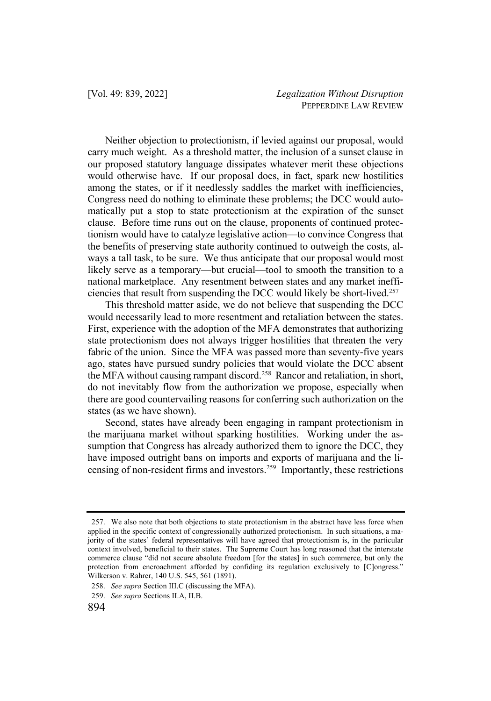Neither objection to protectionism, if levied against our proposal, would carry much weight. As a threshold matter, the inclusion of a sunset clause in our proposed statutory language dissipates whatever merit these objections would otherwise have. If our proposal does, in fact, spark new hostilities among the states, or if it needlessly saddles the market with inefficiencies, Congress need do nothing to eliminate these problems; the DCC would automatically put a stop to state protectionism at the expiration of the sunset clause. Before time runs out on the clause, proponents of continued protectionism would have to catalyze legislative action—to convince Congress that the benefits of preserving state authority continued to outweigh the costs, always a tall task, to be sure. We thus anticipate that our proposal would most likely serve as a temporary—but crucial—tool to smooth the transition to a national marketplace. Any resentment between states and any market inefficiencies that result from suspending the DCC would likely be short-lived.257

This threshold matter aside, we do not believe that suspending the DCC would necessarily lead to more resentment and retaliation between the states. First, experience with the adoption of the MFA demonstrates that authorizing state protectionism does not always trigger hostilities that threaten the very fabric of the union. Since the MFA was passed more than seventy-five years ago, states have pursued sundry policies that would violate the DCC absent the MFA without causing rampant discord.258 Rancor and retaliation, in short, do not inevitably flow from the authorization we propose, especially when there are good countervailing reasons for conferring such authorization on the states (as we have shown).

Second, states have already been engaging in rampant protectionism in the marijuana market without sparking hostilities. Working under the assumption that Congress has already authorized them to ignore the DCC, they have imposed outright bans on imports and exports of marijuana and the licensing of non-resident firms and investors.259 Importantly, these restrictions

<sup>257.</sup> We also note that both objections to state protectionism in the abstract have less force when applied in the specific context of congressionally authorized protectionism. In such situations, a majority of the states' federal representatives will have agreed that protectionism is, in the particular context involved, beneficial to their states. The Supreme Court has long reasoned that the interstate commerce clause "did not secure absolute freedom [for the states] in such commerce, but only the protection from encroachment afforded by confiding its regulation exclusively to [C]ongress." Wilkerson v. Rahrer, 140 U.S. 545, 561 (1891).

<sup>258.</sup> *See supra* Section III.C (discussing the MFA).

<sup>259.</sup> *See supra* Sections II.A, II.B.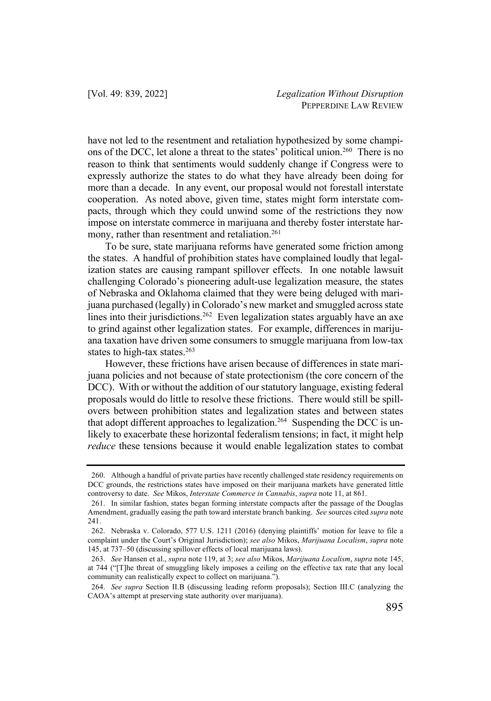have not led to the resentment and retaliation hypothesized by some champions of the DCC, let alone a threat to the states' political union.260 There is no reason to think that sentiments would suddenly change if Congress were to expressly authorize the states to do what they have already been doing for more than a decade. In any event, our proposal would not forestall interstate cooperation. As noted above, given time, states might form interstate compacts, through which they could unwind some of the restrictions they now impose on interstate commerce in marijuana and thereby foster interstate harmony, rather than resentment and retaliation.<sup>261</sup>

To be sure, state marijuana reforms have generated some friction among the states. A handful of prohibition states have complained loudly that legalization states are causing rampant spillover effects. In one notable lawsuit challenging Colorado's pioneering adult-use legalization measure, the states of Nebraska and Oklahoma claimed that they were being deluged with marijuana purchased (legally) in Colorado's new market and smuggled across state lines into their jurisdictions.<sup>262</sup> Even legalization states arguably have an axe to grind against other legalization states. For example, differences in marijuana taxation have driven some consumers to smuggle marijuana from low-tax states to high-tax states. $263$ 

However, these frictions have arisen because of differences in state marijuana policies and not because of state protectionism (the core concern of the DCC). With or without the addition of our statutory language, existing federal proposals would do little to resolve these frictions. There would still be spillovers between prohibition states and legalization states and between states that adopt different approaches to legalization.<sup>264</sup> Suspending the DCC is unlikely to exacerbate these horizontal federalism tensions; in fact, it might help *reduce* these tensions because it would enable legalization states to combat

<sup>260.</sup> Although a handful of private parties have recently challenged state residency requirements on DCC grounds, the restrictions states have imposed on their marijuana markets have generated little controversy to date. *See* Mikos, *Interstate Commerce in Cannabis*, *supra* note 11, at 861.

<sup>261.</sup> In similar fashion, states began forming interstate compacts after the passage of the Douglas Amendment, gradually easing the path toward interstate branch banking. *See* sources cited *supra* note 241.

<sup>262.</sup> Nebraska v. Colorado, 577 U.S. 1211 (2016) (denying plaintiffs' motion for leave to file a complaint under the Court's Original Jurisdiction); *see also* Mikos, *Marijuana Localism*, *supra* note 145, at 737–50 (discussing spillover effects of local marijuana laws).

<sup>263.</sup> *See* Hansen et al., *supra* note 119, at 3; *see also* Mikos, *Marijuana Localism*, *supra* note 145, at 744 ("[T]he threat of smuggling likely imposes a ceiling on the effective tax rate that any local community can realistically expect to collect on marijuana.").

<sup>264.</sup> *See supra* Section II.B (discussing leading reform proposals); Section III.C (analyzing the CAOA's attempt at preserving state authority over marijuana).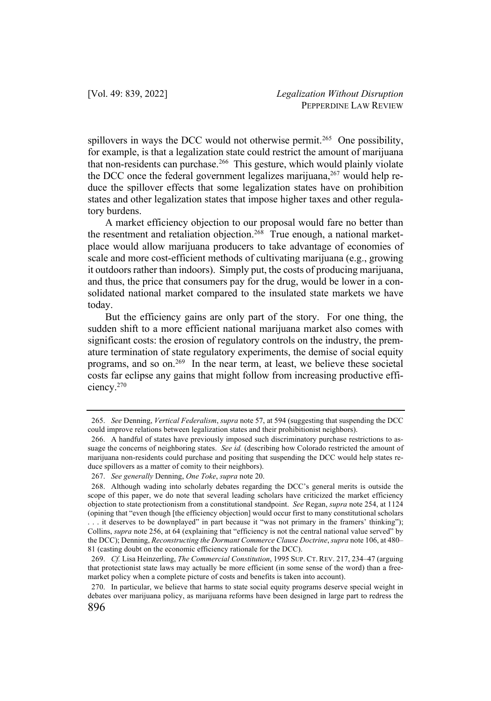spillovers in ways the DCC would not otherwise permit.<sup>265</sup> One possibility, for example, is that a legalization state could restrict the amount of marijuana that non-residents can purchase.<sup>266</sup> This gesture, which would plainly violate the DCC once the federal government legalizes marijuana,  $267$  would help reduce the spillover effects that some legalization states have on prohibition states and other legalization states that impose higher taxes and other regulatory burdens.

A market efficiency objection to our proposal would fare no better than the resentment and retaliation objection.<sup>268</sup> True enough, a national marketplace would allow marijuana producers to take advantage of economies of scale and more cost-efficient methods of cultivating marijuana (e.g., growing it outdoors rather than indoors). Simply put, the costs of producing marijuana, and thus, the price that consumers pay for the drug, would be lower in a consolidated national market compared to the insulated state markets we have today.

But the efficiency gains are only part of the story. For one thing, the sudden shift to a more efficient national marijuana market also comes with significant costs: the erosion of regulatory controls on the industry, the premature termination of state regulatory experiments, the demise of social equity programs, and so on.269 In the near term, at least, we believe these societal costs far eclipse any gains that might follow from increasing productive efficiency.270

<sup>265.</sup> *See* Denning, *Vertical Federalism*, *supra* note 57, at 594 (suggesting that suspending the DCC could improve relations between legalization states and their prohibitionist neighbors).

<sup>266.</sup> A handful of states have previously imposed such discriminatory purchase restrictions to assuage the concerns of neighboring states. *See id.* (describing how Colorado restricted the amount of marijuana non-residents could purchase and positing that suspending the DCC would help states reduce spillovers as a matter of comity to their neighbors).

<sup>267.</sup> *See generally* Denning, *One Toke*, *supra* note 20.

<sup>268.</sup> Although wading into scholarly debates regarding the DCC's general merits is outside the scope of this paper, we do note that several leading scholars have criticized the market efficiency objection to state protectionism from a constitutional standpoint. *See* Regan, *supra* note 254, at 1124 (opining that "even though [the efficiency objection] would occur first to many constitutional scholars . . . it deserves to be downplayed" in part because it "was not primary in the framers' thinking"); Collins, *supra* note 256, at 64 (explaining that "efficiency is not the central national value served" by the DCC); Denning, *Reconstructing the Dormant Commerce Clause Doctrine*, *supra* note 106, at 480– 81 (casting doubt on the economic efficiency rationale for the DCC).

<sup>269.</sup> *Cf.* Lisa Heinzerling, *The Commercial Constitution*, 1995 SUP. CT. REV. 217, 234–47 (arguing that protectionist state laws may actually be more efficient (in some sense of the word) than a freemarket policy when a complete picture of costs and benefits is taken into account).

<sup>270.</sup> In particular, we believe that harms to state social equity programs deserve special weight in debates over marijuana policy, as marijuana reforms have been designed in large part to redress the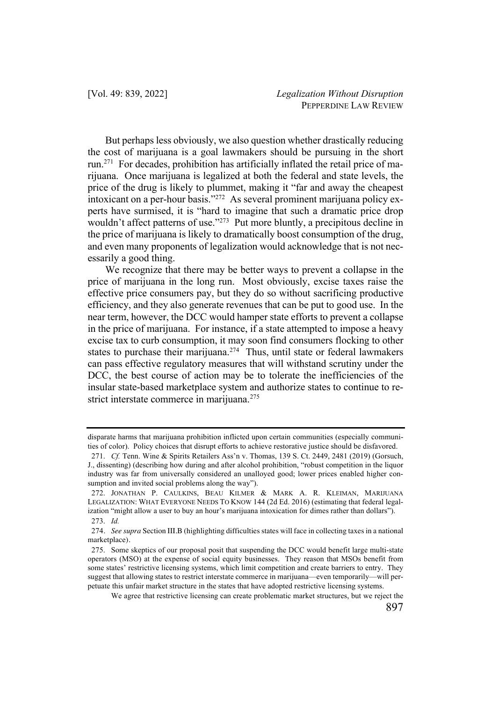But perhaps less obviously, we also question whether drastically reducing the cost of marijuana is a goal lawmakers should be pursuing in the short run.271 For decades, prohibition has artificially inflated the retail price of marijuana. Once marijuana is legalized at both the federal and state levels, the price of the drug is likely to plummet, making it "far and away the cheapest intoxicant on a per-hour basis."272 As several prominent marijuana policy experts have surmised, it is "hard to imagine that such a dramatic price drop wouldn't affect patterns of use."<sup>273</sup> Put more bluntly, a precipitous decline in the price of marijuana is likely to dramatically boost consumption of the drug, and even many proponents of legalization would acknowledge that is not necessarily a good thing.

We recognize that there may be better ways to prevent a collapse in the price of marijuana in the long run. Most obviously, excise taxes raise the effective price consumers pay, but they do so without sacrificing productive efficiency, and they also generate revenues that can be put to good use. In the near term, however, the DCC would hamper state efforts to prevent a collapse in the price of marijuana. For instance, if a state attempted to impose a heavy excise tax to curb consumption, it may soon find consumers flocking to other states to purchase their marijuana.<sup>274</sup> Thus, until state or federal lawmakers can pass effective regulatory measures that will withstand scrutiny under the DCC, the best course of action may be to tolerate the inefficiencies of the insular state-based marketplace system and authorize states to continue to restrict interstate commerce in marijuana.<sup>275</sup>

disparate harms that marijuana prohibition inflicted upon certain communities (especially communities of color). Policy choices that disrupt efforts to achieve restorative justice should be disfavored.

<sup>271.</sup> *Cf.* Tenn. Wine & Spirits Retailers Ass'n v. Thomas, 139 S. Ct. 2449, 2481 (2019) (Gorsuch, J., dissenting) (describing how during and after alcohol prohibition, "robust competition in the liquor industry was far from universally considered an unalloyed good; lower prices enabled higher consumption and invited social problems along the way").

<sup>272.</sup> JONATHAN P. CAULKINS, BEAU KILMER & MARK A. R. KLEIMAN, MARIJUANA LEGALIZATION: WHAT EVERYONE NEEDS TO KNOW 144 (2d Ed. 2016) (estimating that federal legalization "might allow a user to buy an hour's marijuana intoxication for dimes rather than dollars"). 273. *Id.*

<sup>274</sup>. *See supra* Section III.B (highlighting difficulties states will face in collecting taxes in a national marketplace).

<sup>275.</sup> Some skeptics of our proposal posit that suspending the DCC would benefit large multi-state operators (MSO) at the expense of social equity businesses. They reason that MSOs benefit from some states' restrictive licensing systems, which limit competition and create barriers to entry. They suggest that allowing states to restrict interstate commerce in marijuana—even temporarily—will perpetuate this unfair market structure in the states that have adopted restrictive licensing systems.

We agree that restrictive licensing can create problematic market structures, but we reject the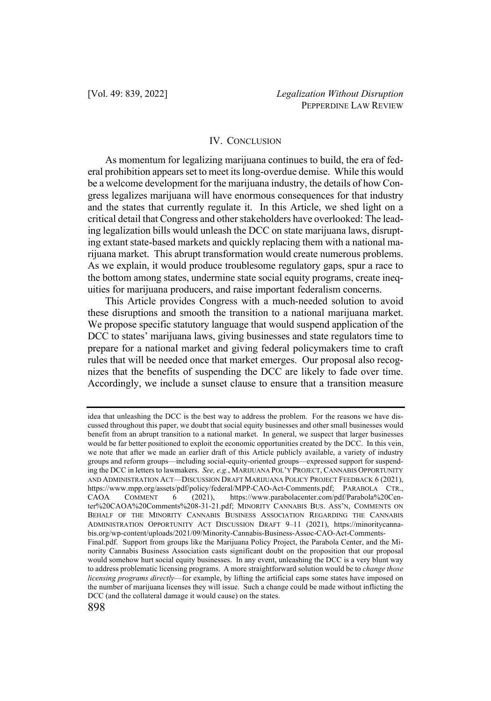# IV. CONCLUSION

As momentum for legalizing marijuana continues to build, the era of federal prohibition appears set to meet its long-overdue demise. While this would be a welcome development for the marijuana industry, the details of how Congress legalizes marijuana will have enormous consequences for that industry and the states that currently regulate it. In this Article, we shed light on a critical detail that Congress and other stakeholders have overlooked: The leading legalization bills would unleash the DCC on state marijuana laws, disrupting extant state-based markets and quickly replacing them with a national marijuana market. This abrupt transformation would create numerous problems. As we explain, it would produce troublesome regulatory gaps, spur a race to the bottom among states, undermine state social equity programs, create inequities for marijuana producers, and raise important federalism concerns.

This Article provides Congress with a much-needed solution to avoid these disruptions and smooth the transition to a national marijuana market. We propose specific statutory language that would suspend application of the DCC to states' marijuana laws, giving businesses and state regulators time to prepare for a national market and giving federal policymakers time to craft rules that will be needed once that market emerges. Our proposal also recognizes that the benefits of suspending the DCC are likely to fade over time. Accordingly, we include a sunset clause to ensure that a transition measure

idea that unleashing the DCC is the best way to address the problem. For the reasons we have discussed throughout this paper, we doubt that social equity businesses and other small businesses would benefit from an abrupt transition to a national market. In general, we suspect that larger businesses would be far better positioned to exploit the economic opportunities created by the DCC. In this vein, we note that after we made an earlier draft of this Article publicly available, a variety of industry groups and reform groups—including social-equity-oriented groups—expressed support for suspending the DCC in letters to lawmakers. *See, e.g.*, MARIJUANA POL'Y PROJECT, CANNABIS OPPORTUNITY AND ADMINISTRATION ACT—DISCUSSION DRAFT MARIJUANA POLICY PROJECT FEEDBACK 6 (2021), https://www.mpp.org/assets/pdf/policy/federal/MPP-CAO-Act-Comments.pdf; PARABOLA CTR., CAOA COMMENT 6 (2021), https://www.parabolacenter.com/pdf/Parabola%20Center%20CAOA%20Comments%208-31-21.pdf; MINORITY CANNABIS BUS. ASS'N, COMMENTS ON BEHALF OF THE MINORITY CANNABIS BUSINESS ASSOCIATION REGARDING THE CANNABIS ADMINISTRATION OPPORTUNITY ACT DISCUSSION DRAFT 9–11 (2021), https://minoritycannabis.org/wp-content/uploads/2021/09/Minority-Cannabis-Business-Assoc-CAO-Act-Comments-Final.pdf. Support from groups like the Marijuana Policy Project, the Parabola Center, and the Minority Cannabis Business Association casts significant doubt on the proposition that our proposal would somehow hurt social equity businesses. In any event, unleashing the DCC is a very blunt way to address problematic licensing programs. A more straightforward solution would be to *change those licensing programs directly*—for example, by lifting the artificial caps some states have imposed on the number of marijuana licenses they will issue. Such a change could be made without inflicting the DCC (and the collateral damage it would cause) on the states.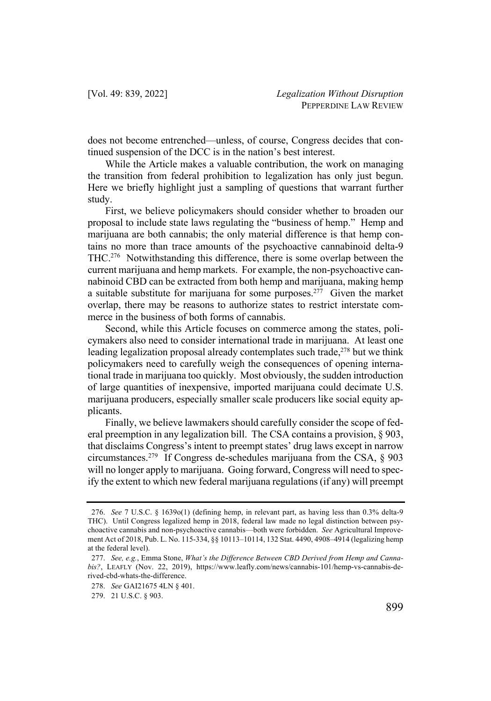does not become entrenched—unless, of course, Congress decides that continued suspension of the DCC is in the nation's best interest.

While the Article makes a valuable contribution, the work on managing the transition from federal prohibition to legalization has only just begun. Here we briefly highlight just a sampling of questions that warrant further study.

First, we believe policymakers should consider whether to broaden our proposal to include state laws regulating the "business of hemp." Hemp and marijuana are both cannabis; the only material difference is that hemp contains no more than trace amounts of the psychoactive cannabinoid delta-9 THC.276 Notwithstanding this difference, there is some overlap between the current marijuana and hemp markets. For example, the non-psychoactive cannabinoid CBD can be extracted from both hemp and marijuana, making hemp a suitable substitute for marijuana for some purposes.<sup>277</sup> Given the market overlap, there may be reasons to authorize states to restrict interstate commerce in the business of both forms of cannabis.

Second, while this Article focuses on commerce among the states, policymakers also need to consider international trade in marijuana. At least one leading legalization proposal already contemplates such trade, $278$  but we think policymakers need to carefully weigh the consequences of opening international trade in marijuana too quickly. Most obviously, the sudden introduction of large quantities of inexpensive, imported marijuana could decimate U.S. marijuana producers, especially smaller scale producers like social equity applicants.

Finally, we believe lawmakers should carefully consider the scope of federal preemption in any legalization bill. The CSA contains a provision, § 903, that disclaims Congress's intent to preempt states' drug laws except in narrow circumstances.279 If Congress de-schedules marijuana from the CSA, § 903 will no longer apply to marijuana. Going forward, Congress will need to specify the extent to which new federal marijuana regulations (if any) will preempt

<sup>276.</sup> *See* 7 U.S.C. § 1639o(1) (defining hemp, in relevant part, as having less than 0.3% delta-9 THC). Until Congress legalized hemp in 2018, federal law made no legal distinction between psychoactive cannabis and non-psychoactive cannabis—both were forbidden. *See* Agricultural Improvement Act of 2018, Pub. L. No. 115-334, §§ 10113–10114, 132 Stat. 4490, 4908–4914 (legalizing hemp at the federal level).

<sup>277.</sup> *See, e.g.*, Emma Stone, *What's the Difference Between CBD Derived from Hemp and Cannabis?*, LEAFLY (Nov. 22, 2019), https://www.leafly.com/news/cannabis-101/hemp-vs-cannabis-derived-cbd-whats-the-difference.

<sup>278.</sup> *See* GAI21675 4LN § 401.

<sup>279.</sup> 21 U.S.C. § 903.